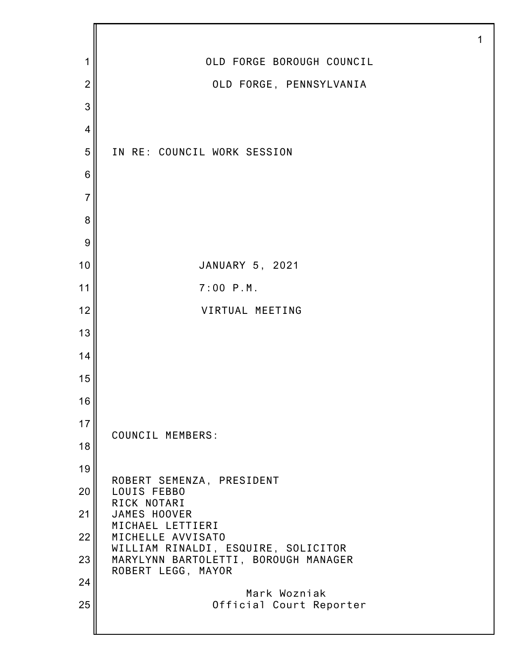| 1              | OLD FORGE BOROUGH COUNCIL                                  |
|----------------|------------------------------------------------------------|
| $\overline{2}$ | OLD FORGE, PENNSYLVANIA                                    |
| 3              |                                                            |
| $\overline{4}$ |                                                            |
| 5              | IN RE: COUNCIL WORK SESSION                                |
| 6              |                                                            |
| $\overline{7}$ |                                                            |
| 8              |                                                            |
| 9              |                                                            |
| 10             | JANUARY 5, 2021                                            |
| 11             | $7:00$ $P.M.$                                              |
| 12             | VIRTUAL MEETING                                            |
| 13             |                                                            |
| 14             |                                                            |
| 15             |                                                            |
| 16             |                                                            |
| 17             | COUNCIL MEMBERS:                                           |
| 18             |                                                            |
| 19             | ROBERT SEMENZA, PRESIDENT                                  |
| 20             | LOUIS FEBBO<br>RICK NOTARI                                 |
| 21             | JAMES HOOVER<br>MICHAEL LETTIERI                           |
| 22             | MICHELLE AVVISATO<br>WILLIAM RINALDI, ESQUIRE, SOLICITOR   |
| 23             | MARYLYNN BARTOLETTI, BOROUGH MANAGER<br>ROBERT LEGG, MAYOR |
| 24             | Mark Wozniak                                               |
| 25             | Official Court Reporter                                    |
|                |                                                            |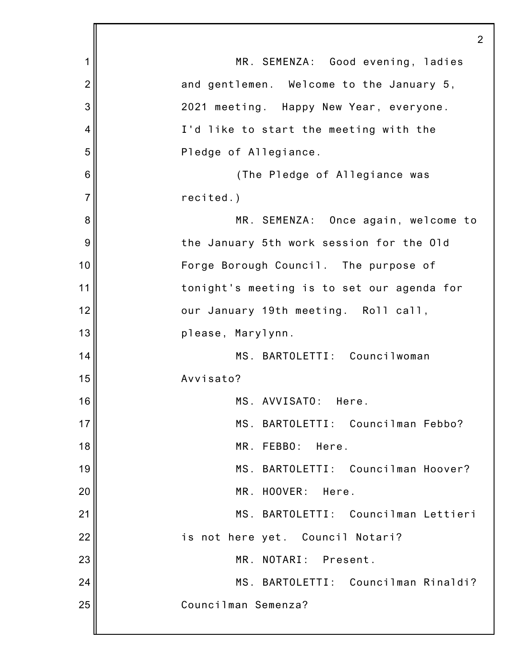|                | $\overline{2}$                             |
|----------------|--------------------------------------------|
| 1              | MR. SEMENZA: Good evening, ladies          |
| $\overline{2}$ | and gentlemen. Welcome to the January 5,   |
| 3              | 2021 meeting. Happy New Year, everyone.    |
| 4              | I'd like to start the meeting with the     |
| 5              | Pledge of Allegiance.                      |
| 6              | (The Pledge of Allegiance was              |
| $\overline{7}$ | recited.)                                  |
| 8              | MR. SEMENZA: Once again, welcome to        |
| 9              | the January 5th work session for the Old   |
| 10             | Forge Borough Council. The purpose of      |
| 11             | tonight's meeting is to set our agenda for |
| 12             | our January 19th meeting. Roll call,       |
| 13             | please, Marylynn.                          |
| 14             | MS. BARTOLETTI: Councilwoman               |
| 15             | Avvisato?                                  |
| 16             | MS. AVVISATO:<br>Here.                     |
| 17             | MS. BARTOLETTI: Councilman Febbo?          |
| 18             | MR. FEBBO:<br>Here.                        |
| 19             | MS. BARTOLETTI: Councilman Hoover?         |
| 20             | MR. HOOVER:<br>Here.                       |
| 21             | MS. BARTOLETTI: Councilman Lettieri        |
| 22             | is not here yet. Council Notari?           |
| 23             | MR. NOTARI: Present.                       |
| 24             | MS. BARTOLETTI: Councilman Rinaldi?        |
| 25             | Councilman Semenza?                        |
|                |                                            |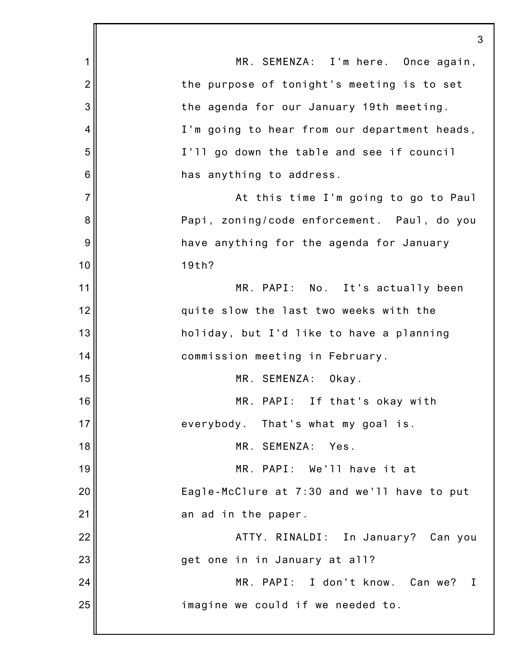1 2 3 4 5 6 7 8 9 10 11 12 13 14 15 16 17 18 19 20 21 22 23 24 25 3 MR. SEMENZA: I'm here. Once again, the purpose of tonight's meeting is to set the agenda for our January 19th meeting. I'm going to hear from our department heads, I'll go down the table and see if council has anything to address. At this time I'm going to go to Paul Papi, zoning/code enforcement. Paul, do you have anything for the agenda for January 19th? MR. PAPI: No. It's actually been quite slow the last two weeks with the holiday, but I'd like to have a planning commission meeting in February. MR. SEMENZA: Okay. MR. PAPI: If that's okay with everybody. That's what my goal is. MR. SEMENZA: Yes. MR. PAPI: We'll have it at Eagle-McClure at 7:30 and we'll have to put an ad in the paper. ATTY. RINALDI: In January? Can you get one in in January at all? MR. PAPI: I don't know. Can we? I imagine we could if we needed to.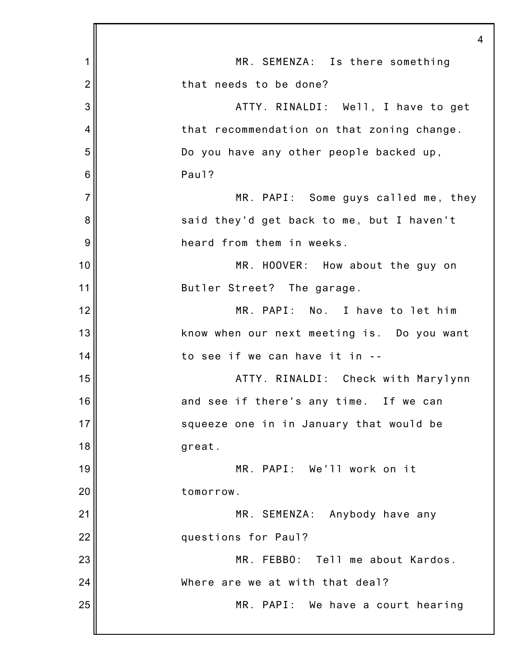|                | $\overline{4}$                             |
|----------------|--------------------------------------------|
| 1              | MR. SEMENZA: Is there something            |
| $\overline{2}$ | that needs to be done?                     |
| 3              | ATTY. RINALDI: Well, I have to get         |
| 4              | that recommendation on that zoning change. |
| 5              | Do you have any other people backed up,    |
| 6              | Paul?                                      |
| $\overline{7}$ | MR. PAPI: Some guys called me, they        |
| 8              | said they'd get back to me, but I haven't  |
| 9              | heard from them in weeks.                  |
| 10             | MR. HOOVER: How about the guy on           |
| 11             | Butler Street? The garage.                 |
| 12             | MR. PAPI: No. I have to let him            |
| 13             | know when our next meeting is. Do you want |
| 14             | to see if we can have it in --             |
| 15             | ATTY. RINALDI: Check with Marylynn         |
| 16             | and see if there's any time. If we can     |
| 17             | squeeze one in in January that would be    |
| 18             | great.                                     |
| 19             | MR. PAPI: We'll work on it                 |
| 20             | tomorrow.                                  |
| 21             | MR. SEMENZA: Anybody have any              |
| 22             | questions for Paul?                        |
| 23             | MR. FEBBO:<br>Tell me about Kardos.        |
| 24             | Where are we at with that deal?            |
| 25             | MR. PAPI: We have a court hearing          |
|                |                                            |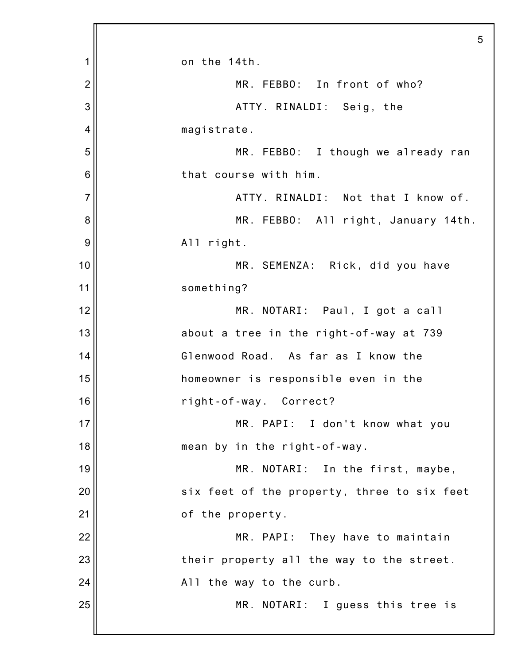|                | 5                                           |
|----------------|---------------------------------------------|
| 1              | on the 14th.                                |
| $\overline{2}$ | MR. FEBBO: In front of who?                 |
| 3              | ATTY. RINALDI: Seig, the                    |
| 4              | magistrate.                                 |
| 5              | MR. FEBBO: I though we already ran          |
| 6              | that course with him.                       |
| $\overline{7}$ | ATTY. RINALDI: Not that I know of.          |
| 8              | MR. FEBBO: All right, January 14th.         |
| 9              | All right.                                  |
| 10             | MR. SEMENZA: Rick, did you have             |
| 11             | something?                                  |
| 12             | MR. NOTARI: Paul, I got a call              |
| 13             | about a tree in the right-of-way at 739     |
| 14             | Glenwood Road. As far as I know the         |
| 15             | homeowner is responsible even in the        |
| 16             | right-of-way. Correct?                      |
| 17             | MR. PAPI: I don't know what you             |
| 18             | mean by in the right-of-way.                |
| 19             | MR. NOTARI: In the first, maybe,            |
| 20             | six feet of the property, three to six feet |
| 21             | of the property.                            |
| 22             | MR. PAPI: They have to maintain             |
| 23             | their property all the way to the street.   |
| 24             | All the way to the curb.                    |
| 25             | MR. NOTARI: I guess this tree is            |
|                |                                             |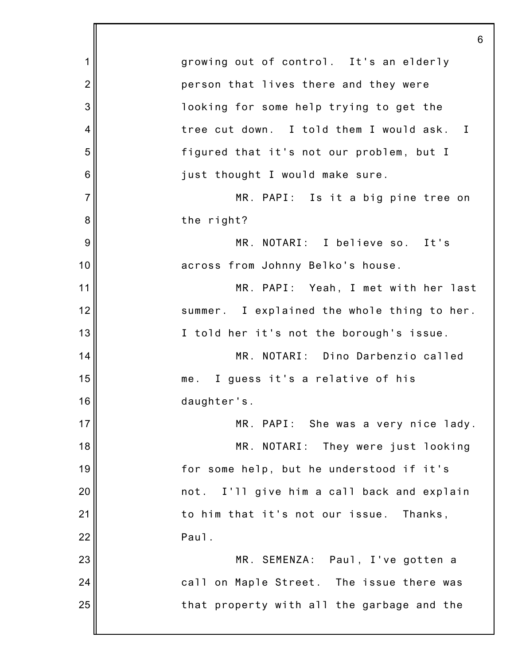1 2 3 4 5 6 7 8 9 10 11 12 13 14 15 16 17 18 19 20 21 22 23 24 25 6 growing out of control. It's an elderly person that lives there and they were looking for some help trying to get the tree cut down. I told them I would ask. I figured that it's not our problem, but I just thought I would make sure. MR. PAPI: Is it a big pine tree on the right? MR. NOTARI: I believe so. It's across from Johnny Belko's house. MR. PAPI: Yeah, I met with her last summer. I explained the whole thing to her. I told her it's not the borough's issue. MR. NOTARI: Dino Darbenzio called me. I guess it's a relative of his daughter's. MR. PAPI: She was a very nice lady. MR. NOTARI: They were just looking for some help, but he understood if it's not. I'll give him a call back and explain to him that it's not our issue. Thanks, Paul. MR. SEMENZA: Paul, I've gotten a call on Maple Street. The issue there was that property with all the garbage and the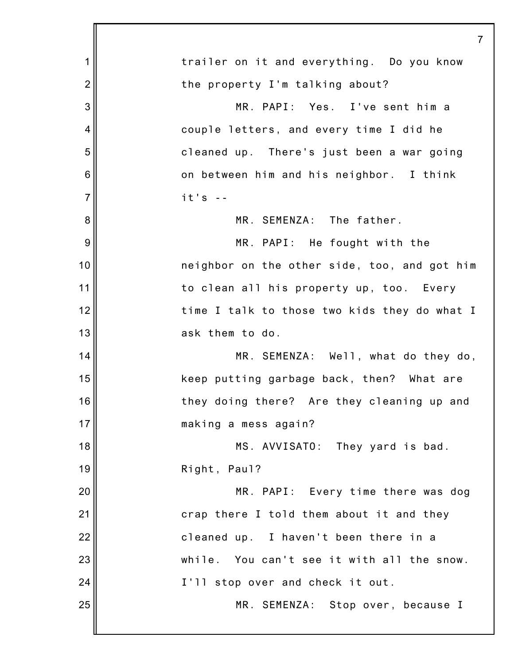|                | 7                                            |
|----------------|----------------------------------------------|
| 1              | trailer on it and everything. Do you know    |
| $\overline{c}$ | the property I'm talking about?              |
| 3              | MR. PAPI: Yes. I've sent him a               |
| 4              | couple letters, and every time I did he      |
| 5              | cleaned up. There's just been a war going    |
| 6              | on between him and his neighbor. I think     |
| $\overline{7}$ | $it's -$                                     |
| 8              | MR. SEMENZA: The father.                     |
| 9              | MR. PAPI: He fought with the                 |
| 10             | neighbor on the other side, too, and got him |
| 11             | to clean all his property up, too. Every     |
| 12             | time I talk to those two kids they do what I |
| 13             | ask them to do.                              |
| 14             | MR. SEMENZA: Well, what do they do,          |
| 15             | keep putting garbage back, then? What are    |
| 16             | they doing there? Are they cleaning up and   |
| 17             | making a mess again?                         |
| 18             | MS. AVVISATO: They yard is bad.              |
| 19             | Right, Paul?                                 |
| 20             | MR. PAPI: Every time there was dog           |
| 21             | crap there I told them about it and they     |
| 22             | cleaned up. I haven't been there in a        |
| 23             | while. You can't see it with all the snow.   |
| 24             | I'll stop over and check it out.             |
| 25             | MR. SEMENZA: Stop over, because I            |
|                |                                              |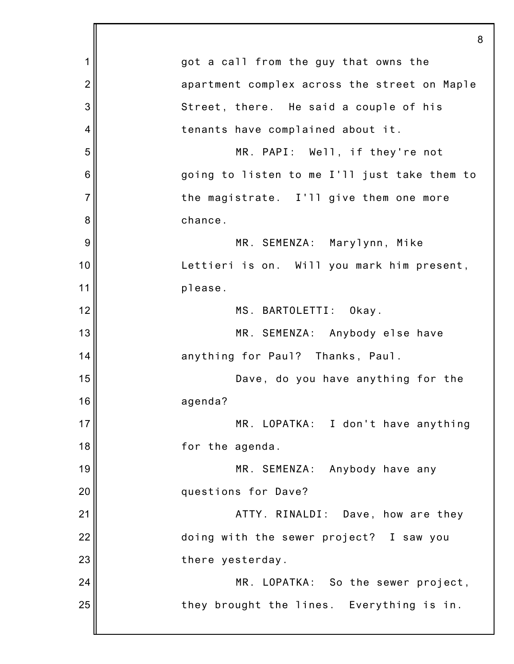|                | 8                                            |
|----------------|----------------------------------------------|
| 1              | got a call from the guy that owns the        |
| $\overline{2}$ | apartment complex across the street on Maple |
| 3              | Street, there. He said a couple of his       |
| 4              | tenants have complained about it.            |
| 5              | MR. PAPI: Well, if they're not               |
| 6              | going to listen to me I'll just take them to |
| $\overline{7}$ | the magistrate. I'll give them one more      |
| 8              | chance.                                      |
| 9              | MR. SEMENZA: Marylynn, Mike                  |
| 10             | Lettieri is on. Will you mark him present,   |
| 11             | please.                                      |
| 12             | MS. BARTOLETTI:<br>Okay.                     |
| 13             | MR. SEMENZA: Anybody else have               |
| 14             | anything for Paul? Thanks, Paul.             |
| 15             | Dave, do you have anything for the           |
| 16             | agenda?                                      |
| 17             | MR. LOPATKA: I don't have anything           |
| 18             | for the agenda.                              |
| 19             | MR. SEMENZA: Anybody have any                |
| 20             | questions for Dave?                          |
| 21             | ATTY. RINALDI: Dave, how are they            |
| 22             | doing with the sewer project? I saw you      |
| 23             | there yesterday.                             |
| 24             | MR. LOPATKA: So the sewer project,           |
| 25             | they brought the lines. Everything is in.    |
|                |                                              |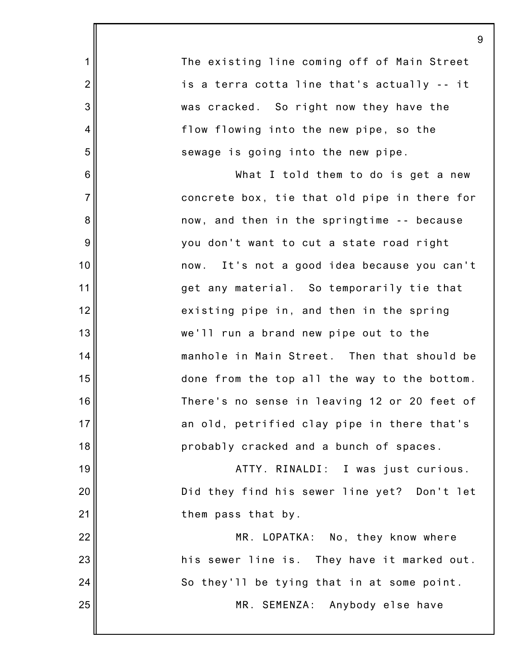1 2 3 4 5 6 7 8 9 10 11 12 13 14 15 16 17 18 19 20 21 22 23 24 25 The existing line coming off of Main Street is a terra cotta line that's actually -- it was cracked. So right now they have the flow flowing into the new pipe, so the sewage is going into the new pipe. What I told them to do is get a new concrete box, tie that old pipe in there for now, and then in the springtime -- because you don't want to cut a state road right now. It's not a good idea because you can't get any material. So temporarily tie that existing pipe in, and then in the spring we'll run a brand new pipe out to the manhole in Main Street. Then that should be done from the top all the way to the bottom. There's no sense in leaving 12 or 20 feet of an old, petrified clay pipe in there that's probably cracked and a bunch of spaces. ATTY. RINALDI: I was just curious. Did they find his sewer line yet? Don't let them pass that by. MR. LOPATKA: No, they know where his sewer line is. They have it marked out. So they'll be tying that in at some point. MR. SEMENZA: Anybody else have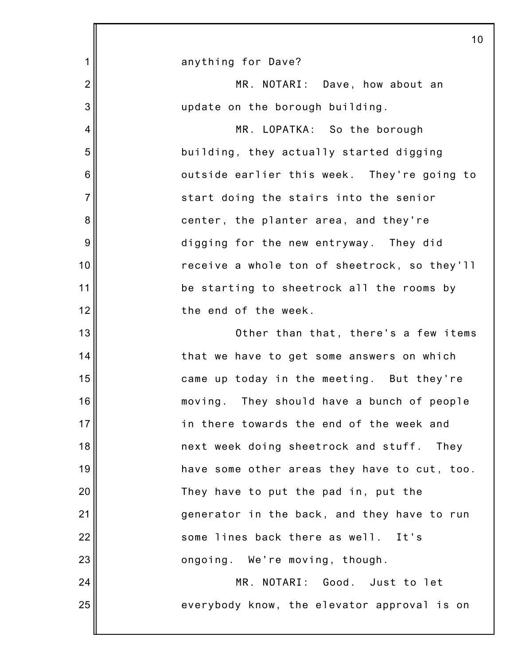|                 | 10                                           |
|-----------------|----------------------------------------------|
| 1               | anything for Dave?                           |
| $\overline{2}$  | MR. NOTARI: Dave, how about an               |
| 3               | update on the borough building.              |
| 4               | MR. LOPATKA: So the borough                  |
| 5               | building, they actually started digging      |
| $6\phantom{1}6$ | outside earlier this week. They're going to  |
| $\overline{7}$  | start doing the stairs into the senior       |
| 8               | center, the planter area, and they're        |
| 9               | digging for the new entryway. They did       |
| 10              | receive a whole ton of sheetrock, so they'll |
| 11              | be starting to sheetrock all the rooms by    |
| 12              | the end of the week.                         |
| 13              | Other than that, there's a few items         |
| 14              | that we have to get some answers on which    |
| 15              | came up today in the meeting. But they're    |
| 16              | moving. They should have a bunch of people   |
| 17              | in there towards the end of the week and     |
| 18              | next week doing sheetrock and stuff. They    |
| 19              | have some other areas they have to cut, too. |
| 20              | They have to put the pad in, put the         |
| 21              | generator in the back, and they have to run  |
| 22              | some lines back there as well. It's          |
| 23              | ongoing. We're moving, though.               |
| 24              | MR. NOTARI: Good. Just to let                |
| 25              | everybody know, the elevator approval is on  |
|                 |                                              |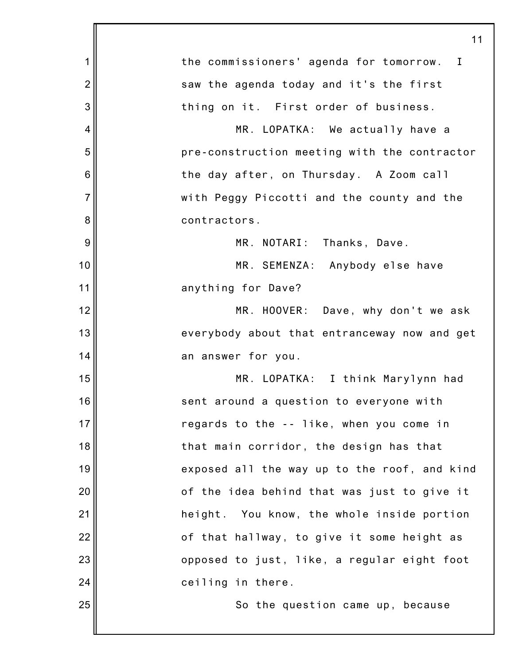|                | 11                                           |
|----------------|----------------------------------------------|
| 1              | the commissioners' agenda for tomorrow. I    |
| $\overline{2}$ | saw the agenda today and it's the first      |
| 3              | thing on it. First order of business.        |
| 4              | MR. LOPATKA: We actually have a              |
| 5              | pre-construction meeting with the contractor |
| 6              | the day after, on Thursday. A Zoom call      |
| $\overline{7}$ | with Peggy Piccotti and the county and the   |
| 8              | contractors.                                 |
| 9              | MR. NOTARI: Thanks, Dave.                    |
| 10             | MR. SEMENZA: Anybody else have               |
| 11             | anything for Dave?                           |
| 12             | MR. HOOVER: Dave, why don't we ask           |
| 13             | everybody about that entranceway now and get |
| 14             | an answer for you.                           |
| 15             | MR. LOPATKA: I think Marylynn had            |
| 16             | sent around a question to everyone with      |
| 17             | regards to the -- like, when you come in     |
| 18             | that main corridor, the design has that      |
| 19             | exposed all the way up to the roof, and kind |
| 20             | of the idea behind that was just to give it  |
| 21             | height. You know, the whole inside portion   |
| 22             | of that hallway, to give it some height as   |
| 23             | opposed to just, like, a regular eight foot  |
| 24             | ceiling in there.                            |
| 25             | So the question came up, because             |
|                |                                              |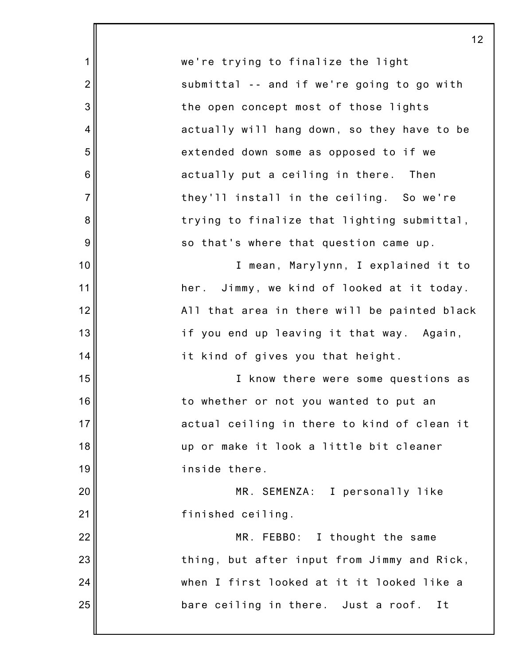1 2 3 4 5 6 7 8 9 10 11 12 13 14 15 16 17 18 19 20 21 22 23 24 25 12 we're trying to finalize the light submittal -- and if we're going to go with the open concept most of those lights actually will hang down, so they have to be extended down some as opposed to if we actually put a ceiling in there. Then they'll install in the ceiling. So we're trying to finalize that lighting submittal, so that's where that question came up. I mean, Marylynn, I explained it to her. Jimmy, we kind of looked at it today. All that area in there will be painted black if you end up leaving it that way. Again, it kind of gives you that height. I know there were some questions as to whether or not you wanted to put an actual ceiling in there to kind of clean it up or make it look a little bit cleaner inside there. MR. SEMENZA: I personally like finished ceiling. MR. FEBBO: I thought the same thing, but after input from Jimmy and Rick, when I first looked at it it looked like a bare ceiling in there. Just a roof. It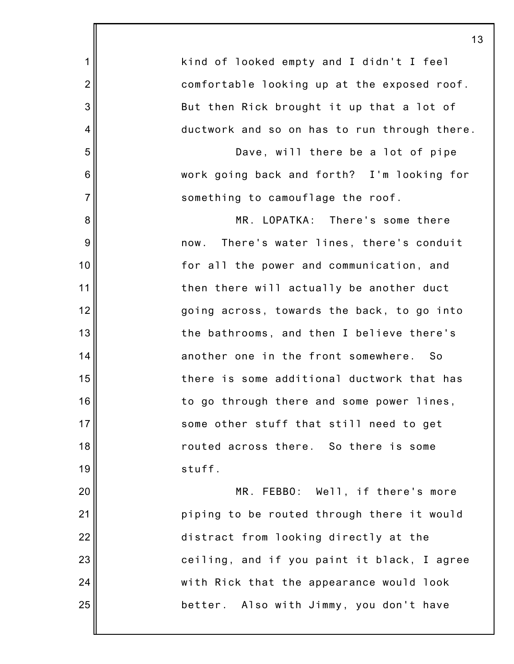6 7 16 23 13 kind of looked empty and I didn't I feel comfortable looking up at the exposed roof. But then Rick brought it up that a lot of ductwork and so on has to run through there. Dave, will there be a lot of pipe work going back and forth? I'm looking for something to camouflage the roof. MR. LOPATKA: There's some there now. There's water lines, there's conduit for all the power and communication, and then there will actually be another duct going across, towards the back, to go into the bathrooms, and then I believe there's another one in the front somewhere. So there is some additional ductwork that has to go through there and some power lines, some other stuff that still need to get routed across there. So there is some stuff. MR. FEBBO: Well, if there's more piping to be routed through there it would distract from looking directly at the ceiling, and if you paint it black, I agree with Rick that the appearance would look

better. Also with Jimmy, you don't have

25

24

1

2

3

4

5

8

9

10

11

12

13

14

15

17

18

19

20

21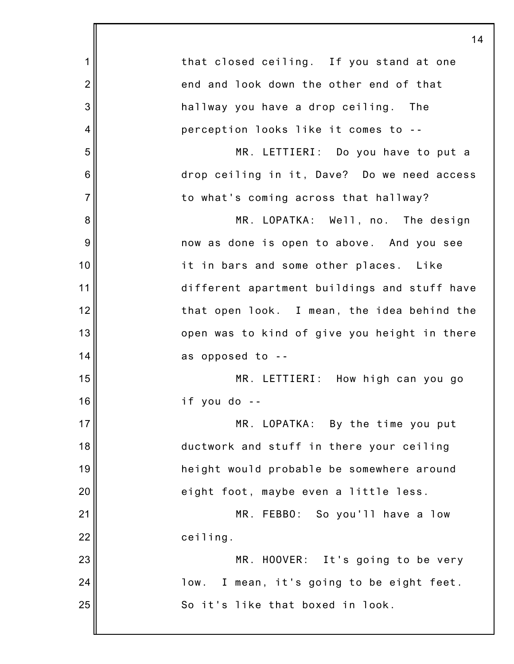|                | 14                                           |
|----------------|----------------------------------------------|
| 1              | that closed ceiling. If you stand at one     |
| $\overline{2}$ | end and look down the other end of that      |
| 3              | hallway you have a drop ceiling. The         |
| $\overline{4}$ | perception looks like it comes to --         |
| 5              | MR. LETTIERI: Do you have to put a           |
| 6              | drop ceiling in it, Dave? Do we need access  |
| $\overline{7}$ | to what's coming across that hallway?        |
| 8              | MR. LOPATKA: Well, no. The design            |
| 9              | now as done is open to above. And you see    |
| 10             | it in bars and some other places. Like       |
| 11             | different apartment buildings and stuff have |
| 12             | that open look. I mean, the idea behind the  |
| 13             | open was to kind of give you height in there |
| 14             | as opposed to --                             |
| 15             | MR. LETTIERI: How high can you go            |
| 16             | if you do --                                 |
| 17             | MR. LOPATKA: By the time you put             |
| 18             | ductwork and stuff in there your ceiling     |
| 19             | height would probable be somewhere around    |
| 20             | eight foot, maybe even a little less.        |
| 21             | MR. FEBBO: So you'll have a low              |
| 22             | ceiling.                                     |
| 23             | MR. HOOVER: It's going to be very            |
| 24             | I mean, it's going to be eight feet.<br>low. |
| 25             | So it's like that boxed in look.             |
|                |                                              |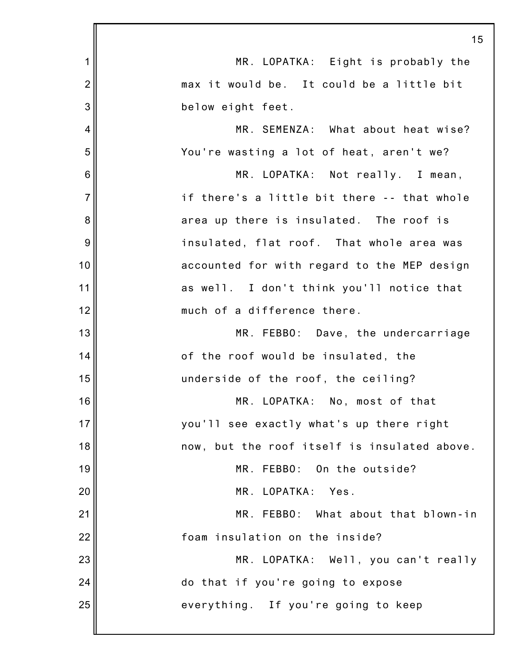|                | 15                                           |
|----------------|----------------------------------------------|
| $\mathbf 1$    | MR. LOPATKA: Eight is probably the           |
| $\overline{2}$ | max it would be. It could be a little bit    |
| 3              | below eight feet.                            |
| $\overline{4}$ | MR. SEMENZA: What about heat wise?           |
| 5              | You're wasting a lot of heat, aren't we?     |
| 6              | MR. LOPATKA: Not really. I mean,             |
| $\overline{7}$ | if there's a little bit there -- that whole  |
| 8              | area up there is insulated. The roof is      |
| 9              | insulated, flat roof. That whole area was    |
| 10             | accounted for with regard to the MEP design  |
| 11             | as well. I don't think you'll notice that    |
| 12             | much of a difference there.                  |
| 13             | MR. FEBBO: Dave, the undercarriage           |
| 14             | of the roof would be insulated, the          |
| 15             | underside of the roof, the ceiling?          |
| 16             | MR. LOPATKA: No, most of that                |
| 17             | you'll see exactly what's up there right     |
| 18             | now, but the roof itself is insulated above. |
| 19             | MR. FEBBO: On the outside?                   |
| 20             | MR. LOPATKA: Yes.                            |
| 21             | What about that blown-in<br>MR. FEBBO:       |
| 22             | foam insulation on the inside?               |
| 23             | MR. LOPATKA: Well, you can't really          |
| 24             | do that if you're going to expose            |
| 25             | everything. If you're going to keep          |
|                |                                              |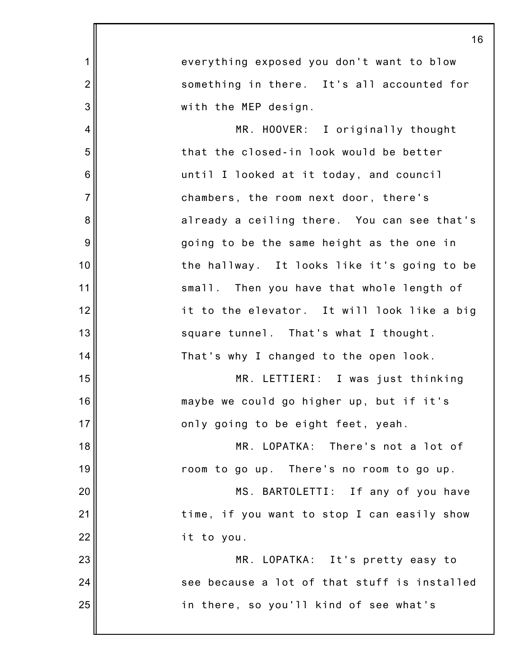|                 | 16                                           |
|-----------------|----------------------------------------------|
| 1               | everything exposed you don't want to blow    |
| $\overline{2}$  | something in there. It's all accounted for   |
| 3               | with the MEP design.                         |
| 4               | MR. HOOVER: I originally thought             |
| 5               | that the closed-in look would be better      |
| $6\phantom{1}6$ | until I looked at it today, and council      |
| $\overline{7}$  | chambers, the room next door, there's        |
| 8               | already a ceiling there. You can see that's  |
| 9               | going to be the same height as the one in    |
| 10              | the hallway. It looks like it's going to be  |
| 11              | small. Then you have that whole length of    |
| 12              | it to the elevator. It will look like a big  |
| 13              | square tunnel. That's what I thought.        |
| 14              | That's why I changed to the open look.       |
| 15              | MR. LETTIERI: I was just thinking            |
| 16              | maybe we could go higher up, but if it's     |
| 17              | only going to be eight feet, yeah.           |
| 18              | MR. LOPATKA: There's not a lot of            |
| 19              | room to go up. There's no room to go up.     |
| 20              | MS. BARTOLETTI: If any of you have           |
| 21              | time, if you want to stop I can easily show  |
| 22              | it to you.                                   |
| 23              | MR. LOPATKA: It's pretty easy to             |
| 24              | see because a lot of that stuff is installed |
| 25              | in there, so you'll kind of see what's       |
|                 |                                              |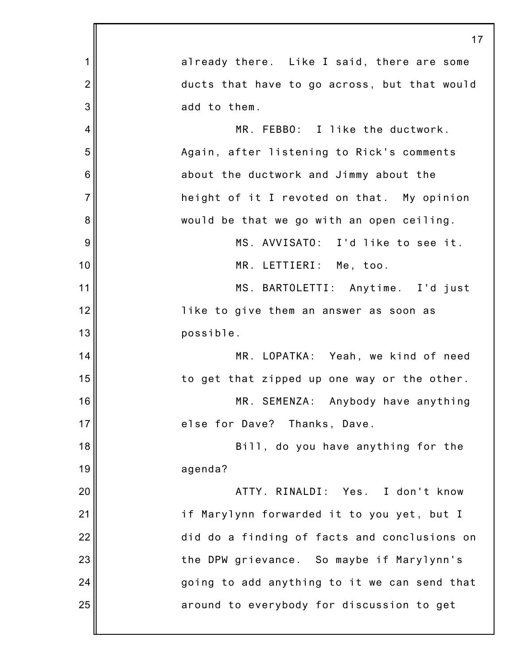|                | 17                                           |
|----------------|----------------------------------------------|
| 1              | already there. Like I said, there are some   |
| $\overline{2}$ | ducts that have to go across, but that would |
| 3              | add to them.                                 |
| 4              | MR. FEBBO: I like the ductwork.              |
| 5              | Again, after listening to Rick's comments    |
| 6              | about the ductwork and Jimmy about the       |
| $\overline{7}$ | height of it I revoted on that. My opinion   |
| 8              | would be that we go with an open ceiling.    |
| 9              | MS. AVVISATO: I'd like to see it.            |
| 10             | MR. LETTIERI: Me, too.                       |
| 11             | MS. BARTOLETTI: Anytime. I'd just            |
| 12             | like to give them an answer as soon as       |
| 13             | possible.                                    |
| 14             | MR. LOPATKA: Yeah, we kind of need           |
| 15             | to get that zipped up one way or the other.  |
| 16             | MR. SEMENZA: Anybody have anything           |
| 17             | else for Dave? Thanks, Dave.                 |
| 18             | Bill, do you have anything for the           |
| 19             | agenda?                                      |
| 20             | ATTY. RINALDI: Yes. I don't know             |
| 21             | if Marylynn forwarded it to you yet, but I   |
| 22             | did do a finding of facts and conclusions on |
| 23             | the DPW grievance. So maybe if Marylynn's    |
| 24             | going to add anything to it we can send that |
| 25             | around to everybody for discussion to get    |
|                |                                              |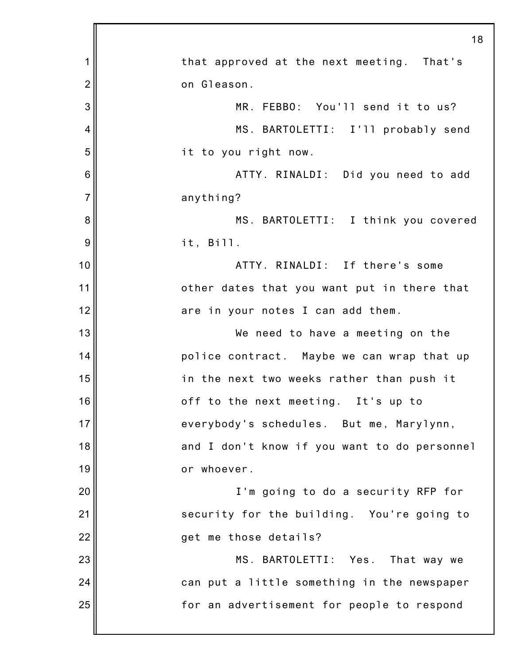|                | 18                                           |
|----------------|----------------------------------------------|
| 1              | that approved at the next meeting. That's    |
| $\overline{2}$ | on Gleason.                                  |
| 3              | MR. FEBBO: You'll send it to us?             |
| 4              | MS. BARTOLETTI: I'll probably send           |
| 5              | it to you right now.                         |
| 6              | ATTY. RINALDI: Did you need to add           |
| $\overline{7}$ | anything?                                    |
| 8              | MS. BARTOLETTI: I think you covered          |
| 9              | it, Bi11.                                    |
| 10             | ATTY. RINALDI: If there's some               |
| 11             | other dates that you want put in there that  |
| 12             | are in your notes I can add them.            |
| 13             | We need to have a meeting on the             |
| 14             | police contract. Maybe we can wrap that up   |
| 15             | in the next two weeks rather than push it    |
| 16             | off to the next meeting. It's up to          |
| 17             | everybody's schedules. But me, Marylynn,     |
| 18             | and I don't know if you want to do personnel |
| 19             | or whoever.                                  |
| 20             | I'm going to do a security RFP for           |
| 21             | security for the building. You're going to   |
| 22             | get me those details?                        |
| 23             | MS. BARTOLETTI: Yes. That way we             |
| 24             | can put a little something in the newspaper  |
| 25             | for an advertisement for people to respond   |
|                |                                              |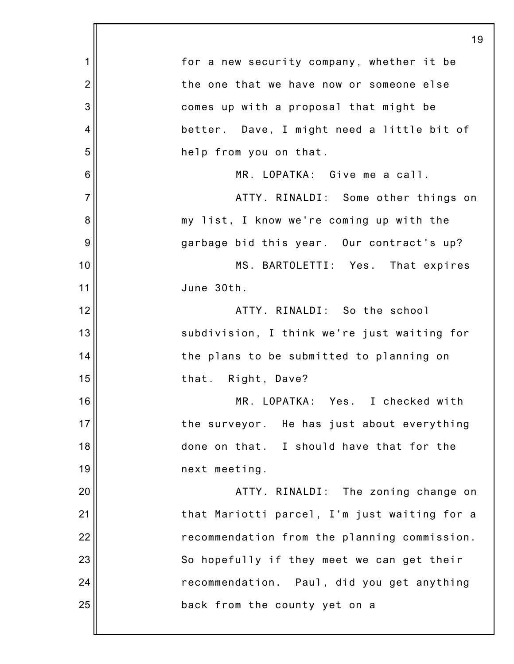|                | 19                                           |
|----------------|----------------------------------------------|
| 1              | for a new security company, whether it be    |
| $\overline{2}$ | the one that we have now or someone else     |
| 3              | comes up with a proposal that might be       |
| 4              | better. Dave, I might need a little bit of   |
| 5              | help from you on that.                       |
| 6              | MR. LOPATKA: Give me a call.                 |
| $\overline{7}$ | ATTY. RINALDI: Some other things on          |
| 8              | my list, I know we're coming up with the     |
| 9              | garbage bid this year. Our contract's up?    |
| 10             | MS. BARTOLETTI: Yes. That expires            |
| 11             | June 30th.                                   |
| 12             | ATTY. RINALDI: So the school                 |
| 13             | subdivision, I think we're just waiting for  |
| 14             | the plans to be submitted to planning on     |
| 15             | that. Right, Dave?                           |
| 16             | MR. LOPATKA: Yes. I checked with             |
| 17             | the surveyor. He has just about everything   |
| 18             | done on that. I should have that for the     |
| 19             | next meeting.                                |
| 20             | ATTY. RINALDI: The zoning change on          |
| 21             | that Mariotti parcel, I'm just waiting for a |
| 22             | recommendation from the planning commission. |
| 23             | So hopefully if they meet we can get their   |
| 24             | recommendation. Paul, did you get anything   |
| 25             | back from the county yet on a                |
|                |                                              |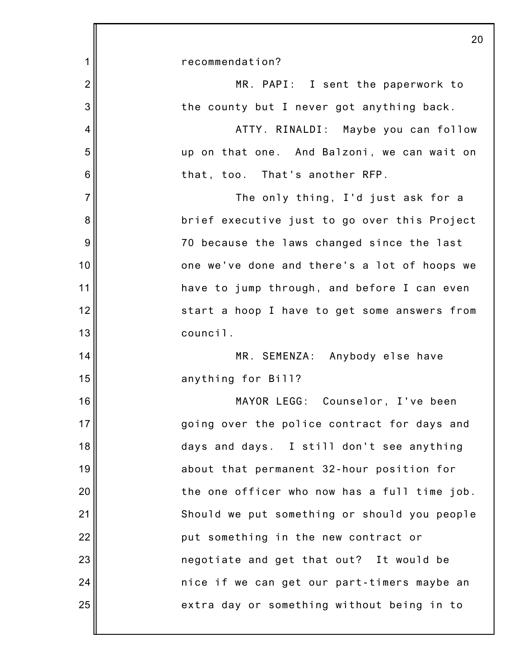|                | 20                                           |
|----------------|----------------------------------------------|
| 1              | recommendation?                              |
| $\overline{2}$ | MR. PAPI: I sent the paperwork to            |
| 3              | the county but I never got anything back.    |
| 4              | ATTY. RINALDI: Maybe you can follow          |
| 5              | up on that one. And Balzoni, we can wait on  |
| 6              | that, too. That's another RFP.               |
| $\overline{7}$ | The only thing, I'd just ask for a           |
| 8              | brief executive just to go over this Project |
| 9              | 70 because the laws changed since the last   |
| 10             | one we've done and there's a lot of hoops we |
| 11             | have to jump through, and before I can even  |
| 12             | start a hoop I have to get some answers from |
| 13             | council.                                     |
| 14             | MR. SEMENZA: Anybody else have               |
| 15             | anything for Bill?                           |
| 16             | MAYOR LEGG: Counselor, I've been             |
| 17             | going over the police contract for days and  |
| 18             | days and days. I still don't see anything    |
| 19             | about that permanent 32-hour position for    |
| 20             | the one officer who now has a full time job. |
| 21             | Should we put something or should you people |
| 22             | put something in the new contract or         |
| 23             | negotiate and get that out? It would be      |
| 24             | nice if we can get our part-timers maybe an  |
| 25             | extra day or something without being in to   |
|                |                                              |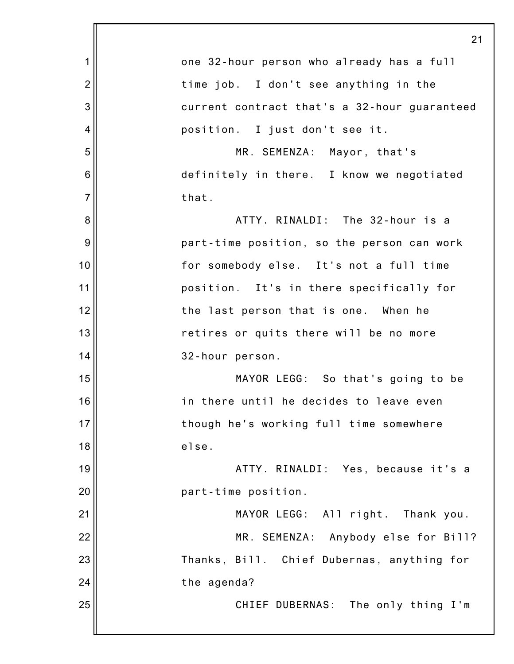|                | 21                                           |
|----------------|----------------------------------------------|
| 1              | one 32-hour person who already has a full    |
| $\overline{2}$ | time job. I don't see anything in the        |
| 3              | current contract that's a 32-hour guaranteed |
| 4              | position. I just don't see it.               |
| 5              | MR. SEMENZA: Mayor, that's                   |
| 6              | definitely in there. I know we negotiated    |
| $\overline{7}$ | that.                                        |
| 8              | ATTY. RINALDI: The 32-hour is a              |
| 9              | part-time position, so the person can work   |
| 10             | for somebody else. It's not a full time      |
| 11             | position. It's in there specifically for     |
| 12             | the last person that is one. When he         |
| 13             | retires or quits there will be no more       |
| 14             | 32-hour person.                              |
| 15             | MAYOR LEGG: So that's going to be            |
| 16             | in there until he decides to leave even      |
| 17             | though he's working full time somewhere      |
| 18             | else.                                        |
| 19             | ATTY. RINALDI: Yes, because it's a           |
| 20             | part-time position.                          |
| 21             | MAYOR LEGG: All right. Thank you.            |
| 22             | MR. SEMENZA: Anybody else for Bill?          |
| 23             | Thanks, Bill. Chief Dubernas, anything for   |
| 24             | the agenda?                                  |
| 25             | CHIEF DUBERNAS: The only thing I'm           |
|                |                                              |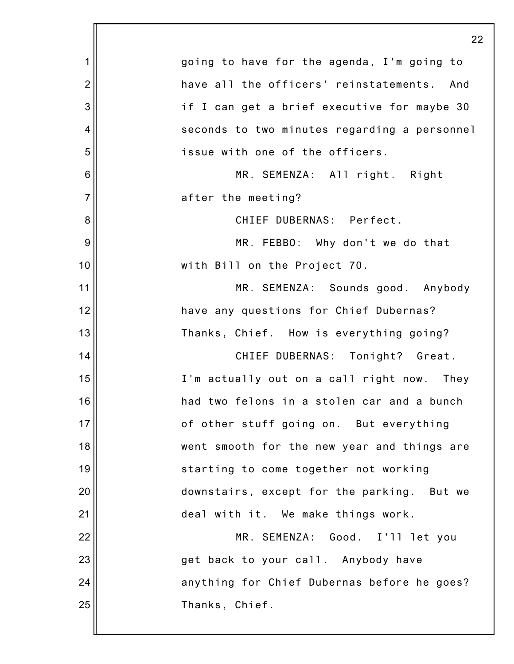|                 | 22                                           |
|-----------------|----------------------------------------------|
| 1               | going to have for the agenda, I'm going to   |
| $\overline{2}$  | have all the officers' reinstatements. And   |
| 3               | if I can get a brief executive for maybe 30  |
| 4               | seconds to two minutes regarding a personnel |
| 5               | issue with one of the officers.              |
| $6\phantom{1}6$ | MR. SEMENZA: All right. Right                |
| $\overline{7}$  | after the meeting?                           |
| 8               | CHIEF DUBERNAS: Perfect.                     |
| 9               | MR. FEBBO: Why don't we do that              |
| 10              | with Bill on the Project 70.                 |
| 11              | MR. SEMENZA: Sounds good. Anybody            |
| 12              | have any questions for Chief Dubernas?       |
| 13              | Thanks, Chief. How is everything going?      |
| 14              | CHIEF DUBERNAS: Tonight? Great.              |
| 15              | I'm actually out on a call right now. They   |
| 16              | had two felons in a stolen car and a bunch   |
| 17              | of other stuff going on. But everything      |
| 18              | went smooth for the new year and things are  |
| 19              | starting to come together not working        |
| 20              | downstairs, except for the parking. But we   |
| 21              | deal with it. We make things work.           |
| 22              | MR. SEMENZA: Good. I'll let you              |
| 23              | get back to your call. Anybody have          |
| 24              | anything for Chief Dubernas before he goes?  |
| 25              | Thanks, Chief.                               |
|                 |                                              |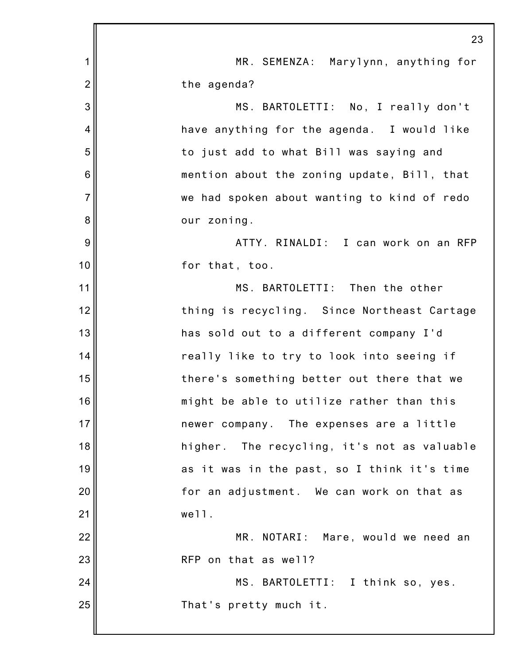|                | 23                                          |
|----------------|---------------------------------------------|
| 1              | MR. SEMENZA: Marylynn, anything for         |
| $\overline{2}$ | the agenda?                                 |
| 3              | MS. BARTOLETTI: No, I really don't          |
| 4              | have anything for the agenda. I would like  |
| 5              | to just add to what Bill was saying and     |
| 6              | mention about the zoning update, Bill, that |
| $\overline{7}$ | we had spoken about wanting to kind of redo |
| 8              | our zoning.                                 |
| 9              | ATTY. RINALDI: I can work on an RFP         |
| 10             | for that, too.                              |
| 11             | MS. BARTOLETTI: Then the other              |
| 12             | thing is recycling. Since Northeast Cartage |
| 13             | has sold out to a different company I'd     |
| 14             | really like to try to look into seeing if   |
| 15             | there's something better out there that we  |
| 16             | might be able to utilize rather than this   |
| 17             | newer company. The expenses are a little    |
| 18             | higher. The recycling, it's not as valuable |
| 19             | as it was in the past, so I think it's time |
| 20             | for an adjustment. We can work on that as   |
| 21             | well.                                       |
| 22             | MR. NOTARI: Mare, would we need an          |
| 23             | RFP on that as well?                        |
| 24             | MS. BARTOLETTI: I think so, yes.            |
| 25             | That's pretty much it.                      |
|                |                                             |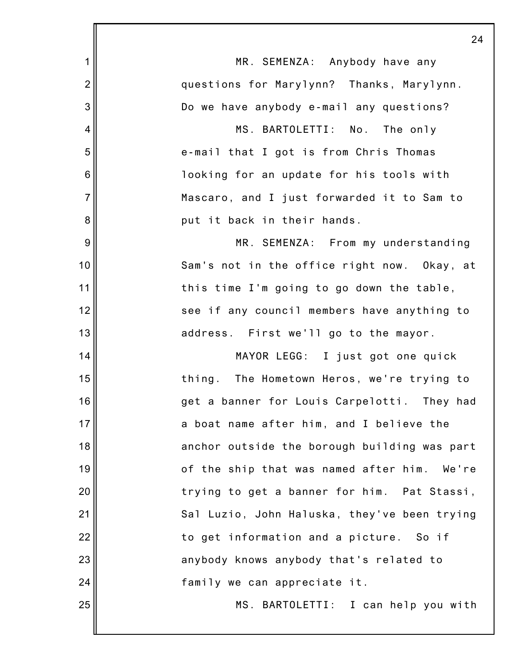|                | 24                                           |
|----------------|----------------------------------------------|
| 1              | MR. SEMENZA: Anybody have any                |
| $\overline{2}$ | questions for Marylynn? Thanks, Marylynn.    |
| 3              | Do we have anybody e-mail any questions?     |
| 4              | MS. BARTOLETTI: No. The only                 |
| 5              | e-mail that I got is from Chris Thomas       |
| 6              | looking for an update for his tools with     |
| $\overline{7}$ | Mascaro, and I just forwarded it to Sam to   |
| 8              | put it back in their hands.                  |
| 9              | MR. SEMENZA: From my understanding           |
| 10             | Sam's not in the office right now. Okay, at  |
| 11             | this time I'm going to go down the table,    |
| 12             | see if any council members have anything to  |
| 13             | address. First we'll go to the mayor.        |
| 14             | MAYOR LEGG: I just got one quick             |
| 15             | thing. The Hometown Heros, we're trying to   |
| 16             | get a banner for Louis Carpelotti. They had  |
| 17             | a boat name after him, and I believe the     |
| 18             | anchor outside the borough building was part |
| 19             | of the ship that was named after him. We're  |
| 20             | trying to get a banner for him. Pat Stassi,  |
| 21             | Sal Luzio, John Haluska, they've been trying |
| 22             | to get information and a picture. So if      |
| 23             | anybody knows anybody that's related to      |
| 24             | family we can appreciate it.                 |
| 25             | MS. BARTOLETTI: I can help you with          |
|                |                                              |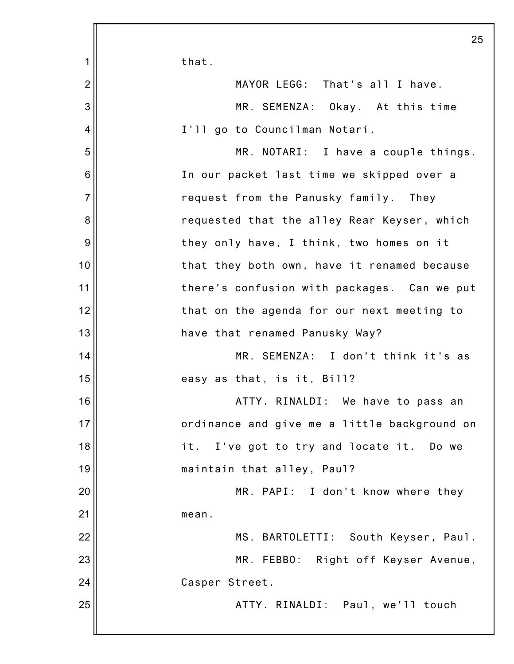|                | 25                                           |
|----------------|----------------------------------------------|
| 1              | that.                                        |
| $\overline{2}$ | MAYOR LEGG: That's all I have.               |
| $\mathbf{3}$   | MR. SEMENZA: Okay. At this time              |
| $\overline{4}$ | I'll go to Councilman Notari.                |
| 5              | MR. NOTARI: I have a couple things.          |
| $6\,$          | In our packet last time we skipped over a    |
| $\overline{7}$ | request from the Panusky family. They        |
| 8              | requested that the alley Rear Keyser, which  |
| 9              | they only have, I think, two homes on it     |
| 10             | that they both own, have it renamed because  |
| 11             | there's confusion with packages. Can we put  |
| 12             | that on the agenda for our next meeting to   |
| 13             | have that renamed Panusky Way?               |
| 14             | MR. SEMENZA: I don't think it's as           |
| 15             | easy as that, is it, Bill?                   |
| 16             | ATTY. RINALDI: We have to pass an            |
| 17             | ordinance and give me a little background on |
| 18             | it. I've got to try and locate it. Do we     |
| 19             | maintain that alley, Paul?                   |
| 20             | MR. PAPI: I don't know where they            |
| 21             | mean.                                        |
| 22             | MS. BARTOLETTI: South Keyser, Paul.          |
| 23             | MR. FEBBO: Right off Keyser Avenue,          |
| 24             | Casper Street.                               |
| 25             | ATTY. RINALDI: Paul, we'll touch             |
|                |                                              |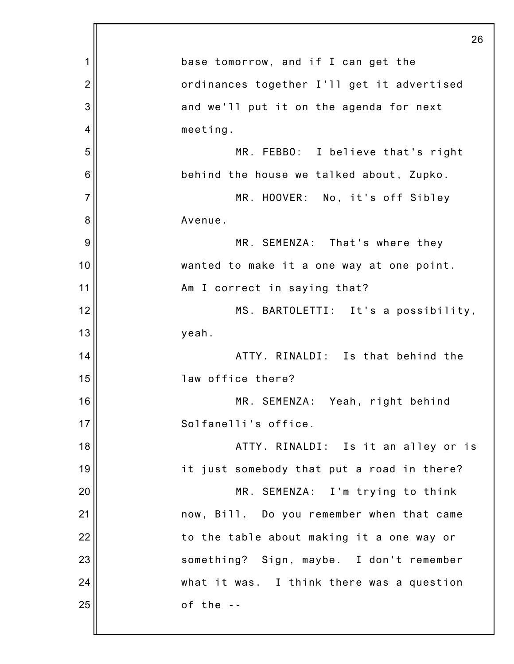|                | 26                                         |
|----------------|--------------------------------------------|
| 1              | base tomorrow, and if I can get the        |
| $\overline{2}$ | ordinances together I'll get it advertised |
| 3              | and we'll put it on the agenda for next    |
| 4              | meeting.                                   |
| 5              | MR. FEBBO: I believe that's right          |
| 6              | behind the house we talked about, Zupko.   |
| $\overline{7}$ | MR. HOOVER: No, it's off Sibley            |
| 8              | Avenue.                                    |
| 9              | MR. SEMENZA: That's where they             |
| 10             | wanted to make it a one way at one point.  |
| 11             | Am I correct in saying that?               |
| 12             | MS. BARTOLETTI: It's a possibility,        |
| 13             | yeah.                                      |
| 14             | ATTY. RINALDI: Is that behind the          |
| 15             | law office there?                          |
| 16             | MR. SEMENZA: Yeah, right behind            |
| 17             | Solfanelli's office.                       |
| 18             | ATTY. RINALDI: Is it an alley or is        |
| 19             | it just somebody that put a road in there? |
| 20             | MR. SEMENZA: I'm trying to think           |
| 21             | now, Bill. Do you remember when that came  |
| 22             | to the table about making it a one way or  |
| 23             | something? Sign, maybe. I don't remember   |
| 24             | what it was. I think there was a question  |
| 25             | of the $-$                                 |
|                |                                            |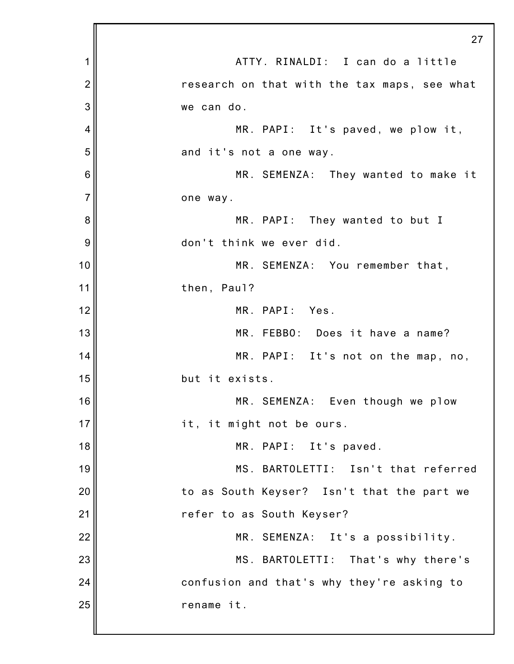|                | 27                                           |
|----------------|----------------------------------------------|
| 1              | ATTY. RINALDI: I can do a little             |
| $\overline{2}$ | research on that with the tax maps, see what |
| 3              | we can do.                                   |
| 4              | MR. PAPI: It's paved, we plow it,            |
| 5              | and it's not a one way.                      |
| 6              | MR. SEMENZA: They wanted to make it          |
| $\overline{7}$ | one way.                                     |
| 8              | MR. PAPI: They wanted to but I               |
| 9              | don't think we ever did.                     |
| 10             | MR. SEMENZA: You remember that,              |
| 11             | then, Paul?                                  |
| 12             | MR. PAPI: Yes.                               |
| 13             | MR. FEBBO: Does it have a name?              |
| 14             | MR. PAPI: It's not on the map, no,           |
| 15             | but it exists.                               |
| 16             | MR. SEMENZA: Even though we plow             |
| 17             | it, it might not be ours.                    |
| 18             | MR. PAPI: It's paved.                        |
| 19             | MS. BARTOLETTI: Isn't that referred          |
| 20             | to as South Keyser? Isn't that the part we   |
| 21             | refer to as South Keyser?                    |
| 22             | MR. SEMENZA: It's a possibility.             |
| 23             | MS. BARTOLETTI: That's why there's           |
| 24             | confusion and that's why they're asking to   |
| 25             | rename it.                                   |
|                |                                              |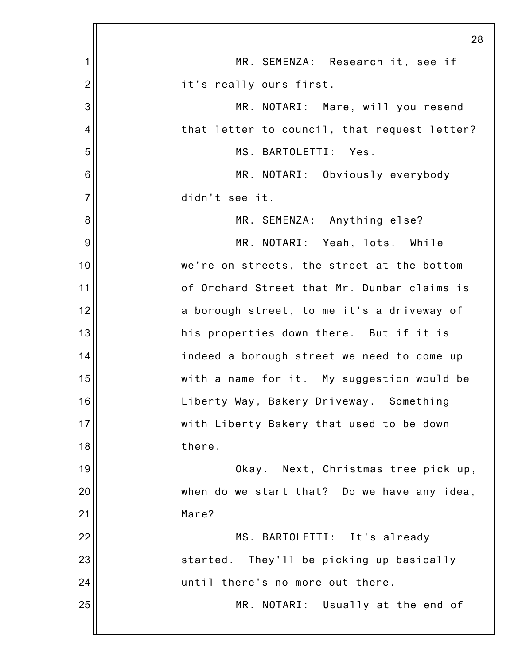|                 | 28                                           |
|-----------------|----------------------------------------------|
| 1               | MR. SEMENZA: Research it, see if             |
| $\overline{2}$  | it's really ours first.                      |
| 3               | MR. NOTARI: Mare, will you resend            |
| 4               | that letter to council, that request letter? |
| 5               | MS. BARTOLETTI: Yes.                         |
| $6\phantom{1}6$ | MR. NOTARI: Obviously everybody              |
| $\overline{7}$  | didn't see it.                               |
| 8               | MR. SEMENZA: Anything else?                  |
| 9               | MR. NOTARI: Yeah, lots. While                |
| 10              | we're on streets, the street at the bottom   |
| 11              | of Orchard Street that Mr. Dunbar claims is  |
| 12              | a borough street, to me it's a driveway of   |
| 13              | his properties down there. But if it is      |
| 14              | indeed a borough street we need to come up   |
| 15              | with a name for it. My suggestion would be   |
| 16              | Liberty Way, Bakery Driveway. Something      |
| 17              | with Liberty Bakery that used to be down     |
| 18              | there.                                       |
| 19              | Next, Christmas tree pick up,<br>Okay.       |
| 20              | when do we start that? Do we have any idea,  |
| 21              | Mare?                                        |
| 22              | MS. BARTOLETTI: It's already                 |
| 23              | started. They'll be picking up basically     |
| 24              | until there's no more out there.             |
| 25              | MR. NOTARI: Usually at the end of            |
|                 |                                              |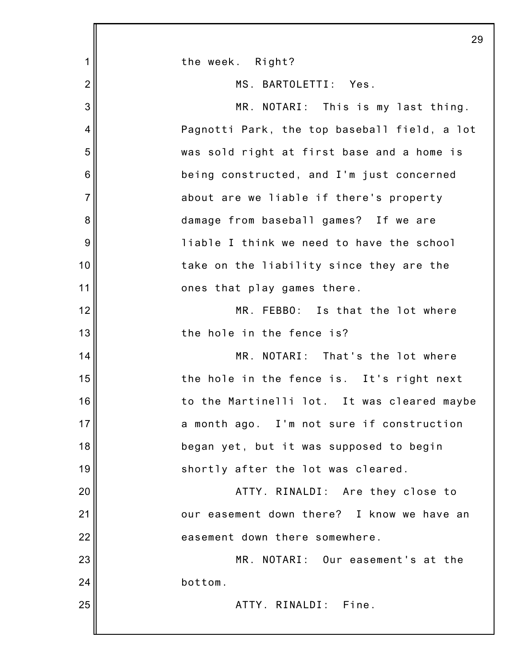|                | 29                                           |
|----------------|----------------------------------------------|
| 1              | the week. Right?                             |
| $\overline{2}$ | MS. BARTOLETTI: Yes.                         |
| 3              | MR. NOTARI: This is my last thing.           |
| 4              | Pagnotti Park, the top baseball field, a lot |
| 5              | was sold right at first base and a home is   |
| $6\,$          | being constructed, and I'm just concerned    |
| $\overline{7}$ | about are we liable if there's property      |
| 8              | damage from baseball games? If we are        |
| 9              | liable I think we need to have the school    |
| 10             | take on the liability since they are the     |
| 11             | ones that play games there.                  |
| 12             | MR. FEBBO: Is that the lot where             |
| 13             | the hole in the fence is?                    |
| 14             | MR. NOTARI: That's the lot where             |
| 15             | the hole in the fence is. It's right next    |
| 16             | to the Martinelli lot. It was cleared maybe  |
| 17             | a month ago. I'm not sure if construction    |
| 18             | began yet, but it was supposed to begin      |
| 19             | shortly after the lot was cleared.           |
| 20             | ATTY. RINALDI: Are they close to             |
| 21             | our easement down there? I know we have an   |
| 22             | easement down there somewhere.               |
| 23             | MR. NOTARI: Our easement's at the            |
| 24             | bottom.                                      |
| 25             | ATTY. RINALDI: Fine.                         |
|                |                                              |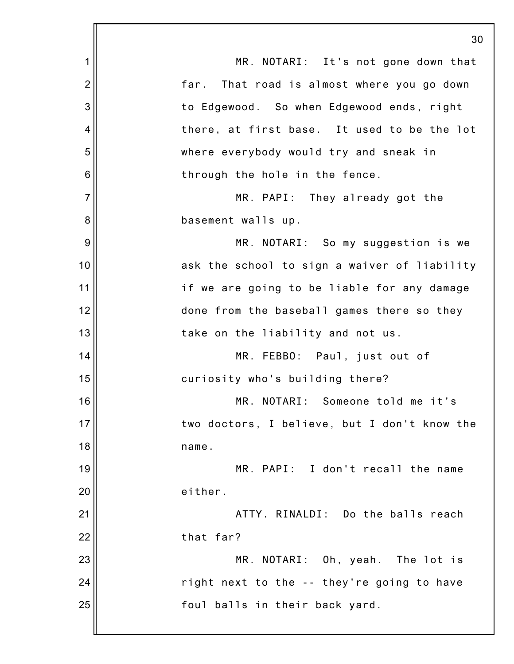|                 | 30                                           |
|-----------------|----------------------------------------------|
| 1               | MR. NOTARI: It's not gone down that          |
| $\overline{2}$  | far. That road is almost where you go down   |
| 3               | to Edgewood. So when Edgewood ends, right    |
| 4               | there, at first base. It used to be the lot  |
| 5               | where everybody would try and sneak in       |
| $6\phantom{1}6$ | through the hole in the fence.               |
| $\overline{7}$  | MR. PAPI: They already got the               |
| 8               | basement walls up.                           |
| 9               | MR. NOTARI: So my suggestion is we           |
| 10              | ask the school to sign a waiver of liability |
| 11              | if we are going to be liable for any damage  |
| 12              | done from the baseball games there so they   |
| 13              | take on the liability and not us.            |
| 14              | MR. FEBBO: Paul, just out of                 |
| 15              | curiosity who's building there?              |
| 16              | MR. NOTARI: Someone told me it's             |
| 17              | two doctors, I believe, but I don't know the |
| 18              | name.                                        |
| 19              | MR. PAPI: I don't recall the name            |
| 20              | either.                                      |
| 21              | ATTY. RINALDI: Do the balls reach            |
| 22              | that far?                                    |
| 23              | MR. NOTARI: Oh, yeah. The lot is             |
| 24              | right next to the -- they're going to have   |
| 25              | foul balls in their back yard.               |
|                 |                                              |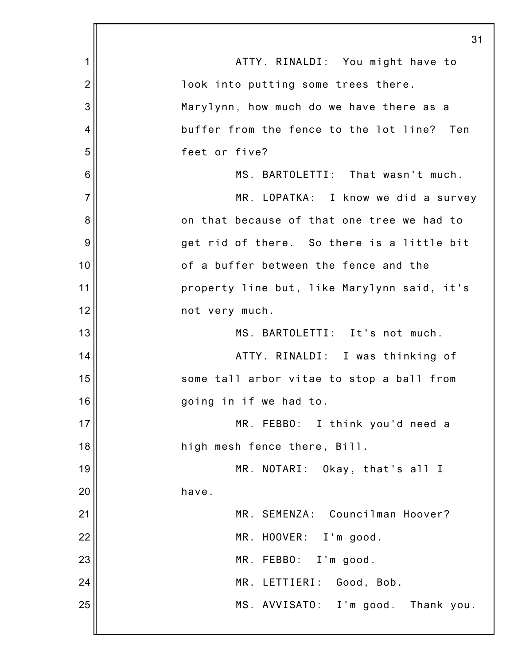|                | 31                                          |
|----------------|---------------------------------------------|
| 1              | ATTY. RINALDI: You might have to            |
| $\overline{2}$ | look into putting some trees there.         |
| 3              | Marylynn, how much do we have there as a    |
| 4              | buffer from the fence to the lot line? Ten  |
| 5              | feet or five?                               |
| 6              | MS. BARTOLETTI: That wasn't much.           |
| $\overline{7}$ | MR. LOPATKA: I know we did a survey         |
| 8              | on that because of that one tree we had to  |
| 9              | get rid of there. So there is a little bit  |
| 10             | of a buffer between the fence and the       |
| 11             | property line but, like Marylynn said, it's |
| 12             | not very much.                              |
| 13             | MS. BARTOLETTI: It's not much.              |
| 14             | ATTY. RINALDI: I was thinking of            |
| 15             | some tall arbor vitae to stop a ball from   |
| 16             | going in if we had to.                      |
| 17             | MR. FEBBO: I think you'd need a             |
| 18             | high mesh fence there, Bill.                |
| 19             | MR. NOTARI: Okay, that's all I              |
| 20             | have.                                       |
| 21             | MR. SEMENZA: Councilman Hoover?             |
| 22             | MR. HOOVER: I'm good.                       |
| 23             | MR. FEBBO: I'm good.                        |
| 24             | MR. LETTIERI:<br>Good, Bob.                 |
| 25             | MS. AVVISATO: I'm good. Thank you.          |
|                |                                             |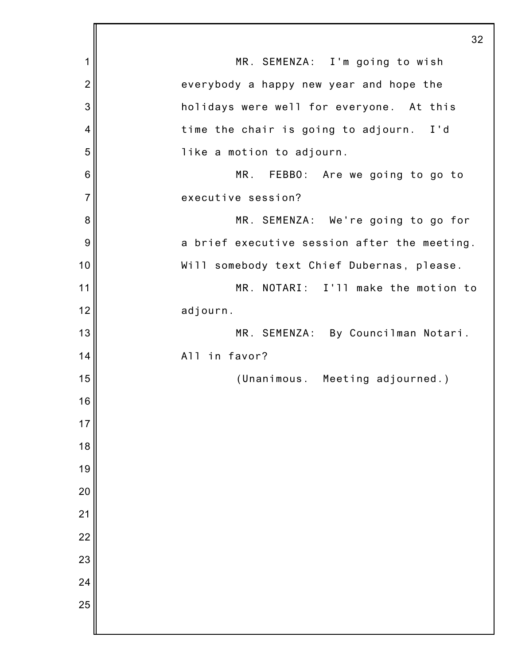|                | 32                                           |
|----------------|----------------------------------------------|
| 1              | MR. SEMENZA: I'm going to wish               |
| $\overline{2}$ | everybody a happy new year and hope the      |
| 3              | holidays were well for everyone. At this     |
| 4              | time the chair is going to adjourn. I'd      |
| 5              | like a motion to adjourn.                    |
| 6              | MR. FEBBO: Are we going to go to             |
| $\overline{7}$ | executive session?                           |
| 8              | MR. SEMENZA: We're going to go for           |
| 9              | a brief executive session after the meeting. |
| 10             | Will somebody text Chief Dubernas, please.   |
| 11             | MR. NOTARI: I'll make the motion to          |
| 12             | adjourn.                                     |
| 13             | MR. SEMENZA: By Councilman Notari.           |
| 14             | All in favor?                                |
| 15             | (Unanimous. Meeting adjourned.)              |
| 16             |                                              |
| 17             |                                              |
| 18             |                                              |
| 19             |                                              |
| 20             |                                              |
| 21             |                                              |
| 22             |                                              |
| 23             |                                              |
| 24             |                                              |
| 25             |                                              |
|                |                                              |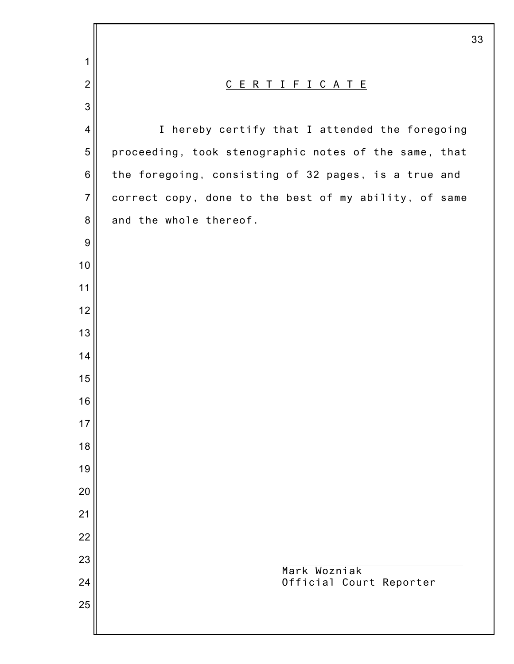|                  | 33                                                    |
|------------------|-------------------------------------------------------|
| 1                |                                                       |
| $\overline{2}$   | <u>CERTIFICATE</u>                                    |
| 3                |                                                       |
| $\overline{4}$   | I hereby certify that I attended the foregoing        |
| 5                | proceeding, took stenographic notes of the same, that |
| $\,$ 6 $\,$      | the foregoing, consisting of 32 pages, is a true and  |
| $\overline{7}$   | correct copy, done to the best of my ability, of same |
| $\bf 8$          | and the whole thereof.                                |
| $\boldsymbol{9}$ |                                                       |
| 10               |                                                       |
| 11               |                                                       |
| 12               |                                                       |
| 13               |                                                       |
| 14               |                                                       |
| 15               |                                                       |
| 16               |                                                       |
| 17               |                                                       |
| 18               |                                                       |
| 19               |                                                       |
| 20               |                                                       |
| 21               |                                                       |
| 22               |                                                       |
| 23               | Mark Wozniak                                          |
| 24               | Official Court Reporter                               |
| 25               |                                                       |
|                  |                                                       |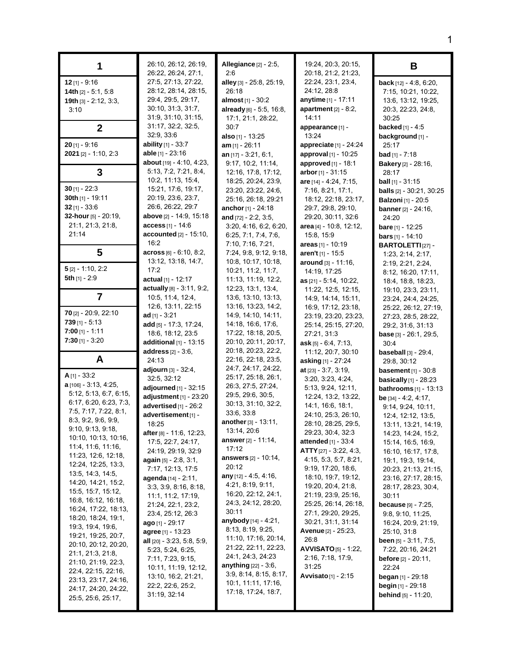| 1                                                                                                                                                                                                                                                                                                                                                                                                                                                                                                                                                                                                                     | 26:10, 26:12, 26:19,<br>26:22, 26:24, 27:1,                                                                                                                                                                                                                                                                                                                                                                                                                                                                                                                                                                     | <b>Allegiance</b> [2] - 2:5,<br>2:6                                                                                                                                                                                                                                                                                                                                                                                                                                                                                                                                      | 19:24, 20:3, 20:15,<br>20:18, 21:2, 21:23,                                                                                                                                                                                                                                                                                                                                                                                                                                                                                                                        | В                                                                                                                                                                                                                                                                                                                                                                                                                                                                                                                                                                                                                                                      |
|-----------------------------------------------------------------------------------------------------------------------------------------------------------------------------------------------------------------------------------------------------------------------------------------------------------------------------------------------------------------------------------------------------------------------------------------------------------------------------------------------------------------------------------------------------------------------------------------------------------------------|-----------------------------------------------------------------------------------------------------------------------------------------------------------------------------------------------------------------------------------------------------------------------------------------------------------------------------------------------------------------------------------------------------------------------------------------------------------------------------------------------------------------------------------------------------------------------------------------------------------------|--------------------------------------------------------------------------------------------------------------------------------------------------------------------------------------------------------------------------------------------------------------------------------------------------------------------------------------------------------------------------------------------------------------------------------------------------------------------------------------------------------------------------------------------------------------------------|-------------------------------------------------------------------------------------------------------------------------------------------------------------------------------------------------------------------------------------------------------------------------------------------------------------------------------------------------------------------------------------------------------------------------------------------------------------------------------------------------------------------------------------------------------------------|--------------------------------------------------------------------------------------------------------------------------------------------------------------------------------------------------------------------------------------------------------------------------------------------------------------------------------------------------------------------------------------------------------------------------------------------------------------------------------------------------------------------------------------------------------------------------------------------------------------------------------------------------------|
| $12$ [1] - 9:16<br>14th [2] - 5:1, 5:8<br>19th $[3] - 2:12, 3:3,$<br>3:10                                                                                                                                                                                                                                                                                                                                                                                                                                                                                                                                             | 27:5, 27:13, 27:22,<br>28:12, 28:14, 28:15,<br>29:4, 29:5, 29:17,<br>30.10, 31:3, 31:7,<br>31.9, 31.10, 31.15,                                                                                                                                                                                                                                                                                                                                                                                                                                                                                                  | alley [3] - 25:8, 25:19,<br>26:18<br>almost [1] - 30:2<br>already [6] - 5:5, 16:8,<br>17:1, 21:1, 28:22,                                                                                                                                                                                                                                                                                                                                                                                                                                                                 | 22:24, 23:1, 23:4,<br>24:12, 28:8<br>anytime [1] - 17:11<br>apartment $[2] - 8:2$ ,<br>14:11                                                                                                                                                                                                                                                                                                                                                                                                                                                                      | <b>back</b> $[12] - 4.8, 6.20,$<br>7:15, 10:21, 10:22,<br>13:6, 13:12, 19:25,<br>20:3, 22:23, 24:8,<br>30:25                                                                                                                                                                                                                                                                                                                                                                                                                                                                                                                                           |
| $\mathbf{2}$                                                                                                                                                                                                                                                                                                                                                                                                                                                                                                                                                                                                          | 31:17, 32:2, 32:5,                                                                                                                                                                                                                                                                                                                                                                                                                                                                                                                                                                                              | 30:7                                                                                                                                                                                                                                                                                                                                                                                                                                                                                                                                                                     | appearance [1] -                                                                                                                                                                                                                                                                                                                                                                                                                                                                                                                                                  | <b>backed</b> $[1] - 4:5$                                                                                                                                                                                                                                                                                                                                                                                                                                                                                                                                                                                                                              |
|                                                                                                                                                                                                                                                                                                                                                                                                                                                                                                                                                                                                                       | 32:9, 33:6                                                                                                                                                                                                                                                                                                                                                                                                                                                                                                                                                                                                      | also $[1]$ - 13:25                                                                                                                                                                                                                                                                                                                                                                                                                                                                                                                                                       | 13:24                                                                                                                                                                                                                                                                                                                                                                                                                                                                                                                                                             | background [1] -                                                                                                                                                                                                                                                                                                                                                                                                                                                                                                                                                                                                                                       |
| $20$ [1] - 9:16<br>$2021$ [2] - 1:10, 2:3                                                                                                                                                                                                                                                                                                                                                                                                                                                                                                                                                                             | <b>ability</b> $[1] - 33:7$<br><b>able</b> [1] - 23:16<br><b>about</b> $[19] - 4.10, 4.23,$                                                                                                                                                                                                                                                                                                                                                                                                                                                                                                                     | $am_{[1]} - 26:11$<br>an $[17] - 3:21, 6:1,$<br>9:17, 10:2, 11:14,                                                                                                                                                                                                                                                                                                                                                                                                                                                                                                       | appreciate [1] - 24:24<br>approval $[1]$ - 10:25<br><b>approved</b> $[1]$ - 18:1                                                                                                                                                                                                                                                                                                                                                                                                                                                                                  | 25:17<br><b>bad</b> [1] - 7:18<br><b>Bakery</b> [2] - 28:16,                                                                                                                                                                                                                                                                                                                                                                                                                                                                                                                                                                                           |
| 3                                                                                                                                                                                                                                                                                                                                                                                                                                                                                                                                                                                                                     | 5.13, 7:2, 7:21, 8:4,                                                                                                                                                                                                                                                                                                                                                                                                                                                                                                                                                                                           | 12:16, 17:8, 17:12,                                                                                                                                                                                                                                                                                                                                                                                                                                                                                                                                                      | arbor $[1] - 31:15$                                                                                                                                                                                                                                                                                                                                                                                                                                                                                                                                               | 28:17                                                                                                                                                                                                                                                                                                                                                                                                                                                                                                                                                                                                                                                  |
|                                                                                                                                                                                                                                                                                                                                                                                                                                                                                                                                                                                                                       | 10:2, 11:13, 15:4,                                                                                                                                                                                                                                                                                                                                                                                                                                                                                                                                                                                              | 18:25, 20:24, 23:9,                                                                                                                                                                                                                                                                                                                                                                                                                                                                                                                                                      | are [14] - 4:24, 7:15,                                                                                                                                                                                                                                                                                                                                                                                                                                                                                                                                            | <b>ball</b> $[1]$ - 31:15                                                                                                                                                                                                                                                                                                                                                                                                                                                                                                                                                                                                                              |
| 30 $[1] - 22:3$                                                                                                                                                                                                                                                                                                                                                                                                                                                                                                                                                                                                       | 15:21, 17:6, 19:17,                                                                                                                                                                                                                                                                                                                                                                                                                                                                                                                                                                                             | 23:20, 23:22, 24:6,                                                                                                                                                                                                                                                                                                                                                                                                                                                                                                                                                      | 7:16, 8:21, 17:1,                                                                                                                                                                                                                                                                                                                                                                                                                                                                                                                                                 | <b>balls</b> [2] - 30:21, 30:25                                                                                                                                                                                                                                                                                                                                                                                                                                                                                                                                                                                                                        |
| 30th $[1]$ - 19:11                                                                                                                                                                                                                                                                                                                                                                                                                                                                                                                                                                                                    | 20:19, 23:6, 23:7,                                                                                                                                                                                                                                                                                                                                                                                                                                                                                                                                                                                              | 25:16, 26:18, 29:21                                                                                                                                                                                                                                                                                                                                                                                                                                                                                                                                                      | 18:12, 22:18, 23:17,                                                                                                                                                                                                                                                                                                                                                                                                                                                                                                                                              | <b>Balzoni</b> [1] - 20:5                                                                                                                                                                                                                                                                                                                                                                                                                                                                                                                                                                                                                              |
| $32$ [1] - 33:6                                                                                                                                                                                                                                                                                                                                                                                                                                                                                                                                                                                                       | 26.6, 26.22, 29.7                                                                                                                                                                                                                                                                                                                                                                                                                                                                                                                                                                                               | anchor [1] - 24:18                                                                                                                                                                                                                                                                                                                                                                                                                                                                                                                                                       | 29:7, 29:8, 29:10,                                                                                                                                                                                                                                                                                                                                                                                                                                                                                                                                                | <b>banner</b> $[2] - 24:16$ ,                                                                                                                                                                                                                                                                                                                                                                                                                                                                                                                                                                                                                          |
| 32-hour [5] - 20:19,                                                                                                                                                                                                                                                                                                                                                                                                                                                                                                                                                                                                  | <b>above</b> [2] - 14:9, 15:18                                                                                                                                                                                                                                                                                                                                                                                                                                                                                                                                                                                  | and $[72] - 2:2, 3:5$ ,                                                                                                                                                                                                                                                                                                                                                                                                                                                                                                                                                  | 29:20, 30:11, 32:6                                                                                                                                                                                                                                                                                                                                                                                                                                                                                                                                                | 24:20                                                                                                                                                                                                                                                                                                                                                                                                                                                                                                                                                                                                                                                  |
| 21:1, 21:3, 21:8,                                                                                                                                                                                                                                                                                                                                                                                                                                                                                                                                                                                                     | access [1] - 14:6                                                                                                                                                                                                                                                                                                                                                                                                                                                                                                                                                                                               | 3:20, 4:16, 6:2, 6:20,                                                                                                                                                                                                                                                                                                                                                                                                                                                                                                                                                   | area $[4]$ - 10:8, 12:12,                                                                                                                                                                                                                                                                                                                                                                                                                                                                                                                                         | <b>bare</b> $[1]$ - 12:25                                                                                                                                                                                                                                                                                                                                                                                                                                                                                                                                                                                                                              |
| 21:14                                                                                                                                                                                                                                                                                                                                                                                                                                                                                                                                                                                                                 | accounted [2] - 15:10,                                                                                                                                                                                                                                                                                                                                                                                                                                                                                                                                                                                          | 6.25, 7.1, 7.4, 7.6,                                                                                                                                                                                                                                                                                                                                                                                                                                                                                                                                                     | 15:8, 15:9                                                                                                                                                                                                                                                                                                                                                                                                                                                                                                                                                        | <b>bars</b> $[1]$ - 14:10                                                                                                                                                                                                                                                                                                                                                                                                                                                                                                                                                                                                                              |
| 5                                                                                                                                                                                                                                                                                                                                                                                                                                                                                                                                                                                                                     | 16:2                                                                                                                                                                                                                                                                                                                                                                                                                                                                                                                                                                                                            | 7:10, 7:16, 7:21,                                                                                                                                                                                                                                                                                                                                                                                                                                                                                                                                                        | areas [1] - 10:19                                                                                                                                                                                                                                                                                                                                                                                                                                                                                                                                                 | <b>BARTOLETTI</b> [27] -                                                                                                                                                                                                                                                                                                                                                                                                                                                                                                                                                                                                                               |
|                                                                                                                                                                                                                                                                                                                                                                                                                                                                                                                                                                                                                       | $\arccos \frac{6}{16} - 6.10, 8.2,$                                                                                                                                                                                                                                                                                                                                                                                                                                                                                                                                                                             | 7:24, 9:8, 9:12, 9:18,                                                                                                                                                                                                                                                                                                                                                                                                                                                                                                                                                   | aren't [1] - 15:5                                                                                                                                                                                                                                                                                                                                                                                                                                                                                                                                                 | 1:23, 2:14, 2:17,                                                                                                                                                                                                                                                                                                                                                                                                                                                                                                                                                                                                                                      |
|                                                                                                                                                                                                                                                                                                                                                                                                                                                                                                                                                                                                                       | 13:12, 13:18, 14:7,                                                                                                                                                                                                                                                                                                                                                                                                                                                                                                                                                                                             | 10:8, 10:17, 10:18,                                                                                                                                                                                                                                                                                                                                                                                                                                                                                                                                                      | around [3] - 11:16,                                                                                                                                                                                                                                                                                                                                                                                                                                                                                                                                               | 2:19, 2:21, 2:24,                                                                                                                                                                                                                                                                                                                                                                                                                                                                                                                                                                                                                                      |
| $5$ [2] - 1:10, 2:2                                                                                                                                                                                                                                                                                                                                                                                                                                                                                                                                                                                                   | 17:2                                                                                                                                                                                                                                                                                                                                                                                                                                                                                                                                                                                                            | 10:21, 11:2, 11:7,                                                                                                                                                                                                                                                                                                                                                                                                                                                                                                                                                       | 14:19, 17:25                                                                                                                                                                                                                                                                                                                                                                                                                                                                                                                                                      | 8:12, 16:20, 17:11,                                                                                                                                                                                                                                                                                                                                                                                                                                                                                                                                                                                                                                    |
| 5th $[1]$ - 2:9                                                                                                                                                                                                                                                                                                                                                                                                                                                                                                                                                                                                       | <b>actual</b> [1] - 12:17                                                                                                                                                                                                                                                                                                                                                                                                                                                                                                                                                                                       | 11:13, 11:19, 12:2,                                                                                                                                                                                                                                                                                                                                                                                                                                                                                                                                                      | as [21] - 5:14, 10:22,                                                                                                                                                                                                                                                                                                                                                                                                                                                                                                                                            | 18:4, 18:8, 18:23,                                                                                                                                                                                                                                                                                                                                                                                                                                                                                                                                                                                                                                     |
| $\overline{\mathbf{7}}$                                                                                                                                                                                                                                                                                                                                                                                                                                                                                                                                                                                               | actually [8] - 3:11, 9:2,                                                                                                                                                                                                                                                                                                                                                                                                                                                                                                                                                                                       | 12:23, 13:1, 13:4,                                                                                                                                                                                                                                                                                                                                                                                                                                                                                                                                                       | 11:22, 12:5, 12:15,                                                                                                                                                                                                                                                                                                                                                                                                                                                                                                                                               | 19:10, 23:3, 23:11,                                                                                                                                                                                                                                                                                                                                                                                                                                                                                                                                                                                                                                    |
|                                                                                                                                                                                                                                                                                                                                                                                                                                                                                                                                                                                                                       | 10.5, 11.4, 12.4,                                                                                                                                                                                                                                                                                                                                                                                                                                                                                                                                                                                               | 13:6, 13:10, 13:13,                                                                                                                                                                                                                                                                                                                                                                                                                                                                                                                                                      | 14.9, 14.14, 15:11,                                                                                                                                                                                                                                                                                                                                                                                                                                                                                                                                               | 23.24, 24:4, 24:25,                                                                                                                                                                                                                                                                                                                                                                                                                                                                                                                                                                                                                                    |
|                                                                                                                                                                                                                                                                                                                                                                                                                                                                                                                                                                                                                       | 12:6, 13:11, 22:15                                                                                                                                                                                                                                                                                                                                                                                                                                                                                                                                                                                              | 13:16, 13:23, 14:2,                                                                                                                                                                                                                                                                                                                                                                                                                                                                                                                                                      | 16.9, 17:12, 23:18,                                                                                                                                                                                                                                                                                                                                                                                                                                                                                                                                               | 25:22, 26:12, 27:19,                                                                                                                                                                                                                                                                                                                                                                                                                                                                                                                                                                                                                                   |
| <b>70</b> $[2] - 20.9, 22.10$<br>$739$ [1] - 5:13<br>$7:00$ [1] - 1:11                                                                                                                                                                                                                                                                                                                                                                                                                                                                                                                                                | ad $[1] - 3.21$<br>add $[5] - 17:3, 17:24,$<br>18.6, 18.12, 23.5                                                                                                                                                                                                                                                                                                                                                                                                                                                                                                                                                | 14:9, 14:10, 14:11,<br>14:18, 16:6, 17:6,<br>17:22, 18:18, 20:5,                                                                                                                                                                                                                                                                                                                                                                                                                                                                                                         | 23:19, 23:20, 23:23,<br>25:14, 25:15, 27:20,<br>27:21, 31:3                                                                                                                                                                                                                                                                                                                                                                                                                                                                                                       | 27:23, 28:5, 28:22,<br>29:2, 31:6, 31:13                                                                                                                                                                                                                                                                                                                                                                                                                                                                                                                                                                                                               |
| $7:30$ [1] - 3:20                                                                                                                                                                                                                                                                                                                                                                                                                                                                                                                                                                                                     | additional $[1]$ - 13:15                                                                                                                                                                                                                                                                                                                                                                                                                                                                                                                                                                                        | 20:10, 20:11, 20:17,                                                                                                                                                                                                                                                                                                                                                                                                                                                                                                                                                     | $ask$ [5] - 6:4, 7:13,                                                                                                                                                                                                                                                                                                                                                                                                                                                                                                                                            | <b>base</b> $[3] - 26:1, 29:5,$                                                                                                                                                                                                                                                                                                                                                                                                                                                                                                                                                                                                                        |
|                                                                                                                                                                                                                                                                                                                                                                                                                                                                                                                                                                                                                       | address [2] - 3:6,                                                                                                                                                                                                                                                                                                                                                                                                                                                                                                                                                                                              | 20:18, 20:23, 22:2,                                                                                                                                                                                                                                                                                                                                                                                                                                                                                                                                                      | 11:12, 20:7, 30:10                                                                                                                                                                                                                                                                                                                                                                                                                                                                                                                                                | 30:4                                                                                                                                                                                                                                                                                                                                                                                                                                                                                                                                                                                                                                                   |
| A                                                                                                                                                                                                                                                                                                                                                                                                                                                                                                                                                                                                                     | 24:13                                                                                                                                                                                                                                                                                                                                                                                                                                                                                                                                                                                                           | 22:16, 22:18, 23:5,                                                                                                                                                                                                                                                                                                                                                                                                                                                                                                                                                      | asking [1] - 27:24                                                                                                                                                                                                                                                                                                                                                                                                                                                                                                                                                | baseball [3] - 29:4,<br>29:8, 30:12                                                                                                                                                                                                                                                                                                                                                                                                                                                                                                                                                                                                                    |
| $A_{[1]} - 33.2$<br>$a$ [106] - 3:13, 4:25,<br>5:12, 5:13, 6:7, 6:15,<br>6:17, 6:20, 6:23, 7:3,<br>7:5, 7:17, 7:22, 8:1,<br>8.3, 9.2, 9.6, 9.9,<br>9:10, 9:13, 9:18,<br>10:10, 10:13, 10:16,<br>11:4, 11:6, 11:16,<br>11:23, 12:6, 12:18,<br>12:24, 12:25, 13:3,<br>13.5, 14.3, 14.5,<br>14:20, 14:21, 15:2,<br>15:5, 15:7, 15:12,<br>16.8, 16:12, 16:18,<br>16:24, 17:22, 18:13,<br>18:20, 18:24, 19:1,<br>19.3, 19.4, 19.6,<br>19:21, 19:25, 20:7,<br>20:10, 20:12, 20:20,<br>21:1, 21:3, 21:8,<br>21:10, 21:19, 22:3,<br>22:4, 22:15, 22:16,<br>23:13, 23:17, 24:16,<br>24:17, 24:20, 24:22,<br>25:5, 25:6, 25:17, | <b>adjourn</b> [3] - 32:4,<br>32:5, 32:12<br>adjourned [1] - 32:15<br>adjustment $[1]$ - 23:20<br>advertised [1] - 26:2<br>advertisement [1] -<br>18:25<br>after [8] - 11:6, 12:23,<br>17:5, 22:7, 24:17,<br>24:19, 29:19, 32:9<br><b>again</b> $[5]$ - 2:8, 3:1,<br>7:17, 12:13, 17:5<br>agenda [14] - 2:11,<br>3.3, 3.9, 8.16, 8.18,<br>11:1, 11:2, 17:19,<br>21:24, 22:1, 23:2,<br>23:4, 25:12, 26:3<br>ago [1] - 29:17<br>agree $[1] - 13:23$<br>all $[20]$ - 3:23, 5:8, 5:9,<br>5:23, 5:24, 6:25,<br>7:11, 7:23, 9:15,<br>10:11, 11:19, 12:12,<br>13:10, 16:2, 21:21,<br>22.2, 22.6, 25.2,<br>31:19, 32:14 | 24:7, 24:17, 24:22,<br>25:17, 25:18, 26:1,<br>26:3, 27:5, 27:24,<br>29:5, 29:6, 30:5,<br>30:13, 31:10, 32:2,<br>33:6, 33:8<br>another [3] - 13:11,<br>13:14, 20:6<br>answer [2] - 11:14,<br>17:12<br>answers [2] - 10:14,<br>20:12<br>any $[12] - 4.5, 4.16,$<br>4:21, 8:19, 9:11,<br>16:20, 22:12, 24:1,<br>24:3, 24:12, 28:20,<br>30:11<br>anybody $[14] - 4:21$ ,<br>8.13, 8.19, 9.25,<br>11:10, 17:16, 20:14,<br>21:22, 22:11, 22:23,<br>24:1, 24:3, 24:23<br><b>anything</b> $[22] - 3.6$ ,<br>3.9, 8.14, 8.15, 8.17,<br>10:1, 11:11, 17:16,<br>17:18, 17:24, 18:7, | at $[23] - 3:7, 3:19,$<br>3:20, 3:23, 4:24,<br>5:13, 9:24, 12:11,<br>12:24, 13:2, 13:22,<br>14:1, 16:6, 18:1,<br>24:10, 25:3, 26:10,<br>28:10, 28:25, 29:5,<br>29:23, 30:4, 32:3<br>attended [1] - 33:4<br><b>ATTY</b> [27] - 3.22, 4:3,<br>4:15, 5:3, 5:7, 8:21,<br>9:19, 17:20, 18:6,<br>18:10, 19:7, 19:12,<br>19:20, 20:4, 21:8,<br>21:19, 23:9, 25:16,<br>25:25, 26:14, 26:18,<br>27:1, 29:20, 29:25,<br>30.21, 31:1, 31:14<br><b>Avenue</b> [2] - 25:23,<br>26:8<br><b>AVVISATO</b> [5] - 1:22,<br>2:16, 7:18, 17:9,<br>31:25<br><b>Avvisato</b> [1] - 2:15 | <b>basement</b> $[1] - 30.8$<br><b>basically</b> $[1]$ - 28:23<br><b>bathrooms</b> $[1] - 13:13$<br>be [34] - 4:2, 4:17,<br>9:14, 9:24, 10:11,<br>12.4, 12:12, 13:5,<br>13:11, 13:21, 14:19,<br>14:23, 14:24, 15:2,<br>15:14, 16:5, 16:9,<br>16:10, 16:17, 17:8,<br>19:1, 19:3, 19:14,<br>20:23, 21:13, 21:15,<br>23:16, 27:17, 28:15,<br>28:17, 28:23, 30:4,<br>30:11<br><b>because</b> [9] - 7:25,<br>9.8, 9.10, 11.25,<br>16:24, 20:9, 21:19,<br>25:10, 31:8<br><b>been</b> $[5] - 3.11, 7.5$ ,<br>7:22, 20.16, 24:21<br><b>before</b> $[2] - 20:11$ ,<br>22:24<br><b>began</b> $[1]$ - 29:18<br>begin [1] - 29:18<br><b>behind</b> $[5] - 11:20$ , |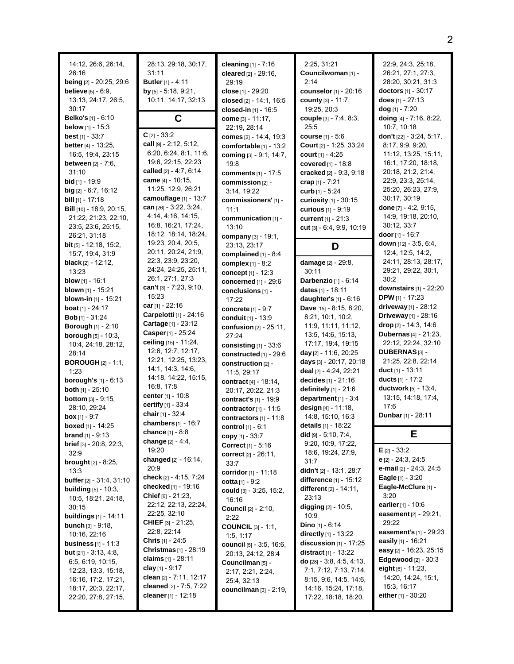| 14:12, 26:6, 26:14,<br>26:16<br>being [2] - 20:25, 29:6<br><b>believe</b> [5] - 6:9,<br>13:13, 24:17, 26:5,<br>30:17                                                             | 28:13, 29:18, 30:17,<br>31:11<br><b>Butler</b> [1] - 4:11<br>by $[5] - 5.18, 9.21$ ,<br>10:11, 14:17, 32:13                                                                                     | cleaning [1] - 7:16<br>cleared $[2] - 29:16$ ,<br>29:19<br>close [1] - 29:20<br>closed [2] - 14:1, 16:5                                     | 2:25, 31:21<br>Councilwoman [1] -<br>2:14<br>counselor [1] - 20:16<br>county [3] - 11:7,                                                                                                            | 22:9, 24:3, 25:18,<br>26:21, 27:1, 27:3,<br>28:20, 30:21, 31:3<br><b>doctors</b> [1] - 30:17<br>does $[1] - 27:13$                                        |
|----------------------------------------------------------------------------------------------------------------------------------------------------------------------------------|-------------------------------------------------------------------------------------------------------------------------------------------------------------------------------------------------|---------------------------------------------------------------------------------------------------------------------------------------------|-----------------------------------------------------------------------------------------------------------------------------------------------------------------------------------------------------|-----------------------------------------------------------------------------------------------------------------------------------------------------------|
| <b>Belko's</b> [1] - 6:10<br><b>below</b> $[1] - 15:3$<br><b>best</b> [1] - $33:7$<br><b>better</b> $[4] - 13:25$<br>16:5, 19:4, 23:15                                           | C<br>$C$ [2] - 33:2<br>call [9] - 2:12, 5:12,<br>6:20, 6:24, 8:1, 11:6,                                                                                                                         | closed-in [1] - 16:5<br>come [3] - 11:17,<br>22:19, 28:14<br>comes [2] - 14:4, 19:3<br>comfortable [1] - 13:2<br>coming $[3] - 9.1$ , 14:7, | 19:25, 20:3<br>couple [3] - 7:4, 8:3,<br>25:5<br><b>course</b> $[1] - 5:6$<br><b>Court</b> $[2] - 1:25, 33:24$<br>court $[1] - 4:25$                                                                | dog [1] - 7:20<br>doing [4] - 7:16, 8:22,<br>10:7, 10:18<br>don't [22] - 3:24, 5:17,<br>8:17, 9:9, 9:20,<br>11:12, 13:25, 15:11,                          |
| <b>between</b> $[2] - 7:6$ ,<br>31:10<br><b>bid</b> $[1]$ - 19:9<br>$big$ [2] - 6:7, 16:12<br><b>bill</b> $[1]$ - 17:18                                                          | 19:6, 22:15, 22:23<br>called $[2] - 4.7, 6.14$<br><b>came</b> [4] - 10:15,<br>11:25, 12:9, 26:21<br>camouflage [1] - 13:7                                                                       | 19:8<br><b>comments</b> $[1] - 17:5$<br>commission [2] -<br>3:14, 19:22<br>commissioners' [1] -                                             | covered [1] - 18:8<br>cracked [2] - 9:3, 9:18<br>crap $[1] - 7:21$<br>curb $[1] - 5:24$<br><b>curiosity</b> $[1]$ - 30:15                                                                           | 16:1, 17:20, 18:18,<br>20:18, 21:2, 21:4,<br>22:9, 23:3, 25:14,<br>25:20, 26:23, 27:9,<br>30.17, 30:19                                                    |
| <b>Bill</b> $[10] - 18.9, 20.15,$<br>21:22, 21:23, 22:10,<br>23:5, 23:6, 25:15,<br>26.21, 31:18<br><b>bit</b> [5] - 12:18, 15:2,                                                 | can $[26] - 3.22$ , $3.24$ ,<br>4:14, 4:16, 14:15,<br>16.8, 16:21, 17:24,<br>18:12, 18:14, 18:24,<br>19.23, 20.4, 20.5,<br>20:11, 20:24, 21:9,                                                  | 11:1<br>communication [1] -<br>13:10<br>company [3] - 19:1,<br>23:13, 23:17                                                                 | curious [1] - 9:19<br>current [1] - 21:3<br>cut [3] - 6:4, 9:9, 10:19<br>D                                                                                                                          | done $[7] - 4:2, 9:15,$<br>14:9, 19:18, 20:10,<br>30:12, 33:7<br><b>door</b> [1] - 16:7<br>down $[12] - 3.5, 6.4$ ,<br>12:4, 12:5, 14:2,                  |
| 15:7, 19:4, 31:9<br><b>black</b> $[2] - 12:12$ ,<br>13:23<br><b>blow</b> [1] - 16:1<br>blown [1] - 15:21<br><b>blown-in</b> $[1]$ - 15:21                                        | 22.3, 23.9, 23.20,<br>24:24, 24:25, 25:11,<br>26:1, 27:1, 27:3<br>can't $[3] - 7:23, 9:10,$<br>15:23                                                                                            | complained [1] - 8:4<br>complex [1] - 8:2<br>concept [1] - 12:3<br>concerned [1] - 29:6<br>conclusions $[1]$ -<br>17:22                     | damage [2] - 29:8,<br>30:11<br>Darbenzio [1] - 6:14<br>dates [1] - 18:11<br>daughter's $[1] - 6.16$                                                                                                 | 24:11, 28:13, 28:17,<br>29.21, 29:22, 30:1,<br>30:2<br>downstairs $[1]$ - 22:20<br><b>DPW</b> [1] - 17:23                                                 |
| <b>boat</b> $[1]$ - 24:17<br><b>Bob</b> [1] - $31:24$<br><b>Borough [1] - 2:10</b><br><b>borough</b> $[5] - 10:3$ ,<br>10:4, 24:18, 28:12,                                       | car [1] - 22:16<br>Carpelotti [1] - 24:16<br>Cartage [1] - 23:12<br>Casper [1] - 25:24<br>ceiling $[15] - 11:24$ ,                                                                              | <b>concrete</b> $[1] - 9:7$<br>conduit [1] - 13:9<br>confusion [2] - 25:11,<br>27:24<br>consisting $[1]$ - 33:6                             | <b>Dave</b> $[15] - 8.15, 8.20,$<br>8:21, 10:1, 10:2,<br>11:9, 11:11, 11:12,<br>13.5, 14.6, 15.13,<br>17:17, 19:4, 19:15                                                                            | driveway $[1]$ - 28:12<br><b>Driveway</b> [1] - 28:16<br>drop [2] - 14:3, 14:6<br><b>Dubernas</b> [4] - 21:23,<br>22:12, 22:24, 32:10                     |
| 28:14<br><b>BOROUGH</b> $[2] - 1:1$ ,<br>1:23<br><b>borough's</b> $[1] - 6:13$<br>both [1] - 25:10                                                                               | 12.6, 12.7, 12.17,<br>12:21, 12:25, 13:23,<br>14:1, 14:3, 14:6,<br>14:18, 14:22, 15:15,<br>16:8, 17:8<br>center $[1] - 10.8$                                                                    | constructed [1] - 29:6<br>construction [2] -<br>11:5, 29:17<br>contract $[4] - 18:14$ ,<br>20:17, 20:22, 21:3                               | day [2] - 11:6, 20:25<br>days [3] - 20:17, 20:18<br>deal [2] - 4:24, 22:21<br>decides [1] - 21:16<br>definitely [1] - 21:6                                                                          | DUBERNAS <sup>[3]</sup> -<br>21:25, 22:8, 22:14<br>duct $[1]$ - 13:11<br><b>ducts</b> [1] - 17:2<br>ductwork [5] - 13:4,                                  |
| <b>bottom</b> $[3] - 9:15$ ,<br>28:10, 29:24<br><b>box</b> $[1] - 9:7$<br><b>boxed</b> [1] - 14:25<br><b>brand</b> $[1] - 9.13$                                                  | certify [1] - 33:4<br>chair [1] - 32:4<br>chambers $[1]$ - 16:7<br>chance [1] - 8:8<br>change [2] - 4:4,                                                                                        | contract's [1] - 19:9<br>contractor $[1]$ - 11:5<br>contractors $[1]$ - 11:8<br><b>control</b> $[1] - 6.1$<br>copy $[1] - 33:7$             | department [1] - 3:4<br>design $[4] - 11:18$ ,<br>14:8, 15:10, 16:3<br><b>details</b> [1] - 18:22<br>$did$ [9] $- 5:10, 7:4,$                                                                       | 13:15, 14:18, 17:4,<br>17:6<br>Dunbar [1] - 28:11<br>Е                                                                                                    |
| brief [3] - 20:8, 22:3,<br>32:9<br><b>brought</b> [2] - 8:25,<br>13:3<br>buffer [2] - 31:4, 31:10<br><b>building</b> $[5] - 10.3$ ,                                              | 19:20<br>changed [2] - 16:14,<br>20:9<br>check [2] - 4:15, 7:24<br>checked [1] - 19:16                                                                                                          | Correct [1] - 5:16<br>correct [2] - 26:11,<br>33:7<br>corridor [1] - 11:18<br>cotta $[1] - 9:2$                                             | 9:20, 10:9, 17:22,<br>18.6, 19.24, 27.9,<br>31:7<br>didn't [2] - 13:1, 28:7<br>difference [1] - 15:12<br>different [2] - 14:11,                                                                     | $E_{[2]} - 33:2$<br>e [2] - 24:3, 24:5<br><b>e-mail</b> [2] - 24:3, 24:5<br>Eagle [1] - 3:20<br>Eagle-McClure [1] -                                       |
| 10:5, 18:21, 24:18,<br>30:15<br><b>buildings</b> [1] - 14:11<br><b>bunch</b> $[3] - 9.18$ ,<br>10:16, 22:16                                                                      | <b>Chief</b> $[6] - 21:23$ ,<br>22:12, 22:13, 22:24,<br>22:25, 32:10<br><b>CHIEF</b> $[3] - 21:25$<br>22:8, 22:14                                                                               | could [3] - 3:25, 15:2,<br>16:16<br><b>Council</b> [2] - 2:10,<br>2:22<br><b>COUNCIL</b> [3] - 1:1,<br>1:5, 1:17                            | 23:13<br>digging [2] - 10:5,<br>10.9<br><b>Dino</b> $[1] - 6:14$<br>directly $[1]$ - 13:22                                                                                                          | 3:20<br>earlier [1] - 10:6<br><b>easement</b> $[2] - 29:21$ ,<br>29:22<br>easement's [1] - 29:23                                                          |
| <b>business</b> $[1] - 11:3$<br><b>but</b> $[21] - 3.13, 4.8$ ,<br>6:5, 6:19, 10:15,<br>12:23, 13:3, 15:18,<br>16:16, 17:2, 17:21,<br>18:17, 20:3, 22:17,<br>22:20, 27:8, 27:15, | <b>Chris</b> $[1]$ - 24:5<br><b>Christmas</b> $[1]$ - 28:19<br><b>claims</b> [1] - 28:11<br><b>clay</b> [1] - 9:17<br>clean [2] - 7:11, 12:17<br>cleaned [2] - 7:5, 7:22<br>cleaner [1] - 12:18 | council [5] - 3:5, 16:6,<br>20:13, 24:12, 28:4<br>Councilman [5] -<br>2:17, 2:21, 2:24,<br>25:4, 32:13<br>councilman [3] - 2:19,            | <b>discussion</b> $[1]$ - 17:25<br><b>distract</b> $[1]$ - 13:22<br>do $[28] - 3.8, 4.5, 4.13,$<br>7:1, 7:12, 7:13, 7:14,<br>8:15, 9:6, 14:5, 14:6,<br>14:16, 15:24, 17:18,<br>17:22, 18:18, 18:20, | easily [1] - 16:21<br>easy [2] - 16:23, 25:15<br>Edgewood $[2] - 30:3$<br>eight թլ - 11:23,<br>14:20, 14:24, 15:1,<br>15:3, 16:17<br>either $[1]$ - 30:20 |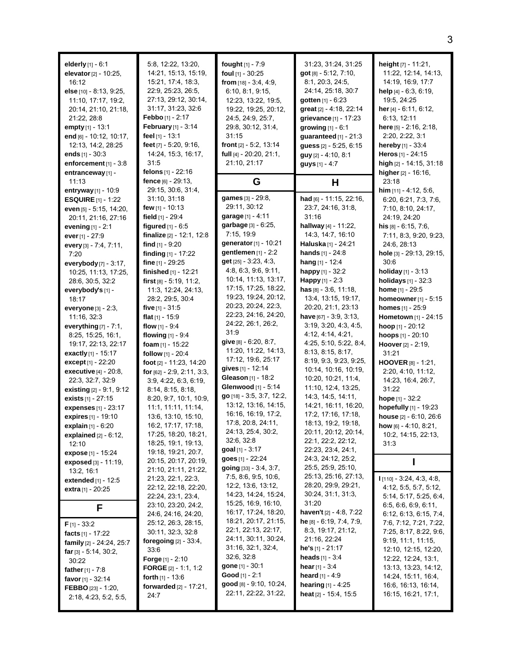| elderly $[1] - 6.1$<br>elevator [2] - 10:25,<br>16:12<br>else [10] - 8:13, 9:25,<br>11:10, 17:17, 19:2,<br>20:14, 21:10, 21:18,<br>21:22, 28:8<br>empty [1] - 13:1<br>end [6] - 10:12, 10:17,<br>12:13, 14:2, 28:25<br>ends $[1] - 30:3$<br>enforcement $[1] - 3.8$<br>entranceway [1] - | 5:8, 12:22, 13:20,<br>14:21, 15:13, 15:19,<br>15.21, 17.4, 18.3,<br>22.9, 25.23, 26.5,<br>27:13, 29:12, 30:14,<br>31:17, 31:23, 32:6<br><b>Febbo</b> $[1] - 2:17$<br><b>February</b> [1] - $3:14$<br>feel <sub>[1]</sub> - 13:1<br>feet [7] - 5:20, 9:16,<br>14:24, 15:3, 16:17,<br>31:5<br><b>felons</b> [1] - 22:16 | <b>fought</b> $[1] - 7:9$<br>foul $[1]$ - 30:25<br>from $[18] - 3.4, 4.9$ ,<br>6.10, 8.1, 9.15,<br>12:23, 13:22, 19:5,<br>19:22, 19:25, 20:12,<br>24:5, 24:9, 25:7,<br>29:8, 30:12, 31:4,<br>31:15<br>front [2] - 5:2, 13:14<br>full $[4] - 20:20, 21:1,$<br>21:10, 21:17 | 31:23, 31:24, 31:25<br>got [8] - 5:12, 7:10,<br>8:1, 20:3, 24:5,<br>24:14, 25:18, 30:7<br>gotten $[1] - 6:23$<br>great [2] - 4:18, 22:14<br>grievance [1] - 17:23<br>growing [1] - 6:1<br>guaranteed $[1]$ - 21:3<br>guess [2] - 5:25, 6:15<br>guy [2] - 4:10, 8:1<br>guys $[1] - 4.7$ | height [7] - 11:21,<br>11:22, 12:14, 14:13,<br>14:19, 16:9, 17:7<br><b>help</b> $[4]$ - 6:3, 6:19,<br>19:5, 24:25<br>her $[4] - 6:11, 6:12,$<br>6:13, 12:11<br>here [5] - 2:16, 2:18,<br>2:20, 2:22, 3:1<br><b>hereby</b> $[1] - 33.4$<br>Heros $[1] - 24:15$<br>high [2] - 14:15, 31:18<br>higher [2] - 16:16, |
|------------------------------------------------------------------------------------------------------------------------------------------------------------------------------------------------------------------------------------------------------------------------------------------|-----------------------------------------------------------------------------------------------------------------------------------------------------------------------------------------------------------------------------------------------------------------------------------------------------------------------|---------------------------------------------------------------------------------------------------------------------------------------------------------------------------------------------------------------------------------------------------------------------------|----------------------------------------------------------------------------------------------------------------------------------------------------------------------------------------------------------------------------------------------------------------------------------------|-----------------------------------------------------------------------------------------------------------------------------------------------------------------------------------------------------------------------------------------------------------------------------------------------------------------|
| 11:13                                                                                                                                                                                                                                                                                    | fence $[6] - 29.13$ ,                                                                                                                                                                                                                                                                                                 | G                                                                                                                                                                                                                                                                         | Н                                                                                                                                                                                                                                                                                      | 23:18                                                                                                                                                                                                                                                                                                           |
| entryway $[1] - 10.9$                                                                                                                                                                                                                                                                    | 29:15, 30:6, 31:4,<br>31:10, 31:18                                                                                                                                                                                                                                                                                    | games [3] - 29:8,                                                                                                                                                                                                                                                         | had [6] - 11:15, 22:16,                                                                                                                                                                                                                                                                | him $[11] - 4.12, 5.6$ ,<br>6:20, 6:21, 7:3, 7:6,                                                                                                                                                                                                                                                               |
| <b>ESQUIRE</b> $[1]$ - 1:22<br>even [5] - 5:15, 14:20,                                                                                                                                                                                                                                   | few $[1]$ - 10:13                                                                                                                                                                                                                                                                                                     | 29:11, 30:12                                                                                                                                                                                                                                                              | 23:7, 24:16, 31:8,                                                                                                                                                                                                                                                                     | 7:10, 8:10, 24:17,                                                                                                                                                                                                                                                                                              |
| 20:11, 21:16, 27:16                                                                                                                                                                                                                                                                      | field $[1]$ - 29:4                                                                                                                                                                                                                                                                                                    | garage [1] - 4:11                                                                                                                                                                                                                                                         | 31:16                                                                                                                                                                                                                                                                                  | 24:19, 24:20                                                                                                                                                                                                                                                                                                    |
| evening $[1] - 2.1$                                                                                                                                                                                                                                                                      | figured $[1] - 6.5$                                                                                                                                                                                                                                                                                                   | garbage [3] - 6:25,                                                                                                                                                                                                                                                       | hallway [4] - 11:22,                                                                                                                                                                                                                                                                   | his $[8] - 6:15, 7:6$                                                                                                                                                                                                                                                                                           |
| ever [1] - 27:9                                                                                                                                                                                                                                                                          | finalize [2] - 12:1, 12:8                                                                                                                                                                                                                                                                                             | 7:15, 19:9                                                                                                                                                                                                                                                                | 14:3, 14:7, 16:10                                                                                                                                                                                                                                                                      | 7:11, 8:3, 9:20, 9:23,                                                                                                                                                                                                                                                                                          |
| every [3] - 7:4, 7:11,                                                                                                                                                                                                                                                                   | <b>find</b> [1] - 9:20                                                                                                                                                                                                                                                                                                | generator [1] - 10:21                                                                                                                                                                                                                                                     | <b>Haluska</b> [1] - 24:21                                                                                                                                                                                                                                                             | 24:6, 28:13                                                                                                                                                                                                                                                                                                     |
| 7:20                                                                                                                                                                                                                                                                                     | finding [1] - 17:22                                                                                                                                                                                                                                                                                                   | gentlemen $[1]$ - 2:2                                                                                                                                                                                                                                                     | hands [1] - 24:8                                                                                                                                                                                                                                                                       | hole [3] - 29:13, 29:15,                                                                                                                                                                                                                                                                                        |
| everybody [7] - 3:17,                                                                                                                                                                                                                                                                    | fine [1] - 29:25                                                                                                                                                                                                                                                                                                      | <b>get</b> $[25] - 3.23$ , 4.3,                                                                                                                                                                                                                                           | hang $[1] - 12:4$                                                                                                                                                                                                                                                                      | 30:6                                                                                                                                                                                                                                                                                                            |
| 10:25, 11:13, 17:25,                                                                                                                                                                                                                                                                     | finished [1] - 12:21                                                                                                                                                                                                                                                                                                  | 4.8, 6.3, 9.6, 9.11,                                                                                                                                                                                                                                                      | happy [1] - 32:2                                                                                                                                                                                                                                                                       | holiday [1] - 3:13                                                                                                                                                                                                                                                                                              |
| 28:6, 30:5, 32:2                                                                                                                                                                                                                                                                         | first $[8] - 5.19, 11.2$                                                                                                                                                                                                                                                                                              | 10:14, 11:13, 13:17,                                                                                                                                                                                                                                                      | Happy [1] - 2:3                                                                                                                                                                                                                                                                        | holidays [1] - 32:3                                                                                                                                                                                                                                                                                             |
| everybody's [1] -                                                                                                                                                                                                                                                                        | 11.3, 12.24, 24.13,                                                                                                                                                                                                                                                                                                   | 17:15, 17:25, 18:22,                                                                                                                                                                                                                                                      | $has$ [8] - 3:6, 11:18,                                                                                                                                                                                                                                                                | <b>home</b> $[1]$ - 29:5                                                                                                                                                                                                                                                                                        |
| 18:17                                                                                                                                                                                                                                                                                    | 28:2, 29:5, 30:4                                                                                                                                                                                                                                                                                                      | 19:23, 19:24, 20:12,                                                                                                                                                                                                                                                      | 13:4, 13:15, 19:17,                                                                                                                                                                                                                                                                    | homeowner [1] - 5:15                                                                                                                                                                                                                                                                                            |
| everyone $[3] - 2:3$ ,                                                                                                                                                                                                                                                                   | five $[1]$ - 31:5                                                                                                                                                                                                                                                                                                     | 20:23, 20:24, 22:3,<br>22:23, 24:16, 24:20,                                                                                                                                                                                                                               | 20:20, 21:1, 23:13                                                                                                                                                                                                                                                                     | homes [1] - 25:9                                                                                                                                                                                                                                                                                                |
| 11:16, 32:3                                                                                                                                                                                                                                                                              | flat $[1]$ - 15:9                                                                                                                                                                                                                                                                                                     | 24:22, 26:1, 26:2,                                                                                                                                                                                                                                                        | have $[67] - 3.9, 3.13,$                                                                                                                                                                                                                                                               | <b>Hometown</b> [1] - 24:15                                                                                                                                                                                                                                                                                     |
| everything $[7] - 7:1$ ,                                                                                                                                                                                                                                                                 | flow $[1] - 9.4$                                                                                                                                                                                                                                                                                                      | 31.9                                                                                                                                                                                                                                                                      | 3:19, 3:20, 4:3, 4:5,                                                                                                                                                                                                                                                                  | <b>hoop</b> $[1] - 20:12$                                                                                                                                                                                                                                                                                       |
| 8:25, 15:25, 16:1,                                                                                                                                                                                                                                                                       | flowing $[1] - 9.4$                                                                                                                                                                                                                                                                                                   | give $[8] - 6.20, 8.7$ ,                                                                                                                                                                                                                                                  | 4:12, 4:14, 4:21,<br>4:25, 5:10, 5:22, 8:4,                                                                                                                                                                                                                                            | hoops [1] - 20:10                                                                                                                                                                                                                                                                                               |
| 19:17, 22:13, 22:17                                                                                                                                                                                                                                                                      | foam $[1]$ - 15:22                                                                                                                                                                                                                                                                                                    | 11:20, 11:22, 14:13,                                                                                                                                                                                                                                                      | 8:13, 8:15, 8:17,                                                                                                                                                                                                                                                                      | Hoover [2] - 2:19,                                                                                                                                                                                                                                                                                              |
| exactly [1] - 15:17                                                                                                                                                                                                                                                                      | follow [1] - 20:4                                                                                                                                                                                                                                                                                                     | 17:12, 19:6, 25:17                                                                                                                                                                                                                                                        | 8:19, 9:3, 9:23, 9:25,                                                                                                                                                                                                                                                                 | 31:21                                                                                                                                                                                                                                                                                                           |
| except [1] - 22:20                                                                                                                                                                                                                                                                       | foot [2] - 11:23, 14:20                                                                                                                                                                                                                                                                                               | gives [1] - 12:14                                                                                                                                                                                                                                                         | 10:14, 10:16, 10:19,                                                                                                                                                                                                                                                                   | HOOVER [8] - 1:21,                                                                                                                                                                                                                                                                                              |
| executive [4] - 20:8,<br>22:3, 32:7, 32:9                                                                                                                                                                                                                                                | for $[62] - 2.9, 2.11, 3.3,$                                                                                                                                                                                                                                                                                          | Gleason [1] - 18:2                                                                                                                                                                                                                                                        | 10.20, 10:21, 11:4,                                                                                                                                                                                                                                                                    | 2:20, 4:10, 11:12,<br>14.23, 16.4, 26.7,                                                                                                                                                                                                                                                                        |
| existing $[2] - 9.1, 9.12$                                                                                                                                                                                                                                                               | 3.9, 4.22, 6.3, 6.19,<br>8:14, 8:15, 8:18,                                                                                                                                                                                                                                                                            | Glenwood [1] - 5:14                                                                                                                                                                                                                                                       | 11:10, 12:4, 13:25,                                                                                                                                                                                                                                                                    | 31:22                                                                                                                                                                                                                                                                                                           |
| <b>exists</b> $[1]$ - 27:15                                                                                                                                                                                                                                                              | 8:20, 9:7, 10:1, 10:9,                                                                                                                                                                                                                                                                                                | go [18] - 3:5, 3:7, 12:2,                                                                                                                                                                                                                                                 | 14:3, 14:5, 14:11,                                                                                                                                                                                                                                                                     | hope [1] - 32:2                                                                                                                                                                                                                                                                                                 |
| expenses [1] - 23:17                                                                                                                                                                                                                                                                     | 11:1, 11:11, 11:14,                                                                                                                                                                                                                                                                                                   | 13:12, 13:16, 14:15,                                                                                                                                                                                                                                                      | 14:21, 16:11, 16:20,                                                                                                                                                                                                                                                                   | hopefully [1] - 19:23                                                                                                                                                                                                                                                                                           |
| expires [1] - 19:10                                                                                                                                                                                                                                                                      | 13.6, 13.10, 15.10,                                                                                                                                                                                                                                                                                                   | 16:16, 16:19, 17:2,                                                                                                                                                                                                                                                       | 17:2, 17:16, 17:18,                                                                                                                                                                                                                                                                    | house [2] - 6:10, 26:6                                                                                                                                                                                                                                                                                          |
| explain [1] - 6:20                                                                                                                                                                                                                                                                       | 16:2, 17:17, 17:18,                                                                                                                                                                                                                                                                                                   | 17.8, 20.8, 24:11,                                                                                                                                                                                                                                                        | 18:13, 19:2, 19:18,                                                                                                                                                                                                                                                                    | how $[6] - 4.10, 8.21$ ,                                                                                                                                                                                                                                                                                        |
| <b>explained</b> $[2] - 6:12$ ,                                                                                                                                                                                                                                                          | 17:25, 18:20, 18:21,                                                                                                                                                                                                                                                                                                  | 24:13, 25:4, 30:2,                                                                                                                                                                                                                                                        | 20:11, 20:12, 20:14,                                                                                                                                                                                                                                                                   | 10:2, 14:15, 22:13,                                                                                                                                                                                                                                                                                             |
| 12:10                                                                                                                                                                                                                                                                                    | 18:25, 19:1, 19:13,                                                                                                                                                                                                                                                                                                   | 32:6, 32:8                                                                                                                                                                                                                                                                | 22:1, 22:2, 22:12,                                                                                                                                                                                                                                                                     | 31:3                                                                                                                                                                                                                                                                                                            |
| expose [1] - 15:24                                                                                                                                                                                                                                                                       | 19:18, 19:21, 20:7,                                                                                                                                                                                                                                                                                                   | goal $[1] - 3:17$                                                                                                                                                                                                                                                         | 22:23, 23.4, 24:1,                                                                                                                                                                                                                                                                     |                                                                                                                                                                                                                                                                                                                 |
| exposed [3] - 11:19,                                                                                                                                                                                                                                                                     | 20:15, 20:17, 20:19,                                                                                                                                                                                                                                                                                                  | goes [1] - 22:24                                                                                                                                                                                                                                                          | 24:3, 24:12, 25:2,                                                                                                                                                                                                                                                                     |                                                                                                                                                                                                                                                                                                                 |
| 13:2, 16:1                                                                                                                                                                                                                                                                               | 21:10, 21:11, 21:22,                                                                                                                                                                                                                                                                                                  | <b>going</b> $[33] - 3.4, 3.7$ ,                                                                                                                                                                                                                                          | 25.5, 25.9, 25.10,                                                                                                                                                                                                                                                                     |                                                                                                                                                                                                                                                                                                                 |
| <b>extended</b> [1] - 12:5                                                                                                                                                                                                                                                               | 21.23, 22.1, 22.3,                                                                                                                                                                                                                                                                                                    | 7:5, 8.6, 9:5, 10:6,                                                                                                                                                                                                                                                      | 25:13, 25:16, 27:13,<br>28:20, 29:9, 29:21,                                                                                                                                                                                                                                            | $1$ [110] - 3:24, 4:3, 4:8,                                                                                                                                                                                                                                                                                     |
| <b>extra</b> [1] - 20:25                                                                                                                                                                                                                                                                 | 22:12, 22:18, 22:20,                                                                                                                                                                                                                                                                                                  | 12:2, 13:6, 13:12,                                                                                                                                                                                                                                                        |                                                                                                                                                                                                                                                                                        | 4:12, 5:5, 5:7, 5:12,                                                                                                                                                                                                                                                                                           |
|                                                                                                                                                                                                                                                                                          | 22:24, 23:1, 23:4,                                                                                                                                                                                                                                                                                                    | 14:23, 14:24, 15:24,<br>15:25, 16:9, 16:10,                                                                                                                                                                                                                               | 30.24, 31:1, 31:3,<br>31:20                                                                                                                                                                                                                                                            | 5:14, 5:17, 5:25, 6:4,                                                                                                                                                                                                                                                                                          |
| F                                                                                                                                                                                                                                                                                        | 23:10, 23:20, 24:2,                                                                                                                                                                                                                                                                                                   | 16:17, 17:24, 18:20,                                                                                                                                                                                                                                                      | haven't [2] - 4:8, 7:22                                                                                                                                                                                                                                                                | 6.5, 6.6, 6.9, 6.11,                                                                                                                                                                                                                                                                                            |
|                                                                                                                                                                                                                                                                                          | 24:6, 24:16, 24:20,                                                                                                                                                                                                                                                                                                   | 18:21, 20:17, 21:15,                                                                                                                                                                                                                                                      | he [8] - 6:19, 7:4, 7:9,                                                                                                                                                                                                                                                               | 6:12, 6:13, 6:15, 7:4,                                                                                                                                                                                                                                                                                          |
| $F$ [1] - 33:2                                                                                                                                                                                                                                                                           | 25:12, 26:3, 28:15,<br>30:11, 32:3, 32:8                                                                                                                                                                                                                                                                              | 22:1, 22:13, 22:17,                                                                                                                                                                                                                                                       | 8:3, 19:17, 21:12,                                                                                                                                                                                                                                                                     | 7.6, 7:12, 7:21, 7:22,<br>7:25, 8:17, 8:22, 9:6,                                                                                                                                                                                                                                                                |
| facts $[1] - 17:22$                                                                                                                                                                                                                                                                      | <b>foregoing</b> [2] - 33:4,                                                                                                                                                                                                                                                                                          | 24:11, 30:11, 30:24,                                                                                                                                                                                                                                                      | 21:16, 22:24                                                                                                                                                                                                                                                                           | 9:19, 11:1, 11:15,                                                                                                                                                                                                                                                                                              |
| family [2] - 24:24, 25:7                                                                                                                                                                                                                                                                 | 33.6                                                                                                                                                                                                                                                                                                                  | 31:16, 32:1, 32:4,                                                                                                                                                                                                                                                        | <b>he's</b> $[1]$ - 21:17                                                                                                                                                                                                                                                              | 12:10, 12:15, 12:20,                                                                                                                                                                                                                                                                                            |
| far $[3] - 5.14, 30.2,$                                                                                                                                                                                                                                                                  | <b>Forge</b> [1] - 2:10                                                                                                                                                                                                                                                                                               | 32:6, 32:8                                                                                                                                                                                                                                                                | <b>heads</b> $[1] - 3.4$                                                                                                                                                                                                                                                               | 12:22, 12:24, 13:1,                                                                                                                                                                                                                                                                                             |
| 30:22<br><b>father</b> [1] - 7:8                                                                                                                                                                                                                                                         | <b>FORGE</b> $[2] - 1:1, 1:2$                                                                                                                                                                                                                                                                                         | <b>gone</b> $[1] - 30:1$                                                                                                                                                                                                                                                  | <b>hear</b> $[1] - 3:4$                                                                                                                                                                                                                                                                | 13:13, 13:23, 14:12,                                                                                                                                                                                                                                                                                            |
| favor $[1] - 32:14$                                                                                                                                                                                                                                                                      | <b>forth</b> $[1] - 13.6$                                                                                                                                                                                                                                                                                             | <b>Good</b> [1] - $2:1$                                                                                                                                                                                                                                                   | <b>heard</b> [1] - 4:9                                                                                                                                                                                                                                                                 | 14:24, 15:11, 16:4,                                                                                                                                                                                                                                                                                             |
| <b>FEBBO</b> [23] - 1:20,                                                                                                                                                                                                                                                                | forwarded [2] - 17:21,                                                                                                                                                                                                                                                                                                | <b>good</b> $[8] - 9.10, 10.24,$                                                                                                                                                                                                                                          | <b>hearing</b> $[1] - 4:25$                                                                                                                                                                                                                                                            | 16.6, 16.13, 16.14,                                                                                                                                                                                                                                                                                             |
| 2:18, 4:23, 5:2, 5:5,                                                                                                                                                                                                                                                                    | 24:7                                                                                                                                                                                                                                                                                                                  | 22:11, 22:22, 31:22,                                                                                                                                                                                                                                                      | <b>heat</b> [2] - 15:4, 15:5                                                                                                                                                                                                                                                           | 16:15, 16:21, 17:1,                                                                                                                                                                                                                                                                                             |
|                                                                                                                                                                                                                                                                                          |                                                                                                                                                                                                                                                                                                                       |                                                                                                                                                                                                                                                                           |                                                                                                                                                                                                                                                                                        |                                                                                                                                                                                                                                                                                                                 |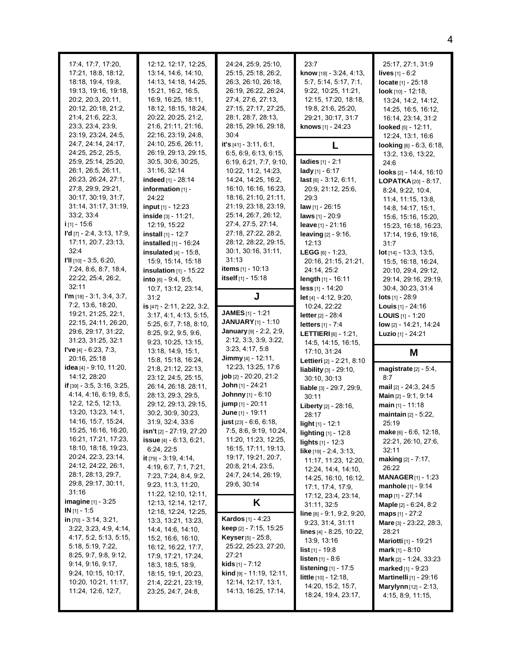| 19:13, 19:16, 19:18,<br>20:2, 20:3, 20:11,<br>20:12, 20:18, 21:2,<br>21:4, 21:6, 22:3,<br>23.3, 23.4, 23.9,<br>23:19, 23:24, 24:5,<br>24:7, 24:14, 24:17,<br>24:25, 25:2, 25:5,<br>25:9, 25:14, 25:20,<br>26:1, 26:5, 26:11,<br>26:23, 26:24, 27:1,<br>27:8, 29:9, 29:21,<br>30:17, 30:19, 31:7,<br>31:14, 31:17, 31:19,<br>33:2, 33:4<br>$i$ [1] - 15:6<br>$\Gamma d$ [7] - 2:4, 3:13, 17:9,<br>17:11, 20:7, 23:13,<br>32:4<br>$III$ [10] - 3:5, 6:20,                                                                                                                                                    | 15:21, 16:2, 16:5,<br>16:9, 16:25, 18:11,<br>18:12, 18:15, 18:24,<br>20:22, 20:25, 21:2,<br>21:6, 21:11, 21:16,<br>22:16, 23:19, 24:8,<br>24:10, 25:6, 26:11,<br>26:19, 29:13, 29:15,<br>30.5, 30.6, 30.25,<br>31:16, 32:14<br>indeed [1] - 28:14<br>information [1] -<br>24:22<br>input [1] - 12:23<br>inside [3] - 11:21,<br>12:19, 15:22<br>install [1] - 12:7<br>installed [1] - 16:24<br>insulated [4] - 15:8,<br>15:9, 15:14, 15:18                                                                                                                                                     | 26:19, 26:22, 26:24,<br>27:4, 27:6, 27:13,<br>27:15, 27:17, 27:25,<br>28:1, 28:7, 28:13,<br>28:15, 29:16, 29:18,<br>30:4<br>it's $[41] - 3.11, 6.1$ ,<br>6:5, 6:9, 6:13, 6:15,<br>6:19, 6:21, 7:7, 9:10,<br>10:22, 11:2, 14:23,<br>14:24, 14:25, 16:2,<br>16:10, 16:16, 16:23,<br>18:16, 21:10, 21:11,<br>21:19, 23:18, 23:19,<br>25:14, 26:7, 26:12,<br>27:4, 27:5, 27:14,<br>27:18, 27:22, 28:2,<br>28:12, 28:22, 29:15,<br>30:1, 30:16, 31:11,<br>31:13<br><b>items</b> $[1] - 10:13$                                      | 9:22, 10:25, 11:21,<br>12:15, 17:20, 18:18,<br>19.8, 21:6, 25:20,<br>29:21, 30:17, 31:7<br><b>knows</b> [1] - 24:23<br>L<br>ladies [1] - 2:1<br>lady [1] - $6:17$<br>last $[6] - 3.12, 6.11,$<br>20.9, 21:12, 25:6,<br>29:3<br><b>law</b> [1] - 26:15<br>laws [1] - 20:9<br>leave [1] - 21:16<br><b>leaving</b> $[2] - 9:16$ ,<br>12:13<br><b>LEGG</b> [6] - 1:23,<br>20:16, 21:15, 21:21,                                                                                                                                                                                                                         | look $[10] - 12:18$ ,<br>13:24, 14:2, 14:12,<br>14:25, 16:5, 16:12,<br>16:14, 23:14, 31:2<br>looked $[5] - 12:11$ ,<br>12:24, 13:1, 16:6<br>looking $[6] - 6:3, 6:18,$<br>13:2, 13:6, 13:22,<br>24:6<br><b>looks</b> $[2] - 14.4, 16.10$<br><b>LOPATKA</b> $[20] - 8:17$ ,<br>8:24, 9:22, 10:4,<br>11:4, 11:15, 13:8,<br>14.8, 14.17, 15.1,<br>15:6, 15:16, 15:20,<br>15:23, 16:18, 16:23,<br>17:14, 19:6, 19:16,<br>31:7<br>$lot$ [14] - 13:3, 13:5,<br>15:5, 16:18, 16:24,                                                                                                                                    |
|------------------------------------------------------------------------------------------------------------------------------------------------------------------------------------------------------------------------------------------------------------------------------------------------------------------------------------------------------------------------------------------------------------------------------------------------------------------------------------------------------------------------------------------------------------------------------------------------------------|-----------------------------------------------------------------------------------------------------------------------------------------------------------------------------------------------------------------------------------------------------------------------------------------------------------------------------------------------------------------------------------------------------------------------------------------------------------------------------------------------------------------------------------------------------------------------------------------------|-------------------------------------------------------------------------------------------------------------------------------------------------------------------------------------------------------------------------------------------------------------------------------------------------------------------------------------------------------------------------------------------------------------------------------------------------------------------------------------------------------------------------------|--------------------------------------------------------------------------------------------------------------------------------------------------------------------------------------------------------------------------------------------------------------------------------------------------------------------------------------------------------------------------------------------------------------------------------------------------------------------------------------------------------------------------------------------------------------------------------------------------------------------|-----------------------------------------------------------------------------------------------------------------------------------------------------------------------------------------------------------------------------------------------------------------------------------------------------------------------------------------------------------------------------------------------------------------------------------------------------------------------------------------------------------------------------------------------------------------------------------------------------------------|
| 7:24, 8:6, 8:7, 18:4,<br>22:22, 25:4, 26:2,<br>32:11<br>$\Gamma$ m [18] - 3:1, 3:4, 3:7,<br>7:2, 13:6, 18:20,<br>19:21, 21:25, 22:1,<br>22:15, 24:11, 26:20,<br>29:6, 29:17, 31:22,                                                                                                                                                                                                                                                                                                                                                                                                                        | insulation $[1]$ - 15:22<br>into $[6] - 9.4, 9.5,$<br>10:7, 13:12, 23:14,<br>31:2<br>is [47] - 2:11, 2:22, 3:2,<br>3:17, 4:1, 4:13, 5:15,<br>5:25, 6:7, 7:18, 8:10,<br>8:25, 9:2, 9:5, 9:6,                                                                                                                                                                                                                                                                                                                                                                                                   | itself $[1]$ - 15:18<br>J<br><b>JAMES</b> $[1]$ - 1:21<br><b>JANUARY</b> [1] - 1:10<br>January [9] - 2:2, 2:9,                                                                                                                                                                                                                                                                                                                                                                                                                | 24:14, 25:2<br>length [1] - 16:11<br>$less$ [1] - 14:20<br>let [4] - 4:12, 9:20,<br>10:24, 22:22<br><b>letter</b> $[2] - 28.4$<br><b>letters</b> $[1] - 7:4$<br><b>LETTIERI</b> [6] - 1:21,                                                                                                                                                                                                                                                                                                                                                                                                                        | 20:10, 29:4, 29:12,<br>29:14, 29:16, 29:19,<br>30.4, 30.23, 31.4<br><b>lots</b> $[1]$ - 28:9<br><b>Louis</b> $[1]$ - 24:16<br><b>LOUIS</b> $[1]$ - 1:20<br>low [2] - 14:21, 14:24<br>Luzio [1] - 24:21                                                                                                                                                                                                                                                                                                                                                                                                          |
| 31:23, 31:25, 32:1<br><b>l've</b> [4] $- 6:23, 7:3,$<br>20:16, 25:18                                                                                                                                                                                                                                                                                                                                                                                                                                                                                                                                       | 9:23, 10:25, 13:15,<br>13:18, 14:9, 15:1,<br>15:8, 15:18, 16:24,                                                                                                                                                                                                                                                                                                                                                                                                                                                                                                                              | 2:12, 3:3, 3:9, 3:22,<br>3:23, 4:17, 5:8<br><b>Jimmy</b> [4] - 12:11,                                                                                                                                                                                                                                                                                                                                                                                                                                                         | 14:5, 14:15, 16:15,<br>17:10, 31:24<br>Lettieri [2] - 2.21, 8:10                                                                                                                                                                                                                                                                                                                                                                                                                                                                                                                                                   | M                                                                                                                                                                                                                                                                                                                                                                                                                                                                                                                                                                                                               |
| idea [4] - 9:10, 11:20,<br>14:12, 28:20<br>if $[39] - 3.5, 3.16, 3.25,$<br>4:14, 4:16, 6:19, 8:5,<br>12.2, 12.5, 12.13,<br>13:20, 13:23, 14:1,<br>14:16, 15:7, 15:24,<br>15:25, 16:16, 16:20,<br>16:21, 17:21, 17:23,<br>18:10, 18:18, 19:23,<br>20:24, 22:3, 23:14,<br>24:12, 24:22, 26:1,<br>28:1, 28:13, 29:7,<br>29:8, 29:17, 30:11,<br>31:16<br><b>imagine</b> $[1] - 3:25$<br><b>IN</b> $[1] - 1:5$<br>in $[70]$ - 3:14, 3:21,<br>3:22, 3:23, 4:9, 4:14,<br>4:17, 5:2, 5:13, 5:15,<br>5:18, 5:19, 7:22,<br>8:25, 9:7, 9:8, 9:12,<br>9:14, 9:16, 9:17,<br>9:24, 10:15, 10:17,<br>10:20, 10:21, 11:17, | 21:8, 21:12, 22:13,<br>23:12, 24:5, 25:15,<br>26:14, 26:18, 28:11,<br>28:13, 29:3, 29:5,<br>29:12, 29:13, 29:15,<br>30:2, 30:9, 30:23,<br>31.9, 32.4, 33.6<br>isn't [2] - 27:19, 27:20<br>issue [4] - 6:13, 6:21,<br>6:24,22:5<br>it $[79] - 3.19, 4.14,$<br>4:19, 6:7, 7:1, 7:21,<br>7:23, 7:24, 8:4, 9:2,<br>9:23, 11:3, 11:20,<br>11:22, 12:10, 12:11,<br>12:13, 12:14, 12:17,<br>12:18, 12:24, 12:25,<br>13:3, 13:21, 13:23,<br>14.4, 14.6, 14.10,<br>15:2, 16:6, 16:10,<br>16:12, 16:22, 17:7,<br>17:9, 17:21, 17:24,<br>18:3, 18:5, 18:9,<br>18:15, 19:1, 20:23,<br>21.4, 22.21, 23.19, | 12:23, 13:25, 17:6<br>job [2] - 20:20, 21:2<br>John [1] - 24:21<br><b>Johnny</b> [1] - 6:10<br><b>jump</b> $[1] - 20:11$<br>June [1] - 19:11<br>just [23] - 6.6, 6.18,<br>7:5, 8:6, 9:19, 10:24,<br>11:20, 11:23, 12:25,<br>16:15, 17:11, 19:13,<br>19:17, 19:21, 20:7,<br>20:8, 21:4, 23:5,<br>24:7, 24:14, 26:19,<br>29:6, 30:14<br>K<br>Kardos [1] - 4:23<br>keep [2] - 7:15, 15:25<br><b>Keyser</b> [5] - $25:8$ ,<br>25:22, 25:23, 27:20,<br>27:21<br>kids [1] - 7:12<br>kind [9] - 11:19, 12:11,<br>12:14, 12:17, 13:1, | liability [3] - 29:10,<br>30:10, 30:13<br><b>liable</b> [3] - 29:7, 29:9,<br>30:11<br><b>Liberty</b> $[2] - 28:16$ ,<br>28:17<br>light [1] - 12:1<br><b>lighting</b> $[1]$ - 12:8<br>lights [1] - 12:3<br>like [19] - 2:4, 3:13,<br>11:17, 11:23, 12:20,<br>12.24, 14.4, 14.10,<br>14:25, 16:10, 16:12,<br>17:1, 17:4, 17:9,<br>17:12, 23:4, 23:14,<br>31:11, 32:5<br><b>line</b> [6] - 9:1, 9:2, 9:20,<br>9.23, 31.4, 31.11<br>lines $[4]$ - 8:25, 10:22,<br>13:9, 13:16<br><b>list</b> $[1]$ - 19:8<br><b>listen</b> $[1] - 8.6$<br>listening [1] - 17:5<br><b>little</b> $[10] - 12:18$ ,<br>14:20, 15:2, 15:7, | magistrate $[2]$ - 5:4,<br>8:7<br>mail [2] - 24.3, 24:5<br>Main [2] - 9:1, 9:14<br>main [1] - 11:18<br><b>maintain</b> $[2] - 5:22$ ,<br>25:19<br>make [6] - 6:6, 12:18,<br>22:21, 26:10, 27:6,<br>32:11<br>$making [2] - 7:17,$<br>26:22<br><b>MANAGER</b> $[1]$ - 1:23<br>manhole [1] - 9:14<br><b>map</b> [1] - 27:14<br><b>Maple</b> $[2] - 6.24, 8.2$<br><b>maps</b> $[1] - 27:2$<br>Mare [3] - 23:22, 28:3,<br>28:21<br><b>Mariotti</b> [1] - 19:21<br><b>mark</b> [1] - 8:10<br><b>Mark</b> [2] - 1:24, 33:23<br><b>marked</b> $[1] - 9:23$<br>Martinelli [1] - 29:16<br><b>Marylynn</b> $[12] - 2:13$ , |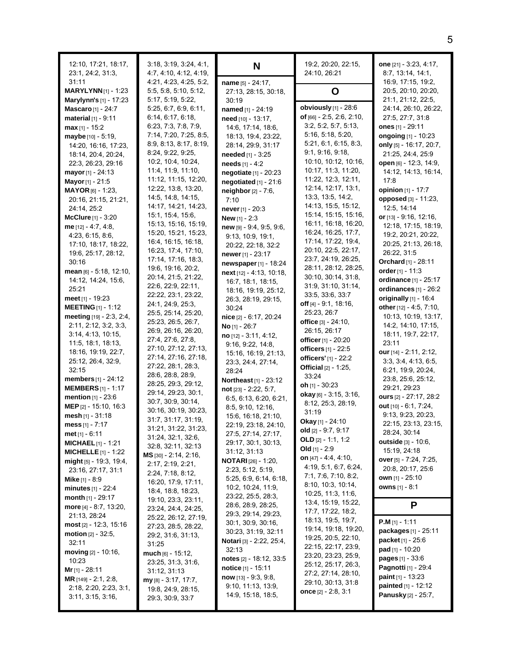| 12:10, 17:21, 18:17,<br>23:1, 24:2, 31:3,                 | 3:18, 3:19, 3:24, 4:1,<br>4: 7, 4: 10, 4: 12, 4: 19, | N                                                       | 19:2, 20:20, 22:15,<br>24:10, 26:21               | one [21] - 3:23, 4:17,<br>8:7, 13:14, 14:1,    |
|-----------------------------------------------------------|------------------------------------------------------|---------------------------------------------------------|---------------------------------------------------|------------------------------------------------|
| 31:11                                                     | 4:21, 4:23, 4:25, 5:2,                               | name [5] - 24:17,                                       |                                                   | 16.9, 17:15, 19:2,                             |
| <b>MARYLYNN</b> $[1]$ - 1:23                              | 5:5, 5:8, 5:10, 5:12,                                | 27:13, 28:15, 30:18,                                    | O                                                 | 20:5, 20:10, 20:20,                            |
| Marylynn's [1] - 17:23                                    | 5:17, 5:19, 5:22,                                    | 30:19                                                   |                                                   | 21:1, 21:12, 22:5,                             |
| <b>Mascaro</b> [1] - 24:7                                 | 5:25, 6:7, 6:9, 6:11,                                | named [1] - 24:19                                       | obviously $[1]$ - 28:6                            | 24:14, 26:10, 26:22,                           |
| material $[1] - 9:11$                                     | 6:14, 6:17, 6:18,                                    | need [10] - 13:17,                                      | of $[66] - 2.5, 2.6, 2.10,$                       | 27:5, 27:7, 31:8                               |
| $max_{[1]} - 15:2$                                        | 6.23, 7.3, 7.8, 7.9,<br>7:14, 7:20, 7:25, 8:5,       | 14:6, 17:14, 18:6,                                      | 3:2, 5:2, 5:7, 5:13,<br>5:16, 5:18, 5:20,         | ones [1] - 29:11                               |
| maybe [10] - 5:19,<br>14:20, 16:16, 17:23,                | 8:9, 8:13, 8:17, 8:19,                               | 18:13, 19:4, 23:22,                                     | 5:21, 6:1, 6:15, 8:3,                             | ongoing [1] - 10:23<br>only [5] - 16:17, 20:7, |
| 18:14, 20:4, 20:24,                                       | 8:24, 9:22, 9:25,                                    | 28:14, 29:9, 31:17<br>needed [1] - 3:25                 | 9:1, 9:16, 9:18,                                  | 21:25, 24:4, 25:9                              |
| 22:3, 26:23, 29:16                                        | 10:2, 10:4, 10:24,                                   | needs [1] - 4:2                                         | 10:10, 10:12, 10:16,                              | <b>open</b> [6] - 12:3, 14:9,                  |
| mayor $[1] - 24.13$                                       | 11:4, 11:9, 11:10,                                   | negotiate [1] - 20:23                                   | 10:17, 11:3, 11:20,                               | 14:12, 14:13, 16:14,                           |
| <b>Mayor</b> [1] - 21:5                                   | 11:12, 11:15, 12:20,                                 | negotiated $[1] - 21.6$                                 | 11:22, 12:3, 12:11,                               | 17:8                                           |
| <b>MAYOR</b> [6] - 1:23,                                  | 12:22, 13:8, 13:20,                                  | neighbor [2] - 7:6,                                     | 12:14, 12:17, 13:1,                               | opinion [1] - 17:7                             |
| 20:16, 21:15, 21:21,                                      | 14:5, 14:8, 14:15,                                   | 7:10                                                    | 13.3, 13.5, 14.2,                                 | <b>opposed</b> [3] - 11:23,                    |
| 24:14, 25:2                                               | 14:17, 14:21, 14:23,                                 | <b>never</b> [1] - $20:3$                               | 14:13, 15:5, 15:12,                               | 12:5, 14:14                                    |
| <b>McClure</b> $[1] - 3:20$                               | 15:1, 15:4, 15:6,                                    | <b>New</b> $[1] - 2:3$                                  | 15:14, 15:15, 15:16,                              | or $[13] - 9:16$ , 12:16,                      |
| me $[12] - 4.7, 4.8,$                                     | 15:13, 15:16, 15:19,                                 | new [9] - 9:4, 9:5, 9:6,                                | 16:11, 16:18, 16:20,<br>16:24, 16:25, 17:7,       | 12:18, 17:15, 18:19,                           |
| 4:23, 6:15, 8:6,                                          | 15:20, 15:21, 15:23,<br>16:4, 16:15, 16:18,          | 9.13, 10.9, 19.1,                                       | 17:14, 17:22, 19:4,                               | 19:2, 20:21, 20:22,                            |
| 17:10, 18:17, 18:22,                                      | 16:23, 17:4, 17:10,                                  | 20:22, 22:18, 32:2                                      | 20:10, 22:5, 22:17,                               | 20:25, 21:13, 26:18,                           |
| 19:6, 25:17, 28:12,                                       | 17:14, 17:16, 18:3,                                  | newer $[1] - 23:17$                                     | 23:7, 24:19, 26:25,                               | 26:22, 31:5<br>Orchard [1] - 28:11             |
| 30:16<br>$mean$ [6] - 5:18, 12:10,                        | 19.6, 19.16, 20.2,                                   | newspaper [1] - 18:24                                   | 28:11, 28:12, 28:25,                              | order $[1] - 11:3$                             |
| 14:12, 14:24, 15:6,                                       | 20:14, 21:5, 21:22,                                  | next [12] - 4:13, 10:18,<br>16:7, 18:1, 18:15,          | 30:10, 30:14, 31:8,                               | ordinance [1] - 25:17                          |
| 25:21                                                     | 22:6, 22:9, 22:11,                                   | 18:16, 19:19, 25:12,                                    | 31.9, 31.10, 31.14,                               | ordinances $[1]$ - 26:2                        |
| meet $[1]$ - 19:23                                        | 22:22, 23:1, 23:22,                                  | 26:3, 28:19, 29:15,                                     | 33.5, 33.6, 33.7                                  | originally [1] - 16:4                          |
| <b>MEETING</b> $[1]$ - 1:12                               | 24:1, 24:9, 25:3,                                    | 30:24                                                   | <b>off</b> [4] $-$ 9:1, 18:16,                    | other [12] - 4.5, 7:10,                        |
| meeting [19] - 2:3, 2:4,                                  | 25:5, 25:14, 25:20,                                  | nice [2] - 6:17, 20:24                                  | 25:23, 26:7                                       | 10:13, 10:19, 13:17,                           |
| 2:11, 2:12, 3:2, 3:3,                                     | 25:23, 26:5, 26:7,                                   | <b>No</b> $[1] - 26:7$                                  | office $[3] - 24:10$ ,                            | 14:2, 14:10, 17:15,                            |
| 3:14, 4:13, 10:15,                                        | 26:9, 26:16, 26:20,<br>27:4, 27:6, 27:8,             | no [12] - 3:11, 4:12,                                   | 26:15, 26:17                                      | 18:11, 19:7, 22:17,                            |
| 11:5, 18:1, 18:13,                                        | 27:10, 27:12, 27:13,                                 | 9:16, 9:22, 14.8,                                       | <b>officer</b> [1] - 20:20<br>officers [1] - 22:5 | 23:11                                          |
| 18:16, 19:19, 22:7,                                       | 27:14, 27:16, 27:18,                                 | 15:16, 16:19, 21:13,                                    | officers' [1] - 22:2                              | our [14] - 2:11, 2:12,                         |
| 25:12, 26:4, 32:9,                                        | 27:22, 28:1, 28:3,                                   | 23.3, 24.4, 27.14,                                      | <b>Official</b> [2] - 1:25,                       | 3:3, 3:4, 4:13, 6:5,                           |
| 32:15<br><b>members</b> $[1] - 24:12$                     | 28:6, 28:8, 28:9,                                    | 28:24                                                   | 33:24                                             | 6.21, 19.9, 20.24,<br>23:8, 25:6, 25:12,       |
| <b>MEMBERS</b> $[1]$ - 1:17                               | 28:25, 29:3, 29:12,                                  | <b>Northeast</b> [1] - 23:12<br>$not$ [23] - 2:22, 5:7, | <b>oh</b> $11 - 30:23$                            | 29:21, 29:23                                   |
| mention [1] - 23:6                                        | 29:14, 29:23, 30:1,                                  | 6:5, 6:13, 6:20, 6:21,                                  | <b>okay</b> [6] $-3.15$ , $3.16$ ,                | ours [2] - 27:17, 28:2                         |
| <b>MEP</b> $[2] - 15:10, 16:3$                            | 30:7, 30:9, 30:14,                                   | 8.5, 9.10, 12.16,                                       | 8:12, 25:3, 28:19,                                | out $[10] - 6:1, 7:24,$                        |
| mesh $[1] - 31:18$                                        | 30:16, 30:19, 30:23,                                 | 15:6, 16:18, 21:10,                                     | 31:19                                             | 9:13, 9:23, 20:23,                             |
| mess $[1] - 7:17$                                         | 31:7, 31:17, 31:19,<br>31:21, 31:22, 31:23,          | 22:19, 23:18, 24:10,                                    | Okay [1] - 24:10                                  | 22:15, 23:13, 23:15,                           |
| <b>met</b> $[1] - 6:11$                                   | 31:24, 32:1, 32:6,                                   | 27:5, 27:14, 27:17,                                     | old [2] - 9:7, 9:17                               | 28:24, 30:14                                   |
| <b>MICHAEL</b> $[1]$ - 1:21                               | 32.8, 32:11, 32:13                                   | 29:17, 30:1, 30:13,                                     | OLD $[2] - 1:1, 1:2$                              | <b>outside</b> [3] - 10:6,                     |
| <b>MICHELLE</b> $[1]$ - 1:22                              | MS [30] - 2:14, 2:16,                                | 31:12, 31:13                                            | Old $[1] - 2:9$<br>on $[47] - 4.4, 4.10,$         | 15:19, 24:18                                   |
| $mid_{[5]}$ - 19:3, 19:4,                                 | 2:17, 2:19, 2:21,                                    | <b>NOTARI</b> $[26] - 1:20$                             | 4:19, 5:1, 6:7, 6:24,                             | over [5] - 7:24, 7:25,                         |
| 23:16, 27:17, 31:1                                        | 2:24, 7:18, 8:12,                                    | 2:23, 5:12, 5:19,                                       | 7:1, 7:6, 7:10, 8:2,                              | 20:8, 20:17, 25:6<br>own [1] - 25:10           |
| <b>Mike</b> [1] - 8:9                                     | 16:20, 17:9, 17:11,                                  | 5:25, 6:9, 6:14, 6:18,<br>10:2, 10:24, 11:9,            | 8:10, 10:3, 10:14,                                | owns [1] - 8:1                                 |
| <b>minutes</b> $[1] - 22.4$<br><b>month</b> $[1]$ - 29:17 | 18:4, 18:8, 18:23,                                   | 23:22, 25:5, 28:3,                                      | 10:25, 11:3, 11:6,                                |                                                |
| more $[4] - 8.7, 13.20,$                                  | 19:10, 23:3, 23:11,                                  | 28:6, 28:9, 28:25,                                      | 13:4, 15:19, 15:22,                               | P                                              |
| 21:13, 28:24                                              | 23:24, 24:4, 24:25,                                  | 29:3, 29:14, 29:23,                                     | 17:7, 17:22, 18:2,                                |                                                |
| $most$ [2] - 12:3, 15:16                                  | 25:22, 26:12, 27:19,<br>27:23, 28:5, 28:22,          | 30:1, 30:9, 30:16,                                      | 18:13, 19:5, 19:7,                                | $P.M$ [1] - 1:11                               |
| <b>motion</b> $[2] - 32:5$ ,                              | 29:2, 31:6, 31:13,                                   | 30:23, 31:19, 32:11                                     | 19:14, 19:18, 19:20,                              | packages [1] - 25:11                           |
| 32:11                                                     | 31:25                                                | Notari [3] - 2:22, 25:4,                                | 19:25, 20:5, 22:10,                               | packet [1] - 25:6                              |
| moving $[2] - 10:16$ ,                                    | much [6] - 15:12,                                    | 32:13                                                   | 22:15, 22:17, 23:9,<br>23:20, 23:23, 25:9,        | pad [1] - 10:20                                |
| 10:23                                                     | 23:25, 31:3, 31:6,                                   | notes [2] - 18:12, 33:5                                 | 25:12, 25:17, 26:3,                               | <b>pages</b> $[1] - 33.6$                      |
| <b>Mr</b> [1] - 28:11                                     | 31:12, 31:13                                         | <b>notice</b> $[1] - 15:11$                             | 27:2, 27:14, 28:10,                               | Pagnotti [1] - 29:4                            |
| <b>MR</b> $[149] - 2:1, 2:8,$                             | $my_{[8]} - 3.17, 17.7,$                             | $now$ [13] - 9.3, 9.8,                                  | 29:10, 30:13, 31:8                                | paint $[1] - 13:23$                            |
| 2:18, 2:20, 2:23, 3:1,                                    | 19.8, 24.9, 28.15,                                   | 9:10, 11:13, 13:9,<br>14:9, 15:18, 18:5,                | once $[2] - 2.8, 3.1$                             | painted [1] - 12:12<br>Panusky [2] - 25:7,     |
| 3.11, 3.15, 3.16,                                         | 29:3, 30:9, 33:7                                     |                                                         |                                                   |                                                |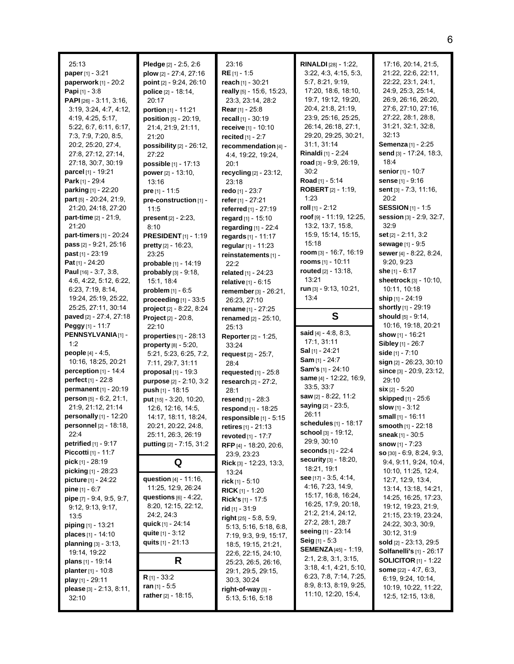| 25:13                          | Pledge [2] - 2:5, 2:6           | 23:16                          | <b>RINALDI</b> [28] - 1:22,  | 17:16, 20:14, 21:5,             |
|--------------------------------|---------------------------------|--------------------------------|------------------------------|---------------------------------|
| <b>paper</b> [1] - $3.21$      | plow $[2] - 27:4, 27:16$        | $RE[1] - 1.5$                  | 3:22, 4:3, 4:15, 5:3,        | 21:22, 22:6, 22:11,             |
| paperwork [1] - 20:2           | point [2] - 9:24, 26:10         | reach [1] - 30:21              | 5:7, 8:21, 9:19,             | 22:22, 23:1, 24:1,              |
| Papi [1] - 3:8                 | police [2] - 18:14,             | really [5] - 15:6, 15:23,      | 17:20, 18:6, 18:10,          | 24:9, 25:3, 25:14,              |
| PAPI [26] - 3:11, 3:16,        | 20:17                           | 23:3, 23:14, 28:2              | 19:7, 19:12, 19:20,          | 26:9, 26:16, 26:20,             |
| 3:19, 3:24, 4:7, 4:12,         | portion [1] - 11:21             | Rear [1] - 25:8                | 20:4, 21:8, 21:19,           | 27:6, 27:10, 27:16,             |
| 4:19, 4:25, 5:17,              | <b>position</b> $[5] - 20:19$ , | recall $[1] - 30:19$           | 23.9, 25.16, 25:25,          | 27:22, 28:1, 28:8,              |
| 5:22, 6:7, 6:11, 6:17,         | 21:4, 21:9, 21:11,              | receive [1] - 10:10            | 26:14, 26:18, 27:1,          | 31:21, 32:1, 32:8,              |
| 7:3, 7:9, 7:20, 8:5,           | 21:20                           | recited [1] - 2:7              | 29:20, 29:25, 30:21,         | 32:13                           |
| 20:2, 25:20, 27:4,             | possibility $[2]$ - $26:12$ ,   | recommendation [4] -           | 31:1, 31:14                  | Semenza [1] - 2:25              |
| 27:8, 27:12, 27:14,            | 27:22                           | 4:4, 19:22, 19:24,             | Rinaldi [1] - 2:24           | send [3] - 17:24, 18:3,         |
| 27:18, 30:7, 30:19             | <b>possible</b> $[1] - 17:13$   | 20:1                           | road [3] - 9:9, 26:19,       | 18:4                            |
| parcel [1] - 19:21             | power $[2] - 13:10$ ,           | recycling [2] - 23:12,         | 30:2                         | senior [1] - 10:7               |
| Park [1] - 29:4                | 13:16                           | 23:18                          | Road [1] - 5:14              | sense [1] - 9:16                |
| <b>parking</b> [1] - 22:20     | pre $[1] - 11:5$                | redo $[1] - 23:7$              | <b>ROBERT</b> $[2] - 1:19$ , | sent $[3] - 7:3, 11:16$ ,       |
| part [5] - 20:24, 21:9,        | pre-construction [1] -          | refer [1] - 27:21              | 1:23                         | 20:2                            |
| 21:20, 24:18, 27:20            | 11:5                            | referred [1] - 27:19           | roll $[1] - 2:12$            | <b>SESSION</b> [1] - 1:5        |
| part-time [2] - 21:9,          | <b>present</b> $[2] - 2:23$ ,   | regard [1] - 15:10             | roof [9] - 11:19, 12:25,     | session [3] - 2:9, 32:7,        |
| 21:20                          | 8:10                            | regarding [1] - 22:4           | 13:2, 13:7, 15:8,            | 32.9                            |
| part-timers [1] - 20:24        | <b>PRESIDENT</b> [1] - 1:19     | regards [1] - 11:17            | 15.9, 15.14, 15:15,          | set [2] - 2:11, 3:2             |
| pass [2] - 9:21, 25:16         | pretty [2] - 16:23,             | regular $[1] - 11:23$          | 15:18                        | sewage [1] - 9:5                |
| <b>past</b> $[1] - 23:19$      | 23:25                           | reinstatements [1] -           | room [3] - 16:7, 16:19       | sewer [4] - 8:22, 8:24,         |
| Pat $[1] - 24:20$              | probable [1] - 14:19            | 22:2                           | <b>rooms</b> $[1] - 10:11$   | 9:20, 9:23                      |
| Paul [16] - 3:7, 3:8,          | probably $[3] - 9:18$ ,         | related [1] - 24:23            | routed [2] - 13:18,          | she $[1] - 6:17$                |
| 4.6, 4.22, 5.12, 6.22,         | 15:1, 18:4                      | relative [1] - 6:15            | 13:21                        | sheetrock [3] - 10:10,          |
| 6.23, 7.19, 8.14,              | problem [1] - 6:5               | remember [3] - 26:21.          | run $[3]$ - 9:13, 10:21,     | 10:11, 10:18                    |
| 19:24, 25:19, 25:22,           | proceeding $[1]$ - $33:5$       | 26:23, 27:10                   | 13:4                         | ship [1] - 24:19                |
| 25:25, 27:11, 30:14            | project [2] - 8.22, 8:24        | rename [1] - 27:25             |                              | shortly [1] - 29:19             |
| paved [2] - 27:4, 27:18        | <b>Project</b> $[2] - 20.8$ ,   | renamed [2] - 25:10,           | S                            | should [5] - 9:14,              |
| Peggy [1] - 11:7               | 22:10                           | 25:13                          |                              | 10:16, 19:18, 20:21             |
| PENNSYLVANIA[1] -              | properties $[1]$ - 28:13        | <b>Reporter</b> [2] - 1:25,    | said $[4] - 4.8, 8.3,$       | show [1] - 16:21                |
| 1:2                            | property $[8] - 5:20$ ,         | 33:24                          | 17:1, 31:11                  | Sibley [1] - 26:7               |
| <b>people</b> $[4] - 4.5$ ,    | 5:21, 5:23, 6:25, 7:2,          | request $[2] - 25:7$ ,         | Sal [1] - 24:21              | side $[1] - 7:10$               |
| 10:16, 18:25, 20:21            | 7:11, 29:7, 31:11               | 28:4                           | <b>Sam</b> $[1]$ - 24:7      | sign [2] - 26:23, 30:10         |
| perception $[1]$ - 14:4        | <b>proposal</b> $[1]$ - 19:3    | requested $[1]$ - $25:8$       | Sam's [1] - 24:10            | since [3] - 20:9, 23:12,        |
| perfect [1] - 22:8             | purpose [2] - 2:10, 3:2         | research $[2] - 27:2$ ,        | same [4] - 12:22, 16:9,      | 29:10                           |
| permanent [1] - 20:19          | push [1] - 18:15                | 28:1                           | 33.5, 33.7                   | $\sin$ [2] - 5:20               |
| person [5] - 6:2, 21:1,        | put [15] - 3:20, 10:20,         | resend [1] - 28:3              | saw [2] - 8:22, 11:2         | skipped [1] - 25:6              |
| 21:9, 21:12, 21:14             | 12:6, 12:16, 14:5,              | respond [1] - 18:25            | saying [2] - 23:5,           | slow [1] - 3:12                 |
| personally $[1]$ - 12:20       | 14:17, 18:11, 18:24,            | responsible [1] - 5:15         | 26:11                        | small [1] - 16:11               |
| personnel [2] - 18:18,         | 20:21, 20:22, 24:8,             | retires [1] - 21:13            | schedules [1] - 18:17        | smooth [1] - 22:18              |
| 22:4                           | 25:11, 26:3, 26:19              | <b>revoted</b> [1] - 17:7      | school [3] - 19:12,          | sneak [1] - $30.5$              |
| <b>petrified</b> $[1] - 9:17$  | putting [2] - 7:15, 31:2        | RFP [4] - 18:20, 20:6,         | 29:9, 30:10                  | <b>snow</b> $[1] - 7:23$        |
| <b>Piccotti</b> [1] - 11:7     |                                 | 23:9, 23:23                    | <b>seconds</b> $[1] - 22:4$  | $SO$ [30] - 6.9, 8.24, 9.3,     |
| <b>pick</b> $[1]$ - 28:19      | Q                               | <b>Rick</b> [3] - 12:23, 13:3, | <b>security</b> [3] - 18:20, | 9.4, 9.11, 9.24, 10.4,          |
| <b>picking</b> $[1]$ - 28:23   |                                 | 13:24                          | 18:21, 19:1                  | 10:10, 11:25, 12:4,             |
| <b>picture</b> $[1] - 24:22$   | question [4] - 11:16,           | rick $[1]$ - 5:10              | see $[17] - 3.5, 4.14,$      | 12.7, 12.9, 13.4,               |
| <b>pine</b> $[1] - 6:7$        | 11:25, 12:9, 26:24              | <b>RICK</b> [1] - 1:20         | 4:16, 7:23, 14:9,            | 13:14, 13:18, 14:21,            |
| pipe [7] - 9:4, 9:5, 9:7,      | questions $[6] - 4.22$ ,        | <b>Rick's</b> $[1]$ - 17:5     | 15:17, 16:8, 16:24,          | 14:25, 16:25, 17:23,            |
| 9.12, 9.13, 9.17,              | 8:20, 12:15, 22:12,             | $rid$ [1] - 31:9               | 16:25, 17:9, 20:18,          | 19:12, 19:23, 21:9,             |
| 13:5                           | 24:2, 24:3                      | right $[25] - 5.8, 5.9,$       | 21.2, 21.4, 24.12,           | 21:15, 23:19, 23:24,            |
| <b>piping</b> [1] - 13:21      | <b>quick</b> [1] - 24:14        | 5:13, 5:16, 5:18, 6:8,         | 27:2, 28:1, 28:7             | 24:22, 30:3, 30:9,              |
| places [1] - 14:10             | quite $[1] - 3:12$              | 7:19, 9:3, 9:9, 15:17,         | seeing [1] - 23:14           | 30:12, 31:9                     |
| <b>planning</b> $[3] - 3:13$ , | quits $[1] - 21:13$             | 18:5, 19:15, 21:21,            | <b>Seig</b> $[1] - 5.3$      | <b>sold</b> [2] - 23:13, 29:5   |
| 19:14, 19:22                   |                                 | 22:6, 22:15, 24:10,            | <b>SEMENZA</b> [45] - 1:19,  | <b>Solfanelli's</b> [1] - 26:17 |
| <b>plans</b> $[1]$ - 19:14     | R                               | 25:23, 26:5, 26:16,            | 2:1, 2:8, 3:1, 3:15,         | <b>SOLICITOR</b> $[1]$ - 1:22   |
| <b>planter</b> [1] - 10:8      |                                 | 29:1, 29:5, 29:15,             | 3:18, 4:1, 4:21, 5:10,       | some $[22] - 4:7, 6:3,$         |
| play $[1]$ - 29:11             | <b>R</b> $[1] - 33:2$           | 30:3, 30:24                    | 6:23, 7:8, 7:14, 7:25,       | 6:19, 9:24, 10:14,              |
| please [3] - 2:13, 8:11,       | ran $[1] - 5:5$                 | right-of-way [3] -             | 8:9, 8:13, 8:19, 9:25,       | 10:19, 10:22, 11:22,            |
| 32:10                          | rather $[2] - 18:15$ ,          | 5:13, 5:16, 5:18               | 11:10, 12:20, 15:4,          | 12:5, 12:15, 13:8,              |
|                                |                                 |                                |                              |                                 |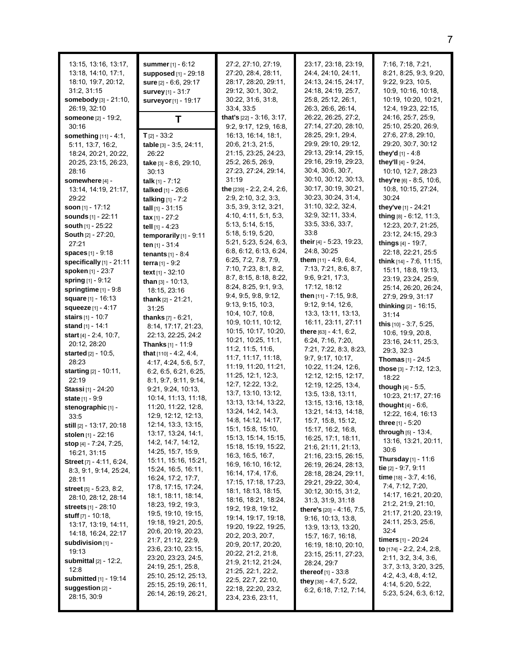| 13:15, 13:16, 13:17,<br>13:18, 14:10, 17:1,<br>18:10, 19:7, 20:12,<br>31:2, 31:15<br>somebody [3] - 21:10,<br>26:19, 32:10<br>someone [2] - 19:2, | summer [1] - 6:12<br>supposed [1] - 29:18<br>sure [2] - 6.6, 29:17<br>survey [1] - 31:7<br>surveyor [1] - 19:17 | 27:2, 27:10, 27:19,<br>27:20, 28:4, 28:11,<br>28:17, 28:20, 29:11,<br>29:12, 30:1, 30:2,<br>30:22, 31:6, 31:8,<br>33:4, 33:5<br>that's [22] - 3:16, 3:17, | 23:17, 23:18, 23:19,<br>24:4, 24:10, 24:11,<br>24:13, 24:15, 24:17,<br>24:18, 24:19, 25:7,<br>25:8, 25:12, 26:1,<br>26:3, 26:6, 26:14,<br>26.22, 26:25, 27:2, | 7:16, 7:18, 7:21,<br>8:21, 8:25, 9:3, 9:20,<br>9:22, 9:23, 10:5,<br>10:9, 10:16, 10:18,<br>10:19, 10:20, 10:21,<br>12.4, 19.23, 22.15,<br>24:16, 25:7, 25:9, |
|---------------------------------------------------------------------------------------------------------------------------------------------------|-----------------------------------------------------------------------------------------------------------------|-----------------------------------------------------------------------------------------------------------------------------------------------------------|---------------------------------------------------------------------------------------------------------------------------------------------------------------|--------------------------------------------------------------------------------------------------------------------------------------------------------------|
| 30:16                                                                                                                                             | Τ                                                                                                               | 9.2, 9.17, 12.9, 16.8,                                                                                                                                    | 27:14, 27:20, 28:10,                                                                                                                                          | 25:10, 25:20, 26:9,                                                                                                                                          |
| something [11] - 4:1,                                                                                                                             | $T_{[2]} - 33.2$                                                                                                | 16:13, 16:14, 18:1,                                                                                                                                       | 28:25, 29:1, 29:4,                                                                                                                                            | 27:6, 27:8, 29:10,                                                                                                                                           |
| 5:11, 13:7, 16:2,                                                                                                                                 | table [3] - 3:5, 24:11,                                                                                         | 20.6, 21:3, 21:5,                                                                                                                                         | 29.9, 29.10, 29:12,                                                                                                                                           | 29:20, 30:7, 30:12                                                                                                                                           |
| 18:24, 20:21, 20:22,                                                                                                                              | 26:22                                                                                                           | 21:15, 23:25, 24:23,                                                                                                                                      | 29:13, 29:14, 29:15,                                                                                                                                          | they'd [1] - 4:8                                                                                                                                             |
| 20:25, 23:15, 26:23,                                                                                                                              | take [3] - 8:6, 29:10,                                                                                          | 25:2, 26:5, 26:9,                                                                                                                                         | 29:16, 29:19, 29:23,                                                                                                                                          | they'll [4] - 9:24,                                                                                                                                          |
| 28:16                                                                                                                                             | 30:13                                                                                                           | 27:23, 27:24, 29:14,                                                                                                                                      | 30:4, 30:6, 30:7,                                                                                                                                             | 10:10, 12:7, 28:23                                                                                                                                           |
| somewhere [4] -                                                                                                                                   | talk $[1] - 7:12$                                                                                               | 31:19                                                                                                                                                     | 30:10, 30:12, 30:13,                                                                                                                                          | they're [6] - 8:5, 10:6,                                                                                                                                     |
| 13:14, 14:19, 21:17,                                                                                                                              | talked [1] - 26:6                                                                                               | the [239] - 2:2, 2:4, 2:6,                                                                                                                                | 30:17, 30:19, 30:21,<br>30:23, 30:24, 31:4,                                                                                                                   | 10:8, 10:15, 27:24,                                                                                                                                          |
| 29:22                                                                                                                                             | <b>talking</b> $[1] - 7:2$                                                                                      | 2:9, 2:10, 3:2, 3:3,<br>3.5, 3.9, 3.12, 3.21,                                                                                                             | 31:10, 32:2, 32:4,                                                                                                                                            | 30:24<br>they've [1] - 24:21                                                                                                                                 |
| soon $[1]$ - 17:12<br>sounds [1] - 22:11                                                                                                          | tall $[1]$ - 31:15                                                                                              | 4:10, 4:11, 5:1, 5:3,                                                                                                                                     | 32:9, 32:11, 33:4,                                                                                                                                            | thing [8] - 6:12, 11:3,                                                                                                                                      |
| south [1] - 25:22                                                                                                                                 | $\textbf{tax}[1] - 27:2$<br>tell [1] - 4:23                                                                     | 5:13, 5:14, 5:15,                                                                                                                                         | 33.5, 33.6, 33.7,                                                                                                                                             | 12:23, 20:7, 21:25,                                                                                                                                          |
| <b>South [2] - 27:20,</b>                                                                                                                         | temporarily $[1]$ - 9:11                                                                                        | 5:18, 5:19, 5:20,                                                                                                                                         | 33:8                                                                                                                                                          | 23:12, 24:15, 29:3                                                                                                                                           |
| 27:21                                                                                                                                             | ten [1] - 31:4                                                                                                  | 5.21, 5.23, 5.24, 6.3,                                                                                                                                    | their [4] - 5:23, 19:23,                                                                                                                                      | things $[4] - 19.7$ ,                                                                                                                                        |
| spaces [1] - 9:18                                                                                                                                 | <b>tenants</b> $[1] - 8.4$                                                                                      | 6.8, 6.12, 6.13, 6.24,                                                                                                                                    | 24:8, 30:25                                                                                                                                                   | 22:18, 22:21, 25:5                                                                                                                                           |
| specifically [1] - 21:11                                                                                                                          | terra [1] - 9:2                                                                                                 | 6:25, 7:2, 7:8, 7:9,                                                                                                                                      | them [11] - 4.9, 6.4,                                                                                                                                         | think [14] - 7:6, 11:15,                                                                                                                                     |
| spoken [1] - 23:7                                                                                                                                 | text [1] - 32:10                                                                                                | 7:10, 7:23, 8:1, 8:2,                                                                                                                                     | 7:13, 7:21, 8:6, 8:7,                                                                                                                                         | 15:11, 18:8, 19:13,                                                                                                                                          |
| spring [1] - 9:12                                                                                                                                 | than $[3] - 10:13$ ,                                                                                            | 8:7, 8:15, 8:18, 8:22,                                                                                                                                    | 9.6, 9.21, 17.3,                                                                                                                                              | 23:19, 23:24, 25:9,                                                                                                                                          |
| springtime $[1]$ - $9:8$                                                                                                                          | 18:15, 23:16                                                                                                    | 8:24, 8:25, 9:1, 9:3,                                                                                                                                     | 17:12, 18:12                                                                                                                                                  | 25:14, 26:20, 26:24,                                                                                                                                         |
| square [1] - 16:13                                                                                                                                | <b>thank</b> $[2] - 21:21$ ,                                                                                    | 9:4, 9:5, 9:8, 9:12,<br>9:13, 9:15, 10:3,                                                                                                                 | then [11] - 7:15, 9:8,<br>9:12, 9:14, 12:6,                                                                                                                   | 27:9, 29:9, 31:17                                                                                                                                            |
| squeeze $[1] - 4:17$                                                                                                                              | 31:25                                                                                                           | 10:4, 10:7, 10:8,                                                                                                                                         | 13:3, 13:11, 13:13,                                                                                                                                           | thinking [2] - 16:15,<br>31:14                                                                                                                               |
| stairs [1] - 10:7                                                                                                                                 | <b>thanks</b> $[7] - 6:21$ ,                                                                                    | 10:9, 10:11, 10:12,                                                                                                                                       | 16:11, 23:11, 27:11                                                                                                                                           | this [10] - 3:7, 5:25,                                                                                                                                       |
| stand [1] - 14:1                                                                                                                                  | 8:14, 17:17, 21:23,                                                                                             | 10:15, 10:17, 10:20,                                                                                                                                      | there [63] - 4:1, 6:2,                                                                                                                                        | 10:6, 19:9, 20:8,                                                                                                                                            |
| <b>start</b> $[4] - 2.4, 10.7,$                                                                                                                   | 22:13, 22:25, 24:2                                                                                              | 10:21, 10:25, 11:1,                                                                                                                                       | 6:24, 7:16, 7:20,                                                                                                                                             | 23:16, 24:11, 25:3,                                                                                                                                          |
| 20:12, 28:20                                                                                                                                      | Thanks [1] - 11:9                                                                                               | 11:2, 11:5, 11:6,                                                                                                                                         | 7:21, 7:22, 8:3, 8:23,                                                                                                                                        | 29:3, 32:3                                                                                                                                                   |
| <b>started</b> [2] - 10:5,<br>28:23                                                                                                               | <b>that</b> $[110] - 4.2, 4.4,$                                                                                 | 11:7, 11:17, 11:18,                                                                                                                                       | 9:7, 9:17, 10:17,                                                                                                                                             | <b>Thomas</b> $[1] - 24:5$                                                                                                                                   |
| starting [2] - 10:11,                                                                                                                             | 4:17, 4:24, 5:6, 5:7,<br>6:2, 6:5, 6:21, 6:25,                                                                  | 11:19, 11:20, 11:21,                                                                                                                                      | 10:22, 11:24, 12:6,                                                                                                                                           | those [3] - 7:12, 12:3,                                                                                                                                      |
| 22:19                                                                                                                                             | 8:1, 9:7, 9:11, 9:14,                                                                                           | 11:25, 12:1, 12:3,                                                                                                                                        | 12:12, 12:15, 12:17,                                                                                                                                          | 18:22                                                                                                                                                        |
| <b>Stassi</b> [1] - 24:20                                                                                                                         | 9.21, 9.24, 10.13,                                                                                              | 12:7, 12:22, 13:2,                                                                                                                                        | 12:19, 12:25, 13:4,                                                                                                                                           | though [4] - 5:5,                                                                                                                                            |
| state $[1] - 9.9$                                                                                                                                 | 10:14, 11:13, 11:18,                                                                                            | 13:7, 13:10, 13:12,                                                                                                                                       | 13.5, 13.8, 13.11,                                                                                                                                            | 10:23, 21:17, 27:16                                                                                                                                          |
| stenographic [1] -                                                                                                                                | 11:20, 11:22, 12:8,                                                                                             | 13:13, 13:14, 13:22,                                                                                                                                      | 13:15, 13:16, 13:18,                                                                                                                                          | <b>thought</b> $[4] - 6.6$ ,                                                                                                                                 |
| 33:5                                                                                                                                              | 12:9, 12:12, 12:13,                                                                                             | 13:24, 14:2, 14:3,                                                                                                                                        | 13:21, 14:13, 14:18,                                                                                                                                          | 12:22, 16:4, 16:13                                                                                                                                           |
| still [2] - 13:17, 20:18                                                                                                                          | 12:14, 13:3, 13:15,                                                                                             | 14:8, 14:12, 14:17,<br>15:1, 15:8, 15:10,                                                                                                                 | 15:7, 15:8, 15:12,                                                                                                                                            | three [1] - 5:20                                                                                                                                             |
| stolen [1] - 22:16                                                                                                                                | 13:17, 13:24, 14:1,                                                                                             | 15:13, 15:14, 15:15,                                                                                                                                      | 15:17, 16:2, 16:8,<br>16:25, 17:1, 18:11,                                                                                                                     | through [5] - 13:4,                                                                                                                                          |
| stop [4] - 7:24, 7:25,                                                                                                                            | 14.2, 14.7, 14.12,                                                                                              | 15:18, 15:19, 15:22,                                                                                                                                      | 21:6, 21:11, 21:13,                                                                                                                                           | 13:16, 13:21, 20:11,                                                                                                                                         |
| 16:21, 31:15                                                                                                                                      | 14:25, 15:7, 15:9,                                                                                              | 16:3, 16:5, 16:7,                                                                                                                                         | 21:16, 23:15, 26:15,                                                                                                                                          | 30.6                                                                                                                                                         |
| Street [7] - 4:11, 6:24,                                                                                                                          | 15:11, 15:16, 15:21,                                                                                            | 16:9, 16:10, 16:12,                                                                                                                                       | 26:19, 26:24, 28:13,                                                                                                                                          | Thursday [1] - 11:6                                                                                                                                          |
| 8:3, 9:1, 9:14, 25:24,                                                                                                                            | 15:24, 16:5, 16:11,                                                                                             | 16:14, 17:4, 17:6,                                                                                                                                        | 28:18, 28:24, 29:11,                                                                                                                                          | tie [2] - 9:7, 9:11<br>time [18] - 3:7, 4:16,                                                                                                                |
| 28:11                                                                                                                                             | 16:24, 17:2, 17:7,<br>17:8, 17:15, 17:24,                                                                       | 17:15, 17:18, 17:23,                                                                                                                                      | 29:21, 29:22, 30:4,                                                                                                                                           | 7:4, 7:12, 7:20,                                                                                                                                             |
| <b>street</b> [5] - 5:23, 8:2,                                                                                                                    | 18:1, 18:11, 18:14,                                                                                             | 18:1, 18:13, 18:15,                                                                                                                                       | 30:12, 30:15, 31:2,                                                                                                                                           | 14:17, 16:21, 20:20,                                                                                                                                         |
| 28:10, 28:12, 28:14                                                                                                                               | 18:23, 19:2, 19:3,                                                                                              | 18:16, 18:21, 18:24,                                                                                                                                      | 31:3, 31:9, 31:18                                                                                                                                             | 21.2, 21.9, 21.10,                                                                                                                                           |
| <b>streets</b> $[1]$ - 28:10<br><b>stuff</b> $[7] - 10:18$ ,                                                                                      | 19:5, 19:10, 19:15,                                                                                             | 19:2, 19:8, 19:12,                                                                                                                                        | <b>there's</b> [20] - 4:16, 7:5,                                                                                                                              | 21:17, 21:20, 23:19,                                                                                                                                         |
| 13:17, 13:19, 14:11,                                                                                                                              | 19:18, 19:21, 20:5,                                                                                             | 19:14, 19:17, 19:18,                                                                                                                                      | 9:16, 10:13, 13:8,                                                                                                                                            | 24:11, 25:3, 25:6,                                                                                                                                           |
| 14:18, 16:24, 22:17                                                                                                                               | 20.6, 20.19, 20.23,                                                                                             | 19:20, 19:22, 19:25,<br>20:2, 20:3, 20:7,                                                                                                                 | 13.9, 13.13, 13.20,                                                                                                                                           | 32:4                                                                                                                                                         |
| subdivision [1] -                                                                                                                                 | 21:7, 21:12, 22:9,                                                                                              | 20:9, 20:17, 20:20,                                                                                                                                       | 15:7, 16:7, 16:18,<br>16:19, 18:10, 20:10,                                                                                                                    | <b>timers</b> [1] - 20:24                                                                                                                                    |
| 19:13                                                                                                                                             | 23:6, 23:10, 23:15,                                                                                             | 20:22, 21:2, 21:8,                                                                                                                                        | 23:15, 25:11, 27:23,                                                                                                                                          | to [174] - 2:2, 2:4, 2:8,                                                                                                                                    |
| <b>submittal</b> $[2] - 12:2$ ,                                                                                                                   | 23:20, 23:23, 24:5,                                                                                             | 21:9, 21:12, 21:24,                                                                                                                                       | 28:24, 29:7                                                                                                                                                   | 2:11, 3:2, 3:4, 3:6,                                                                                                                                         |
| 12:8                                                                                                                                              | 24:19, 25:1, 25:8,                                                                                              | 21:25, 22:1, 22:2,                                                                                                                                        | thereof [1] - 33:8                                                                                                                                            | 3:7, 3:13, 3:20, 3:25,                                                                                                                                       |
| <b>submitted</b> [1] - 19:14                                                                                                                      | 25:10, 25:12, 25:13,                                                                                            | 22:5, 22:7, 22:10,                                                                                                                                        | they [38] - 4:7, 5:22,                                                                                                                                        | 4.2, 4.3, 4.8, 4.12,                                                                                                                                         |
| suggestion [2] -                                                                                                                                  | 25:15, 25:19, 26:11,<br>26:14, 26:19, 26:21,                                                                    | 22:18, 22:20, 23:2,                                                                                                                                       | 6:2, 6:18, 7:12, 7:14,                                                                                                                                        | 4:14, 5:20, 5:22,<br>5:23, 5:24, 6:3, 6:12,                                                                                                                  |
| 28:15, 30:9                                                                                                                                       |                                                                                                                 | 23.4, 23.6, 23.11,                                                                                                                                        |                                                                                                                                                               |                                                                                                                                                              |
|                                                                                                                                                   |                                                                                                                 |                                                                                                                                                           |                                                                                                                                                               |                                                                                                                                                              |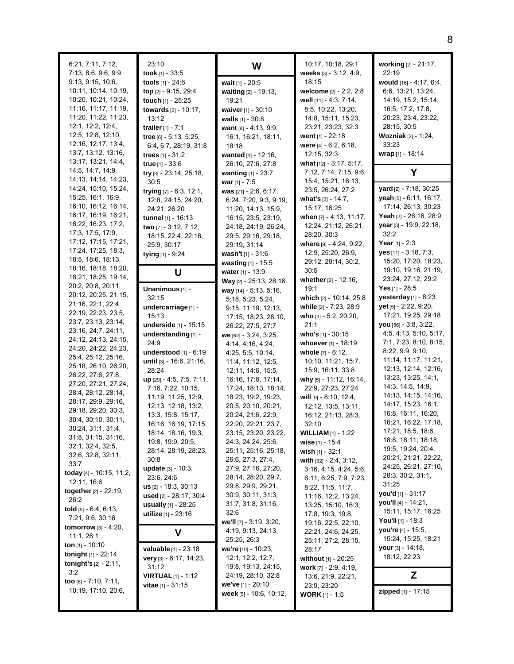| 6:21, 7:11, 7:12,<br>7:13, 8:6, 9:6, 9:9,<br>9:13, 9:15, 10:6,<br>10:11, 10:14, 10:19,<br>10:20, 10:21, 10:24,<br>11:16, 11:17, 11:19,<br>11:20, 11:22, 11:23,<br>12.1, 12.2, 12.4,<br>12.5, 12.8, 12.10,<br>12:16, 12:17, 13:4,<br>13:7, 13:12, 13:16,<br>13:17, 13:21, 14:4, | 23:10<br>took $[1]$ - 33:5<br>tools $[1] - 24.6$<br>top [2] - 9:15, 29:4<br>touch [1] - 25:25<br>towards [2] - 10:17,<br>13:12<br>trailer $[1] - 7:1$<br>tree [6] - 5:13, 5:25,<br>6.4, 6.7, 28.19, 31.8<br>trees $[1] - 31:2$<br>true [1] - 33:6 | W<br>wait [1] - 20:5<br>waiting [2] - 19:13,<br>19:21<br>waiver [1] - 30:10<br>walls $[1] - 30.8$<br>want $[6] - 4.13, 9.9$ ,<br>16:1, 16:21, 18:11,<br>18:18<br>wanted [4] - 12:16,<br>26:10, 27:6, 27:8     | 10:17, 10:18, 29:1<br>weeks [3] - 3.12, 4.9,<br>18:15<br>welcome [2] - 2:2, 2:8<br>well [11] - 4:3, 7:14,<br>8:5, 10:22, 13:20,<br>14:8, 15:11, 15:23,<br>23:21, 23:23, 32:3<br>went $[1] - 22:18$<br>were [4] - 6:2, 6:18,<br>12:15, 32:3<br>what [12] - 3:17, 5:17, | working [2] - 21:17,<br>22:19<br>would [16] - 4:17, 6:4,<br>6:6, 13:21, 13:24,<br>14:19, 15:2, 15:14,<br>16:5, 17:2, 17:8,<br>20:23, 23:4, 23:22,<br>28:15, 30:5<br><b>Wozniak</b> [2] - 1:24,<br>33:23<br>wrap [1] - 18:14 |
|--------------------------------------------------------------------------------------------------------------------------------------------------------------------------------------------------------------------------------------------------------------------------------|---------------------------------------------------------------------------------------------------------------------------------------------------------------------------------------------------------------------------------------------------|---------------------------------------------------------------------------------------------------------------------------------------------------------------------------------------------------------------|-----------------------------------------------------------------------------------------------------------------------------------------------------------------------------------------------------------------------------------------------------------------------|-----------------------------------------------------------------------------------------------------------------------------------------------------------------------------------------------------------------------------|
| 14:5, 14:7, 14:9,<br>14:13, 14:14, 14:23,                                                                                                                                                                                                                                      | try [3] - 23:14, 25:18,                                                                                                                                                                                                                           | wanting [1] - 23:7                                                                                                                                                                                            | 7:12, 7:14, 7:15, 9:6,                                                                                                                                                                                                                                                | Y                                                                                                                                                                                                                           |
| 14:24, 15:10, 15:24,<br>15:25, 16:1, 16:9,<br>16:10, 16:12, 16:14,<br>16:17, 16:19, 16:21,<br>16.22, 16.23, 17:2,<br>17.3, 17.5, 17.9,<br>17:12, 17:15, 17:21,<br>17:24, 17:25, 18:3,                                                                                          | 30:5<br>trying [7] - 6:3, 12:1,<br>12:8, 24:15, 24:20,<br>24:21, 26:20<br>tunnel [1] - 16:13<br>two [7] - 3:12, 7:12,<br>18:15, 22:4, 22:16,<br>25:9, 30:17<br>tying [1] - 9:24                                                                   | war $[1] - 7:5$<br>was [21] - 2:6, 6:17,<br>6:24, 7:20, 9:3, 9:19,<br>11:20, 14:13, 15:9,<br>16:15, 23:5, 23:19,<br>24:18, 24:19, 26:24,<br>29:5, 29:16, 29:18,<br>29:19, 31:14<br><b>wasn't</b> $[1]$ - 31:6 | 15:4, 15:21, 16:13,<br>23.5, 26.24, 27:2<br>what's [3] - 14:7,<br>15:17, 16:25<br>when [7] - 4:13, 11:17,<br>12:24, 21:12, 26:21,<br>28:20, 30:3<br>where [9] - 4:24, 9:22,<br>12.9, 25.20, 26.9,                                                                     | <b>yard</b> $[2] - 7:18, 30:25$<br>yeah [5] - 6:11, 16:17,<br>17:14, 26:13, 30:23<br>Yeah [2] - 26:16, 28:9<br>year [3] - 19:9, 22:18,<br>32:2<br>Year $[1] - 2:3$<br>$yes$ [11] - 3:18, 7:3,                               |
| 18:5, 18:6, 18:13,                                                                                                                                                                                                                                                             |                                                                                                                                                                                                                                                   | wasting [1] - 15:5                                                                                                                                                                                            | 29:12, 29:14, 30:2,                                                                                                                                                                                                                                                   | 15:20, 17:20, 18:23,                                                                                                                                                                                                        |
| 18:16, 18:18, 18:20,<br>18:21, 18:25, 19:14,<br>20:2, 20:8, 20:11,                                                                                                                                                                                                             | U                                                                                                                                                                                                                                                 | water [1] - 13:9<br>Way [2] - 25:13, 28:16                                                                                                                                                                    | 30:5<br>whether [2] - 12:16,                                                                                                                                                                                                                                          | 19:10, 19:16, 21:19,<br>23:24, 27:12, 29:2                                                                                                                                                                                  |
| 20:12, 20:25, 21:15,                                                                                                                                                                                                                                                           | Unanimous [1] -<br>32:15                                                                                                                                                                                                                          | way $[14] - 5:13, 5:16$ ,                                                                                                                                                                                     | 19:1<br>which [2] - 10:14, 25:8                                                                                                                                                                                                                                       | Yes $[1]$ - 28:5<br>yesterday [1] - 8:23                                                                                                                                                                                    |
| 21:16, 22:1, 22:4,                                                                                                                                                                                                                                                             | undercarriage [1] -                                                                                                                                                                                                                               | 5:18, 5:23, 5:24,<br>9:15, 11:19, 12:13,                                                                                                                                                                      | while [2] - 7:23, 28:9                                                                                                                                                                                                                                                | yet [5] - 2:22, 9:20,                                                                                                                                                                                                       |
| 22:19, 22:23, 23:5,                                                                                                                                                                                                                                                            | 15:13                                                                                                                                                                                                                                             | 17:15, 18:23, 26:10,                                                                                                                                                                                          | who [3] - 5:2, 20:20,                                                                                                                                                                                                                                                 | 17:21, 19:25, 29:18                                                                                                                                                                                                         |
| 23:7, 23:13, 23:14,<br>23:16, 24:7, 24:11,                                                                                                                                                                                                                                     | underside [1] - 15:15                                                                                                                                                                                                                             | 26:22, 27:5, 27:7                                                                                                                                                                                             | 21:1                                                                                                                                                                                                                                                                  | $you$ [56] - 3.8, 3.22,                                                                                                                                                                                                     |
| 24:12, 24:13, 24:15,                                                                                                                                                                                                                                                           | understanding [1] -                                                                                                                                                                                                                               | we [62] - 3:24, 3:25,                                                                                                                                                                                         | who's $[1] - 30:15$                                                                                                                                                                                                                                                   | 4:5, 4:13, 5:10, 5:17,                                                                                                                                                                                                      |
| 24:20, 24:22, 24:23,                                                                                                                                                                                                                                                           | 24:9<br>understood [1] - 6:19                                                                                                                                                                                                                     | 4:14, 4:16, 4:24,                                                                                                                                                                                             | whoever $[1]$ - 18:19                                                                                                                                                                                                                                                 | 7:1, 7:23, 8:10, 8:15,<br>8.22, 9.9, 9.10,                                                                                                                                                                                  |
| 25:4, 25:12, 25:16,                                                                                                                                                                                                                                                            | until [3] - 16:6, 21:16,                                                                                                                                                                                                                          | 4:25, 5:5, 10:14,<br>11:4, 11:12, 12:5,                                                                                                                                                                       | <b>whole</b> [7] - 6:12,<br>10:10, 11:21, 15:7,                                                                                                                                                                                                                       | 11:14, 11:17, 11:21,                                                                                                                                                                                                        |
| 25:18, 26:10, 26:20,                                                                                                                                                                                                                                                           | 28:24                                                                                                                                                                                                                                             | 12:11, 14:6, 15:5,                                                                                                                                                                                            | 15:9, 16:11, 33:8                                                                                                                                                                                                                                                     | 12:13, 12:14, 12:16,                                                                                                                                                                                                        |
| 26:22, 27:6, 27:8,                                                                                                                                                                                                                                                             | up [29] - 4:5, 7:5, 7:11,                                                                                                                                                                                                                         | 16:16, 17:8, 17:14,                                                                                                                                                                                           | why [5] - 11:12, 16:14,                                                                                                                                                                                                                                               | 13:23, 13:25, 14:1,                                                                                                                                                                                                         |
| 27:20, 27:21, 27:24,<br>28:4, 28:12, 28:14,                                                                                                                                                                                                                                    | 7:16, 7:22, 10:15,                                                                                                                                                                                                                                | 17:24, 18:13, 18:14,                                                                                                                                                                                          | 22:9, 27:23, 27:24                                                                                                                                                                                                                                                    | 14.3, 14.5, 14.9,                                                                                                                                                                                                           |
| 28:17, 29:9, 29:16,                                                                                                                                                                                                                                                            | 11:19, 11:25, 12:9,                                                                                                                                                                                                                               | 18:23, 19:2, 19:23,                                                                                                                                                                                           | will [9] - 8.10, 12.4,                                                                                                                                                                                                                                                | 14:13, 14:15, 14:16,                                                                                                                                                                                                        |
| 29:18, 29:20, 30:3,                                                                                                                                                                                                                                                            | 12:13, 12:18, 13:2,                                                                                                                                                                                                                               | 20:5, 20:10, 20:21,                                                                                                                                                                                           | 12:12, 13:5, 13:11,                                                                                                                                                                                                                                                   | 14:17, 15:23, 16:1,<br>16:8, 16:11, 16:20,                                                                                                                                                                                  |
| 30:4, 30:10, 30:11,                                                                                                                                                                                                                                                            | 13:3, 15:8, 15:17,<br>16:16, 16:19, 17:15,                                                                                                                                                                                                        | 20:24, 21:6, 22:9,<br>22:20, 22:21, 23:7,                                                                                                                                                                     | 16:12, 21:13, 28:3,<br>32:10                                                                                                                                                                                                                                          | 16:21, 16:22, 17:18,                                                                                                                                                                                                        |
| 30:24, 31:1, 31:4,                                                                                                                                                                                                                                                             | 18:14, 18:16, 19:3,                                                                                                                                                                                                                               | 23:15, 23:20, 23:22,                                                                                                                                                                                          | <b>WILLIAM</b> $[1] - 1:22$                                                                                                                                                                                                                                           | 17:21, 18:5, 18:6,                                                                                                                                                                                                          |
| 31:8, 31:15, 31:16,                                                                                                                                                                                                                                                            | 19.8, 19.9, 20.5,                                                                                                                                                                                                                                 | 24.3, 24.24, 25.6,                                                                                                                                                                                            | wise $[1] - 15.4$                                                                                                                                                                                                                                                     | 18:8, 18:11, 18:18,                                                                                                                                                                                                         |
| 32:1, 32:4, 32:5,<br>32.6, 32.8, 32.11,                                                                                                                                                                                                                                        | 28.14, 28.19, 28.23,                                                                                                                                                                                                                              | 25:11, 25:16, 25:18,                                                                                                                                                                                          | wish [1] - 32:1                                                                                                                                                                                                                                                       | 19.5, 19.24, 20.4,                                                                                                                                                                                                          |
| 33:7                                                                                                                                                                                                                                                                           | 30:8                                                                                                                                                                                                                                              | 26:6, 27:3, 27:4,                                                                                                                                                                                             | with [32] - 2.4, 3.12,                                                                                                                                                                                                                                                | 20:21, 21:21, 22:22,<br>24:25, 26:21, 27:10,                                                                                                                                                                                |
| today [4] - 10:15, 11:2,                                                                                                                                                                                                                                                       | update [3] - 10:3,                                                                                                                                                                                                                                | 27:9, 27:16, 27:20,                                                                                                                                                                                           | 3:16, 4:15, 4:24, 5:6,                                                                                                                                                                                                                                                | 28:3, 30:2, 31:1,                                                                                                                                                                                                           |
| 12:11, 16:6                                                                                                                                                                                                                                                                    | 23:6, 24:6<br>$us$ [2] - 18:3, 30:13                                                                                                                                                                                                              | 28:14, 28:20, 29:7,<br>29:8, 29:9, 29:21,                                                                                                                                                                     | 6:11, 6:25, 7:9, 7:23,<br>8.22, 11:5, 11:7,                                                                                                                                                                                                                           | 31:25                                                                                                                                                                                                                       |
| together [2] - 22:19,                                                                                                                                                                                                                                                          | used [2] - 28:17, 30:4                                                                                                                                                                                                                            | 30.9, 30.11, 31:3,                                                                                                                                                                                            | 11:16, 12:2, 13:24,                                                                                                                                                                                                                                                   | you'd [1] - 31:17                                                                                                                                                                                                           |
| 26:2                                                                                                                                                                                                                                                                           | usually $[1] - 28:25$                                                                                                                                                                                                                             | 31:7, 31:8, 31:16,                                                                                                                                                                                            | 13:25, 15:10, 16:3,                                                                                                                                                                                                                                                   | you'll [4] - 14:21,                                                                                                                                                                                                         |
| told $[5] - 6.4, 6.13$ ,<br>7:21, 9:6, 30:16                                                                                                                                                                                                                                   | utilize [1] - 23:16                                                                                                                                                                                                                               | 32:6                                                                                                                                                                                                          | 17:8, 19:3, 19:8,                                                                                                                                                                                                                                                     | 15:11, 15:17, 16:25                                                                                                                                                                                                         |
| <b>tomorrow</b> $[3] - 4:20$ ,                                                                                                                                                                                                                                                 |                                                                                                                                                                                                                                                   | we'll [7] - 3:19, 3:20,                                                                                                                                                                                       | 19:16, 22:5, 22:10,                                                                                                                                                                                                                                                   | You'll $[1]$ - 18:3<br>you're [4] - 15:5,                                                                                                                                                                                   |
| 11:1, 26:1                                                                                                                                                                                                                                                                     | V                                                                                                                                                                                                                                                 | 4:19, 9:13, 24:13,<br>25:25, 26:3                                                                                                                                                                             | 22:21, 24:6, 24:25,                                                                                                                                                                                                                                                   | 15:24, 15:25, 18:21                                                                                                                                                                                                         |
| ton $[1] - 10:10$                                                                                                                                                                                                                                                              | valuable [1] - 23:18                                                                                                                                                                                                                              | we're [10] - 10:23,                                                                                                                                                                                           | 25:11, 27:2, 28:15,<br>28:17                                                                                                                                                                                                                                          | <b>your</b> $[3] - 14:18$ ,                                                                                                                                                                                                 |
| <b>tonight</b> $[1]$ - 22:14                                                                                                                                                                                                                                                   | very $[3]$ - 6:17, 14:23,                                                                                                                                                                                                                         | 12:1, 12:2, 12:7,                                                                                                                                                                                             | <b>without</b> [1] - 20:25                                                                                                                                                                                                                                            | 18:12, 22:23                                                                                                                                                                                                                |
| <b>tonight's</b> $[2] - 2:11$ ,<br>3.2                                                                                                                                                                                                                                         | 31:12                                                                                                                                                                                                                                             | 19:8, 19:13, 24:15,                                                                                                                                                                                           | work $[7] - 2.9, 4.19,$                                                                                                                                                                                                                                               |                                                                                                                                                                                                                             |
| too $[6] - 7:10, 7:11,$                                                                                                                                                                                                                                                        | <b>VIRTUAL</b> $[1]$ - 1:12                                                                                                                                                                                                                       | 24:19, 28:10, 32:8                                                                                                                                                                                            | 13:6, 21:9, 22:21,                                                                                                                                                                                                                                                    | Z                                                                                                                                                                                                                           |
| 10:19, 17:10, 20:6,                                                                                                                                                                                                                                                            | <b>vitae</b> $[1] - 31:15$                                                                                                                                                                                                                        | we've [1] - 20:10<br>week [5] - 10:6, 10:12,                                                                                                                                                                  | 23:9, 23:20                                                                                                                                                                                                                                                           | zipped [1] - 17:15                                                                                                                                                                                                          |
|                                                                                                                                                                                                                                                                                |                                                                                                                                                                                                                                                   |                                                                                                                                                                                                               | <b>WORK</b> [1] - 1:5                                                                                                                                                                                                                                                 |                                                                                                                                                                                                                             |